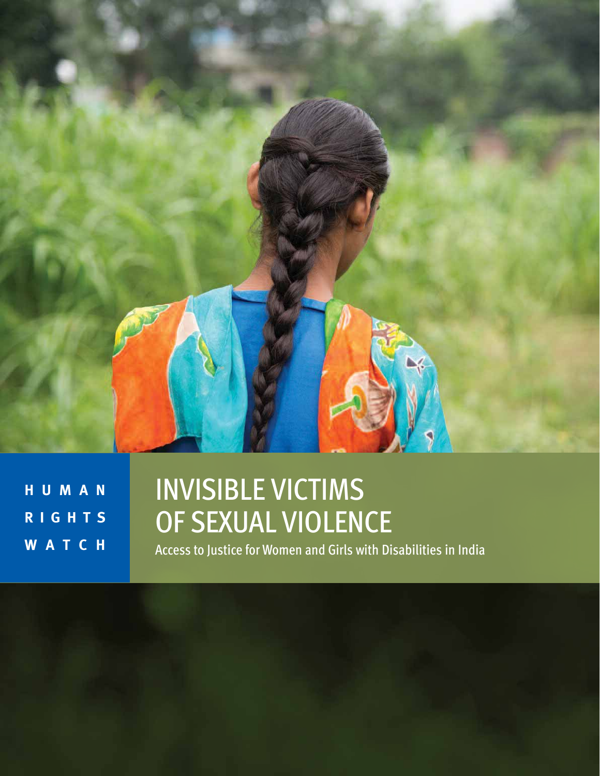

**H U M A N R I G H T S WATCH**

# INVISIBLE VICTIMS OF SEXUAL VIOLENCE

Access to Justice for Women and Girls with Disabilities in India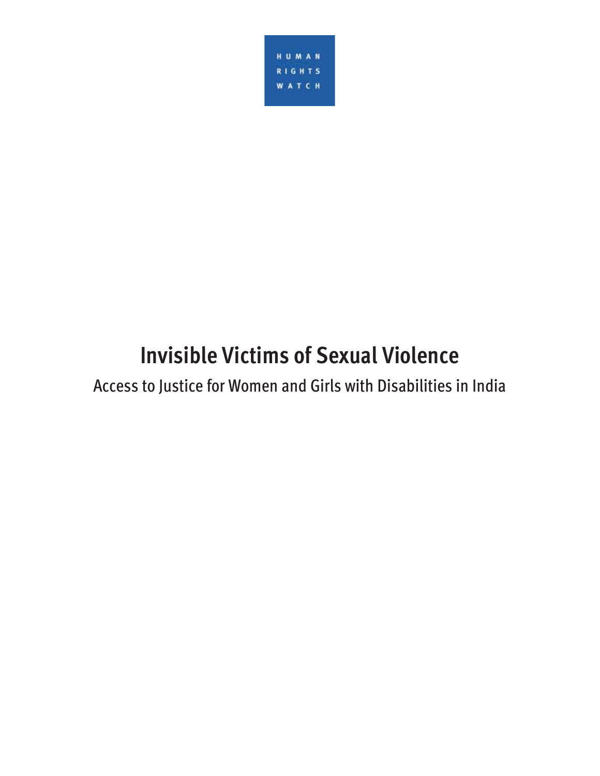

# **Invisible Victims of Sexual Violence**

Access to Justice for Women and Girls with Disabilities in India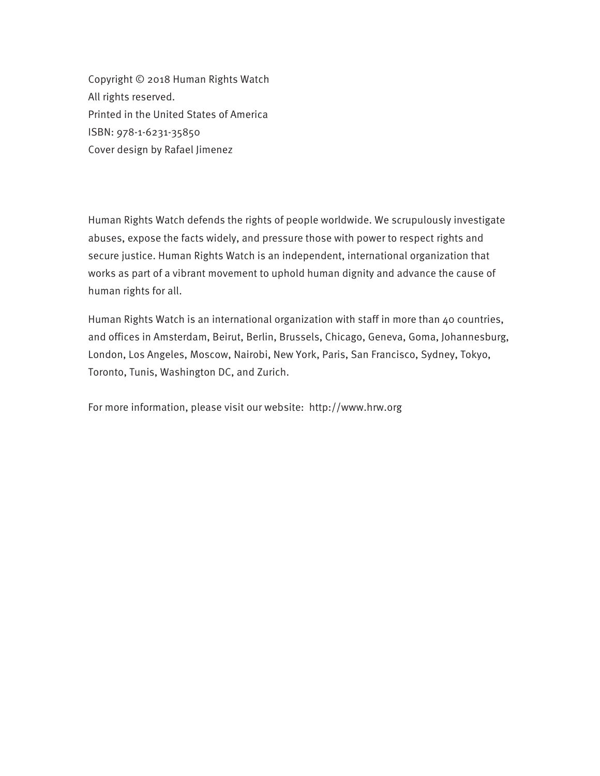Copyright © 2018 Human Rights Watch All rights reserved. Printed in the United States of America ISBN: 978-1-6231-35850 Cover design by Rafael Jimenez

Human Rights Watch defends the rights of people worldwide. We scrupulously investigate abuses, expose the facts widely, and pressure those with power to respect rights and secure justice. Human Rights Watch is an independent, international organization that works as part of a vibrant movement to uphold human dignity and advance the cause of human rights for all.

Human Rights Watch is an international organization with staff in more than 40 countries, and offices in Amsterdam, Beirut, Berlin, Brussels, Chicago, Geneva, Goma, Johannesburg, London, Los Angeles, Moscow, Nairobi, New York, Paris, San Francisco, Sydney, Tokyo, Toronto, Tunis, Washington DC, and Zurich.

For more information, please visit our website: http://www.hrw.org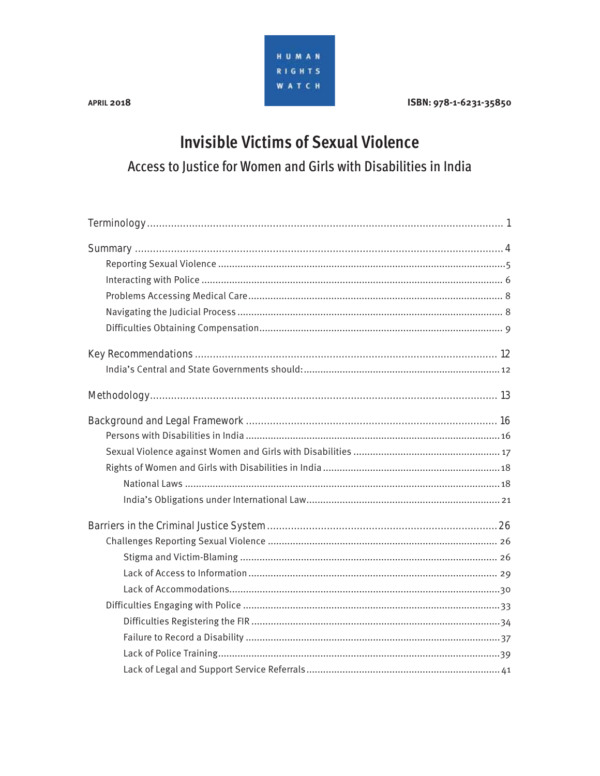

**APRIL 2018** 

ISBN: 978-1-6231-35850

### **Invisible Victims of Sexual Violence** Access to Justice for Women and Girls with Disabilities in India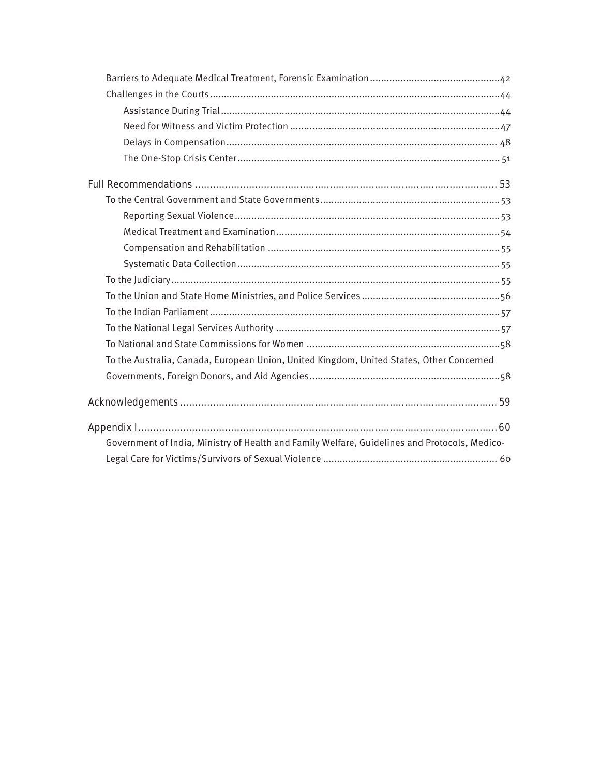| To the Australia, Canada, European Union, United Kingdom, United States, Other Concerned      |  |
|-----------------------------------------------------------------------------------------------|--|
|                                                                                               |  |
|                                                                                               |  |
|                                                                                               |  |
| Government of India, Ministry of Health and Family Welfare, Guidelines and Protocols, Medico- |  |
|                                                                                               |  |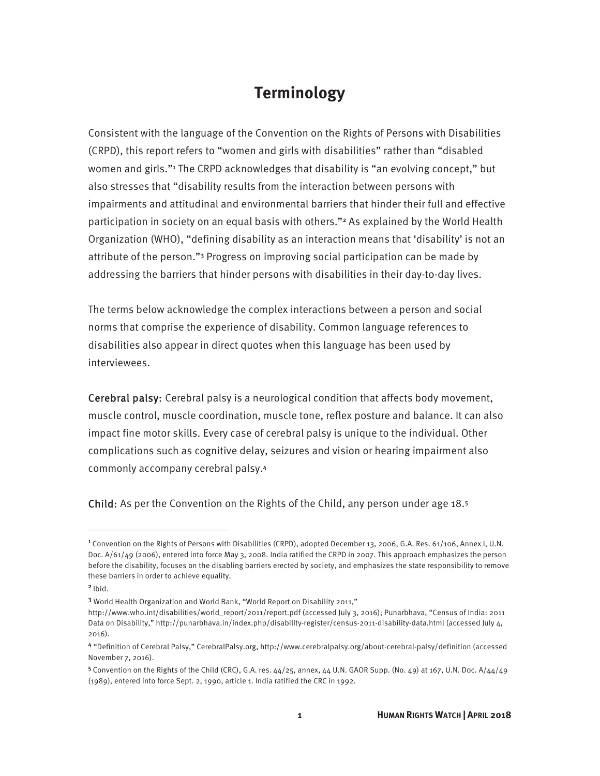### **Terminology**

Consistent with the language of the Convention on the Rights of Persons with Disabilities (CRPD), this report refers to "women and girls with disabilities" rather than "disabled women and girls."<sup>1</sup> The CRPD acknowledges that disability is "an evolving concept," but also stresses that "disability results from the interaction between persons with impairments and attitudinal and environmental barriers that hinder their full and effective participation in society on an equal basis with others."<sup>2</sup> As explained by the World Health Organization (WHO), "defining disability as an interaction means that 'disability' is not an attribute of the person."3 Progress on improving social participation can be made by addressing the barriers that hinder persons with disabilities in their day-to-day lives.

The terms below acknowledge the complex interactions between a person and social norms that comprise the experience of disability. Common language references to disabilities also appear in direct quotes when this language has been used by interviewees.

Cerebral palsy: Cerebral palsy is a neurological condition that affects body movement, muscle control, muscle coordination, muscle tone, reflex posture and balance. It can also impact fine motor skills. Every case of cerebral palsy is unique to the individual. Other complications such as cognitive delay, seizures and vision or hearing impairment also commonly accompany cerebral palsy.<sup>4</sup>

Child: As per the Convention on the Rights of the Child, any person under age 18.<sup>5</sup>

<sup>1</sup>Convention on the Rights of Persons with Disabilities (CRPD), adopted December 13, 2006, G.A. Res. 61/106, Annex I, U.N. Doc. A/61/49 (2006), entered into force May 3, 2008. India ratified the CRPD in 2007. This approach emphasizes the person before the disability, focuses on the disabling barriers erected by society, and emphasizes the state responsibility to remove these barriers in order to achieve equality.

 $2$  Ibid.

<sup>3</sup> World Health Organization and World Bank, "World Report on Disability 2011,"

http://www.who.int/disabilities/world\_report/2011/report.pdf (accessed July 3, 2016); Punarbhava, "Census of India: 2011 Data on Disability," http://punarbhava.in/index.php/disability-register/census-2011-disability-data.html (accessed July 4, 2016).

<sup>4</sup> "Definition of Cerebral Palsy," CerebralPalsy.org, http://www.cerebralpalsy.org/about-cerebral-palsy/definition (accessed November 7, 2016).

 $5$  Convention on the Rights of the Child (CRC), G.A. res.  $44/25$ , annex,  $44$  U.N. GAOR Supp. (No. 49) at 167, U.N. Doc. A/ $44/49$ (1989), entered into force Sept. 2, 1990, article 1. India ratified the CRC in 1992.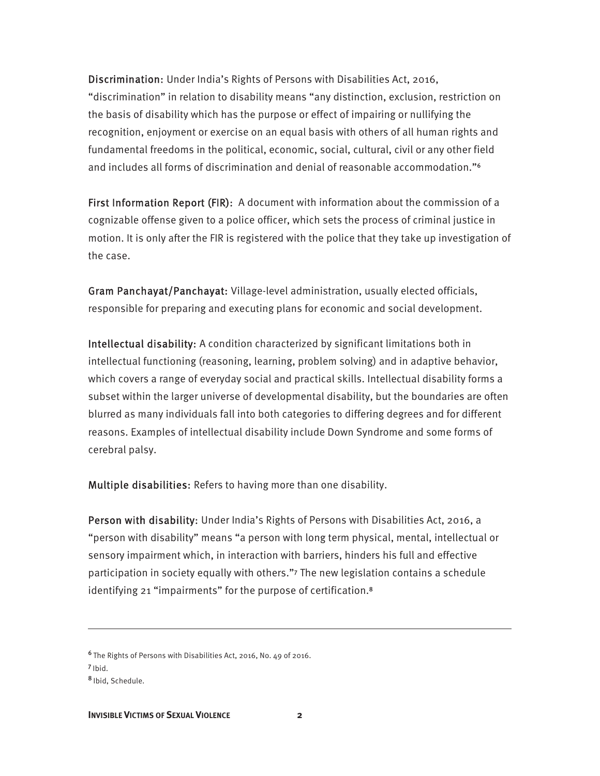Discrimination: Under India's Rights of Persons with Disabilities Act, 2016, "discrimination" in relation to disability means "any distinction, exclusion, restriction on the basis of disability which has the purpose or effect of impairing or nullifying the recognition, enjoyment or exercise on an equal basis with others of all human rights and fundamental freedoms in the political, economic, social, cultural, civil or any other field and includes all forms of discrimination and denial of reasonable accommodation."<sup>6</sup>

First Information Report (FIR): A document with information about the commission of a cognizable offense given to a police officer, which sets the process of criminal justice in motion. It is only after the FIR is registered with the police that they take up investigation of the case.

Gram Panchayat/Panchayat: Village-level administration, usually elected officials, responsible for preparing and executing plans for economic and social development.

Intellectual disability: A condition characterized by significant limitations both in intellectual functioning (reasoning, learning, problem solving) and in adaptive behavior, which covers a range of everyday social and practical skills. Intellectual disability forms a subset within the larger universe of developmental disability, but the boundaries are often blurred as many individuals fall into both categories to differing degrees and for different reasons. Examples of intellectual disability include Down Syndrome and some forms of cerebral palsy.

Multiple disabilities: Refers to having more than one disability.

Person with disability: Under India's Rights of Persons with Disabilities Act, 2016, a "person with disability" means "a person with long term physical, mental, intellectual or sensory impairment which, in interaction with barriers, hinders his full and effective participation in society equally with others."7 The new legislation contains a schedule identifying 21 "impairments" for the purpose of certification.<sup>8</sup>

<sup>6</sup>The Rights of Persons with Disabilities Act, 2016, No. 49 of 2016.

<sup>7</sup>Ibid.

<sup>8</sup>Ibid, Schedule.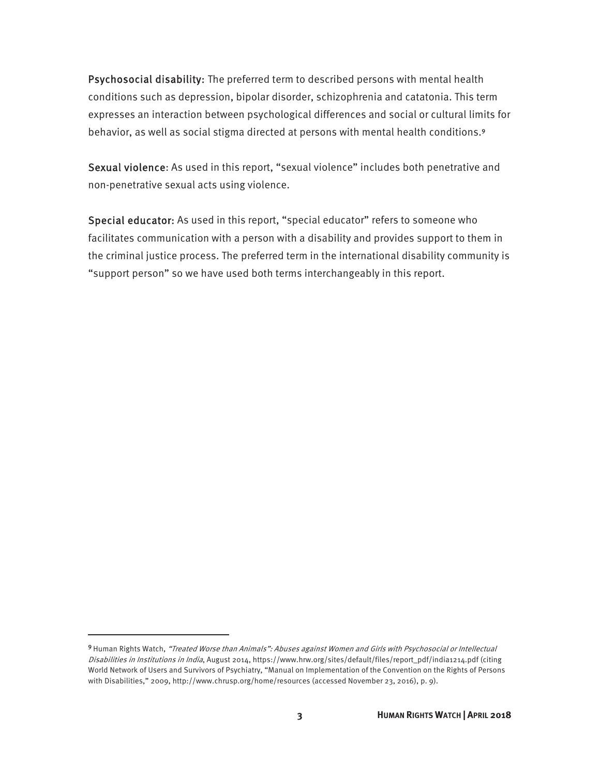Psychosocial disability: The preferred term to described persons with mental health conditions such as depression, bipolar disorder, schizophrenia and catatonia. This term expresses an interaction between psychological differences and social or cultural limits for behavior, as well as social stigma directed at persons with mental health conditions.<sup>9</sup>

Sexual violence: As used in this report, "sexual violence" includes both penetrative and non-penetrative sexual acts using violence.

Special educator: As used in this report, "special educator" refers to someone who facilitates communication with a person with a disability and provides support to them in the criminal justice process. The preferred term in the international disability community is "support person" so we have used both terms interchangeably in this report.

**.** 

<sup>9</sup> Human Rights Watch, "Treated Worse than Animals": Abuses against Women and Girls with Psychosocial or Intellectual Disabilities in Institutions in India, August 2014, https://www.hrw.org/sites/default/files/report\_pdf/india1214.pdf (citing World Network of Users and Survivors of Psychiatry, "Manual on Implementation of the Convention on the Rights of Persons with Disabilities," 2009, http://www.chrusp.org/home/resources (accessed November 23, 2016), p. 9).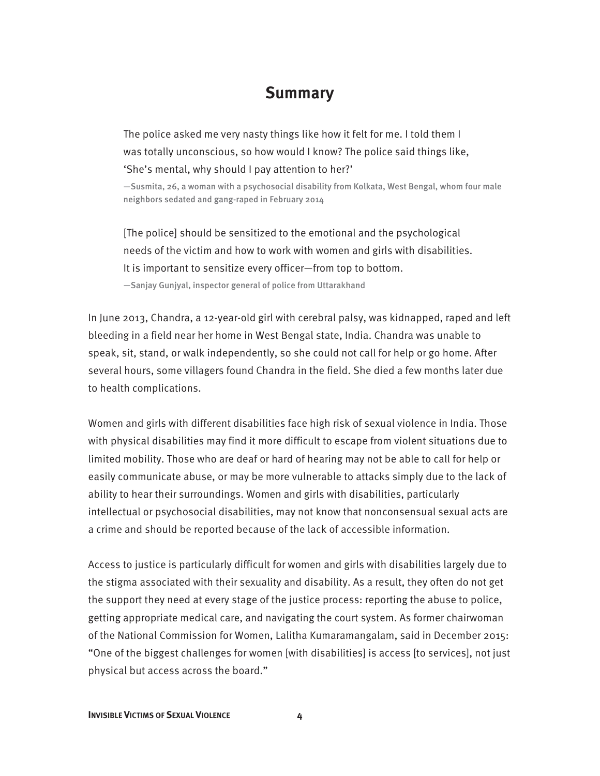### **Summary**

The police asked me very nasty things like how it felt for me. I told them I was totally unconscious, so how would I know? The police said things like, 'She's mental, why should I pay attention to her?'

—Susmita, 26, a woman with a psychosocial disability from Kolkata, West Bengal, whom four male neighbors sedated and gang-raped in February 2014

[The police] should be sensitized to the emotional and the psychological needs of the victim and how to work with women and girls with disabilities. It is important to sensitize every officer—from top to bottom. —Sanjay Gunjyal, inspector general of police from Uttarakhand

In June 2013, Chandra, a 12-year-old girl with cerebral palsy, was kidnapped, raped and left bleeding in a field near her home in West Bengal state, India. Chandra was unable to speak, sit, stand, or walk independently, so she could not call for help or go home. After several hours, some villagers found Chandra in the field. She died a few months later due to health complications.

Women and girls with different disabilities face high risk of sexual violence in India. Those with physical disabilities may find it more difficult to escape from violent situations due to limited mobility. Those who are deaf or hard of hearing may not be able to call for help or easily communicate abuse, or may be more vulnerable to attacks simply due to the lack of ability to hear their surroundings. Women and girls with disabilities, particularly intellectual or psychosocial disabilities, may not know that nonconsensual sexual acts are a crime and should be reported because of the lack of accessible information.

Access to justice is particularly difficult for women and girls with disabilities largely due to the stigma associated with their sexuality and disability. As a result, they often do not get the support they need at every stage of the justice process: reporting the abuse to police, getting appropriate medical care, and navigating the court system. As former chairwoman of the National Commission for Women, Lalitha Kumaramangalam, said in December 2015: "One of the biggest challenges for women [with disabilities] is access [to services], not just physical but access across the board."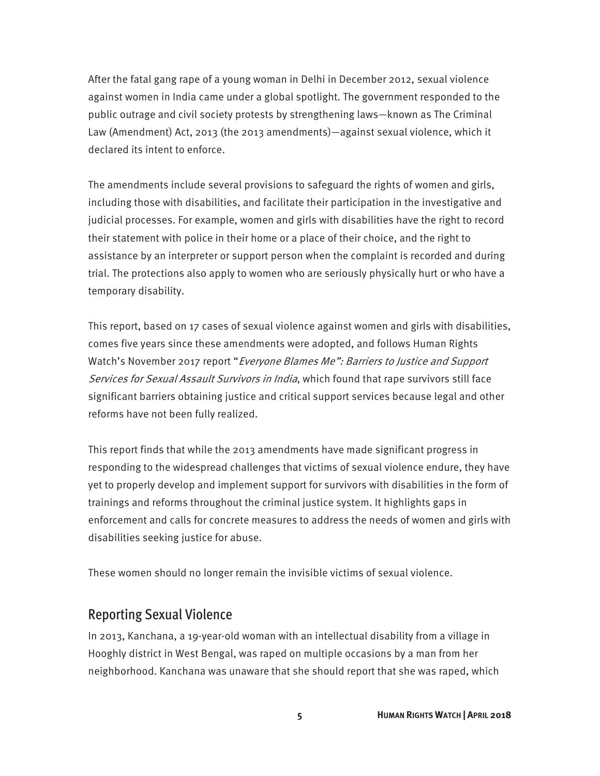After the fatal gang rape of a young woman in Delhi in December 2012, sexual violence against women in India came under a global spotlight. The government responded to the public outrage and civil society protests by strengthening laws—known as The Criminal Law (Amendment) Act, 2013 (the 2013 amendments)—against sexual violence, which it declared its intent to enforce.

The amendments include several provisions to safeguard the rights of women and girls, including those with disabilities, and facilitate their participation in the investigative and judicial processes. For example, women and girls with disabilities have the right to record their statement with police in their home or a place of their choice, and the right to assistance by an interpreter or support person when the complaint is recorded and during trial. The protections also apply to women who are seriously physically hurt or who have a temporary disability.

This report, based on 17 cases of sexual violence against women and girls with disabilities, comes five years since these amendments were adopted, and follows Human Rights Watch's November 2017 report "Everyone Blames Me": Barriers to Justice and Support Services for Sexual Assault Survivors in India, which found that rape survivors still face significant barriers obtaining justice and critical support services because legal and other reforms have not been fully realized.

This report finds that while the 2013 amendments have made significant progress in responding to the widespread challenges that victims of sexual violence endure, they have yet to properly develop and implement support for survivors with disabilities in the form of trainings and reforms throughout the criminal justice system. It highlights gaps in enforcement and calls for concrete measures to address the needs of women and girls with disabilities seeking justice for abuse.

These women should no longer remain the invisible victims of sexual violence.

#### Reporting Sexual Violence

In 2013, Kanchana, a 19-year-old woman with an intellectual disability from a village in Hooghly district in West Bengal, was raped on multiple occasions by a man from her neighborhood. Kanchana was unaware that she should report that she was raped, which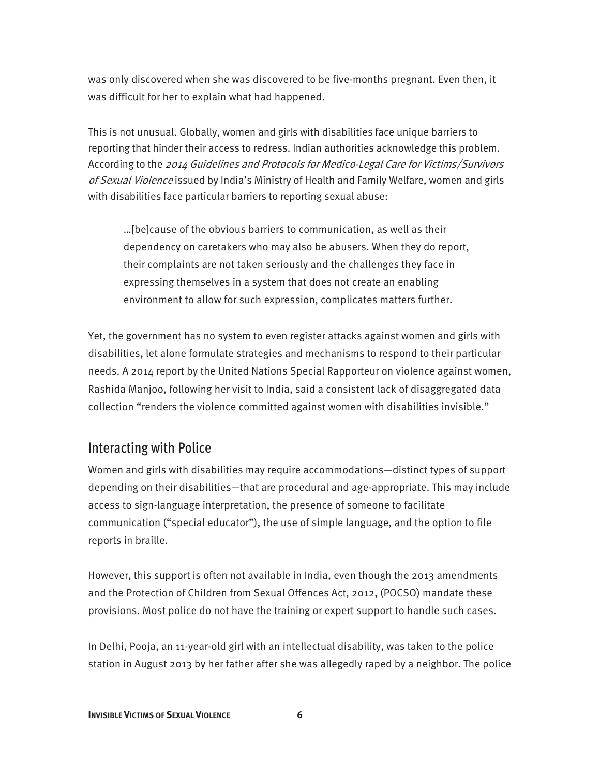was only discovered when she was discovered to be five-months pregnant. Even then, it was difficult for her to explain what had happened.

This is not unusual. Globally, women and girls with disabilities face unique barriers to reporting that hinder their access to redress. Indian authorities acknowledge this problem. According to the 2014 Guidelines and Protocols for Medico-Legal Care for Victims/Survivors of Sexual Violence issued by India's Ministry of Health and Family Welfare, women and girls with disabilities face particular barriers to reporting sexual abuse:

…[be]cause of the obvious barriers to communication, as well as their dependency on caretakers who may also be abusers. When they do report, their complaints are not taken seriously and the challenges they face in expressing themselves in a system that does not create an enabling environment to allow for such expression, complicates matters further.

Yet, the government has no system to even register attacks against women and girls with disabilities, let alone formulate strategies and mechanisms to respond to their particular needs. A 2014 report by the United Nations Special Rapporteur on violence against women, Rashida Manjoo, following her visit to India, said a consistent lack of disaggregated data collection "renders the violence committed against women with disabilities invisible."

#### Interacting with Police

Women and girls with disabilities may require accommodations—distinct types of support depending on their disabilities—that are procedural and age-appropriate. This may include access to sign-language interpretation, the presence of someone to facilitate communication ("special educator"), the use of simple language, and the option to file reports in braille.

However, this support is often not available in India, even though the 2013 amendments and the Protection of Children from Sexual Offences Act, 2012, (POCSO) mandate these provisions. Most police do not have the training or expert support to handle such cases.

In Delhi, Pooja, an 11-year-old girl with an intellectual disability, was taken to the police station in August 2013 by her father after she was allegedly raped by a neighbor. The police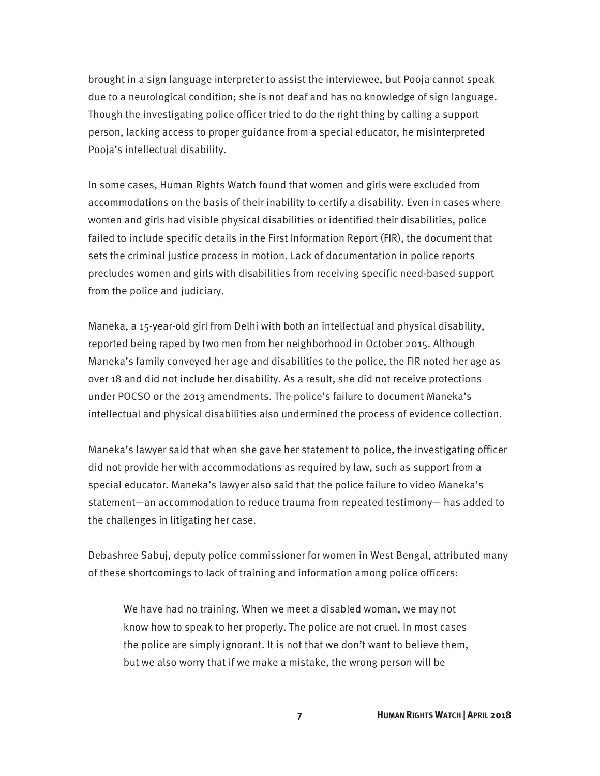brought in a sign language interpreter to assist the interviewee, but Pooja cannot speak due to a neurological condition; she is not deaf and has no knowledge of sign language. Though the investigating police officer tried to do the right thing by calling a support person, lacking access to proper guidance from a special educator, he misinterpreted Pooja's intellectual disability.

In some cases, Human Rights Watch found that women and girls were excluded from accommodations on the basis of their inability to certify a disability. Even in cases where women and girls had visible physical disabilities or identified their disabilities, police failed to include specific details in the First Information Report (FIR), the document that sets the criminal justice process in motion. Lack of documentation in police reports precludes women and girls with disabilities from receiving specific need-based support from the police and judiciary.

Maneka, a 15-year-old girl from Delhi with both an intellectual and physical disability, reported being raped by two men from her neighborhood in October 2015. Although Maneka's family conveyed her age and disabilities to the police, the FIR noted her age as over 18 and did not include her disability. As a result, she did not receive protections under POCSO or the 2013 amendments. The police's failure to document Maneka's intellectual and physical disabilities also undermined the process of evidence collection.

Maneka's lawyer said that when she gave her statement to police, the investigating officer did not provide her with accommodations as required by law, such as support from a special educator. Maneka's lawyer also said that the police failure to video Maneka's statement—an accommodation to reduce trauma from repeated testimony— has added to the challenges in litigating her case.

Debashree Sabuj, deputy police commissioner for women in West Bengal, attributed many of these shortcomings to lack of training and information among police officers:

We have had no training. When we meet a disabled woman, we may not know how to speak to her properly. The police are not cruel. In most cases the police are simply ignorant. It is not that we don't want to believe them, but we also worry that if we make a mistake, the wrong person will be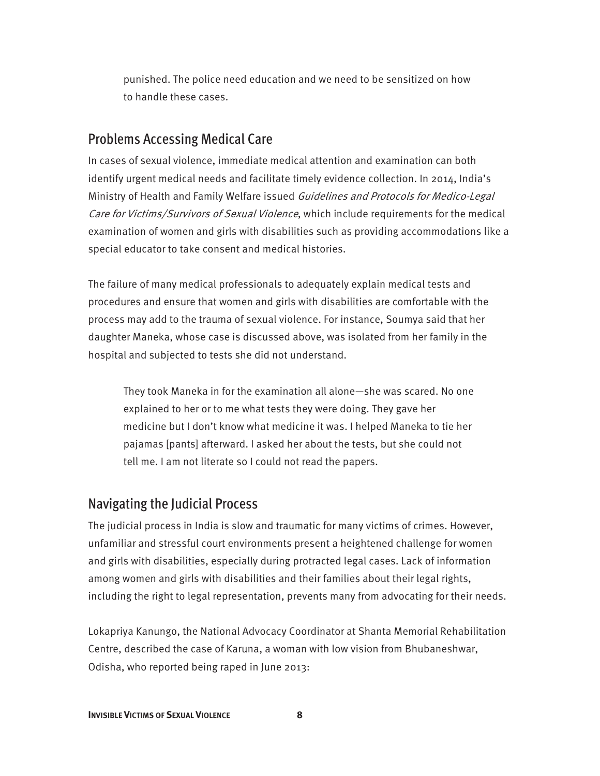punished. The police need education and we need to be sensitized on how to handle these cases.

#### Problems Accessing Medical Care

In cases of sexual violence, immediate medical attention and examination can both identify urgent medical needs and facilitate timely evidence collection. In 2014, India's Ministry of Health and Family Welfare issued Guidelines and Protocols for Medico-Legal Care for Victims/Survivors of Sexual Violence, which include requirements for the medical examination of women and girls with disabilities such as providing accommodations like a special educator to take consent and medical histories.

The failure of many medical professionals to adequately explain medical tests and procedures and ensure that women and girls with disabilities are comfortable with the process may add to the trauma of sexual violence. For instance, Soumya said that her daughter Maneka, whose case is discussed above, was isolated from her family in the hospital and subjected to tests she did not understand.

They took Maneka in for the examination all alone—she was scared. No one explained to her or to me what tests they were doing. They gave her medicine but I don't know what medicine it was. I helped Maneka to tie her pajamas [pants] afterward. I asked her about the tests, but she could not tell me. I am not literate so I could not read the papers.

#### Navigating the Judicial Process

The judicial process in India is slow and traumatic for many victims of crimes. However, unfamiliar and stressful court environments present a heightened challenge for women and girls with disabilities, especially during protracted legal cases. Lack of information among women and girls with disabilities and their families about their legal rights, including the right to legal representation, prevents many from advocating for their needs.

Lokapriya Kanungo, the National Advocacy Coordinator at Shanta Memorial Rehabilitation Centre, described the case of Karuna, a woman with low vision from Bhubaneshwar, Odisha, who reported being raped in June 2013: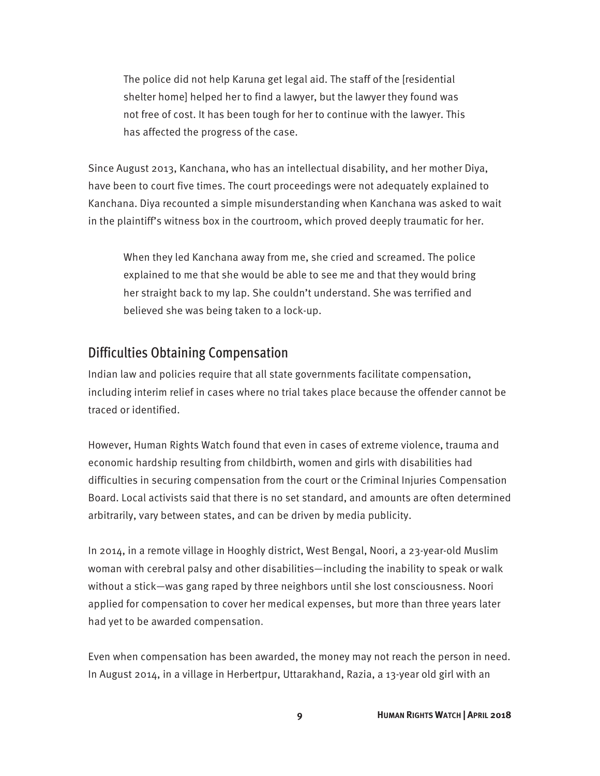The police did not help Karuna get legal aid. The staff of the [residential shelter home] helped her to find a lawyer, but the lawyer they found was not free of cost. It has been tough for her to continue with the lawyer. This has affected the progress of the case.

Since August 2013, Kanchana, who has an intellectual disability, and her mother Diya, have been to court five times. The court proceedings were not adequately explained to Kanchana. Diya recounted a simple misunderstanding when Kanchana was asked to wait in the plaintiff's witness box in the courtroom, which proved deeply traumatic for her.

When they led Kanchana away from me, she cried and screamed. The police explained to me that she would be able to see me and that they would bring her straight back to my lap. She couldn't understand. She was terrified and believed she was being taken to a lock-up.

#### Difficulties Obtaining Compensation

Indian law and policies require that all state governments facilitate compensation, including interim relief in cases where no trial takes place because the offender cannot be traced or identified.

However, Human Rights Watch found that even in cases of extreme violence, trauma and economic hardship resulting from childbirth, women and girls with disabilities had difficulties in securing compensation from the court or the Criminal Injuries Compensation Board. Local activists said that there is no set standard, and amounts are often determined arbitrarily, vary between states, and can be driven by media publicity.

In 2014, in a remote village in Hooghly district, West Bengal, Noori, a 23-year-old Muslim woman with cerebral palsy and other disabilities—including the inability to speak or walk without a stick—was gang raped by three neighbors until she lost consciousness. Noori applied for compensation to cover her medical expenses, but more than three years later had yet to be awarded compensation.

Even when compensation has been awarded, the money may not reach the person in need. In August 2014, in a village in Herbertpur, Uttarakhand, Razia, a 13-year old girl with an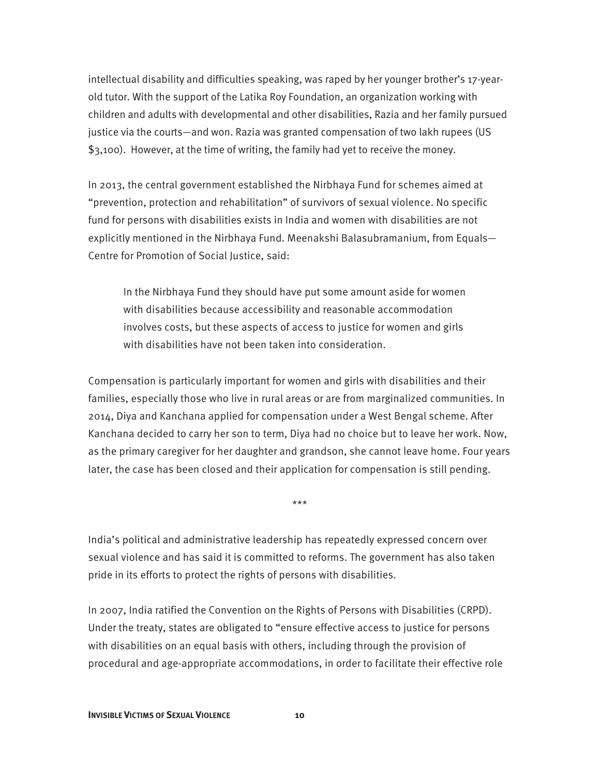intellectual disability and difficulties speaking, was raped by her younger brother's 17-yearold tutor. With the support of the Latika Roy Foundation, an organization working with children and adults with developmental and other disabilities, Razia and her family pursued justice via the courts—and won. Razia was granted compensation of two lakh rupees (US \$3,100). However, at the time of writing, the family had yet to receive the money.

In 2013, the central government established the Nirbhaya Fund for schemes aimed at "prevention, protection and rehabilitation" of survivors of sexual violence. No specific fund for persons with disabilities exists in India and women with disabilities are not explicitly mentioned in the Nirbhaya Fund. Meenakshi Balasubramanium, from Equals— Centre for Promotion of Social Justice, said:

In the Nirbhaya Fund they should have put some amount aside for women with disabilities because accessibility and reasonable accommodation involves costs, but these aspects of access to justice for women and girls with disabilities have not been taken into consideration.

Compensation is particularly important for women and girls with disabilities and their families, especially those who live in rural areas or are from marginalized communities. In 2014, Diya and Kanchana applied for compensation under a West Bengal scheme. After Kanchana decided to carry her son to term, Diya had no choice but to leave her work. Now, as the primary caregiver for her daughter and grandson, she cannot leave home. Four years later, the case has been closed and their application for compensation is still pending.

\*\*\*

India's political and administrative leadership has repeatedly expressed concern over sexual violence and has said it is committed to reforms. The government has also taken pride in its efforts to protect the rights of persons with disabilities.

In 2007, India ratified the Convention on the Rights of Persons with Disabilities (CRPD). Under the treaty, states are obligated to "ensure effective access to justice for persons with disabilities on an equal basis with others, including through the provision of procedural and age-appropriate accommodations, in order to facilitate their effective role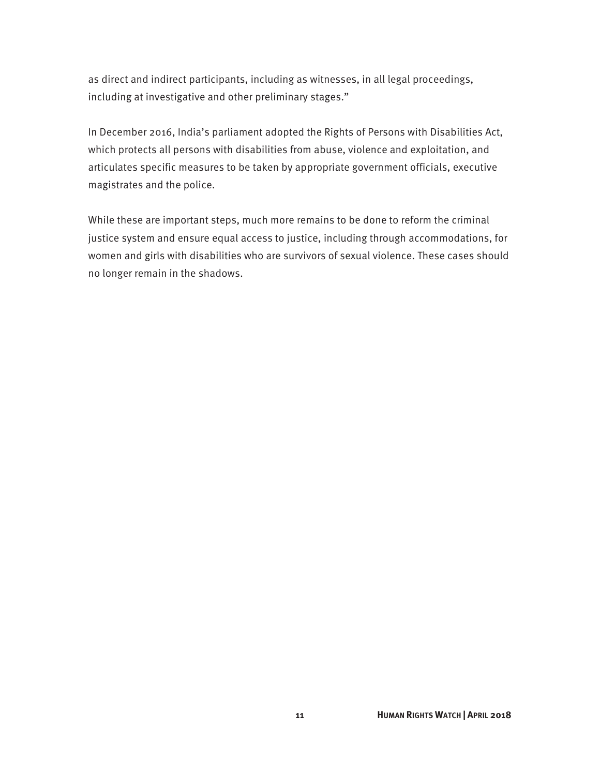as direct and indirect participants, including as witnesses, in all legal proceedings, including at investigative and other preliminary stages."

In December 2016, India's parliament adopted the Rights of Persons with Disabilities Act, which protects all persons with disabilities from abuse, violence and exploitation, and articulates specific measures to be taken by appropriate government officials, executive magistrates and the police.

While these are important steps, much more remains to be done to reform the criminal justice system and ensure equal access to justice, including through accommodations, for women and girls with disabilities who are survivors of sexual violence. These cases should no longer remain in the shadows.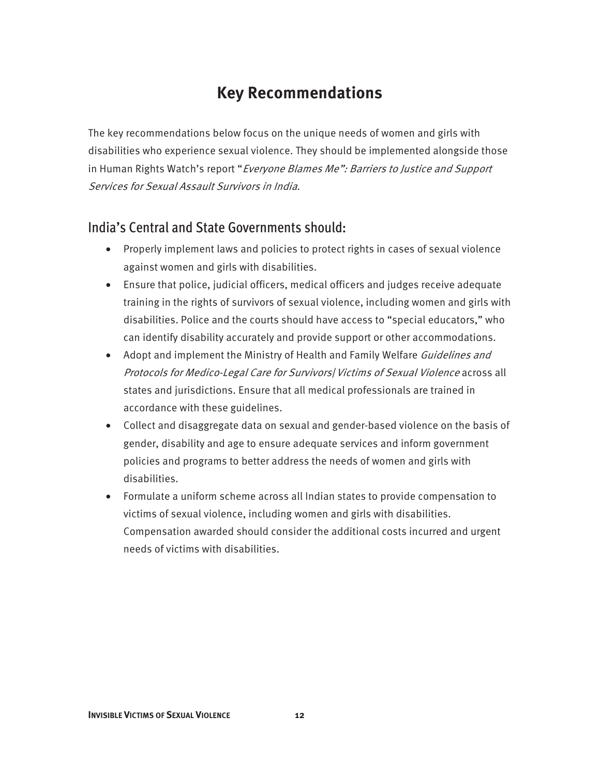### **Key Recommendations**

The key recommendations below focus on the unique needs of women and girls with disabilities who experience sexual violence. They should be implemented alongside those in Human Rights Watch's report "Everyone Blames Me": Barriers to Justice and Support Services for Sexual Assault Survivors in India.

#### India's Central and State Governments should:

- Properly implement laws and policies to protect rights in cases of sexual violence against women and girls with disabilities.
- Ensure that police, judicial officers, medical officers and judges receive adequate training in the rights of survivors of sexual violence, including women and girls with disabilities. Police and the courts should have access to "special educators," who can identify disability accurately and provide support or other accommodations.
- Adopt and implement the Ministry of Health and Family Welfare Guidelines and Protocols for Medico-Legal Care for Survivors| Victims of Sexual Violence across all states and jurisdictions. Ensure that all medical professionals are trained in accordance with these guidelines.
- Collect and disaggregate data on sexual and gender-based violence on the basis of gender, disability and age to ensure adequate services and inform government policies and programs to better address the needs of women and girls with disabilities.
- Formulate a uniform scheme across all Indian states to provide compensation to victims of sexual violence, including women and girls with disabilities. Compensation awarded should consider the additional costs incurred and urgent needs of victims with disabilities.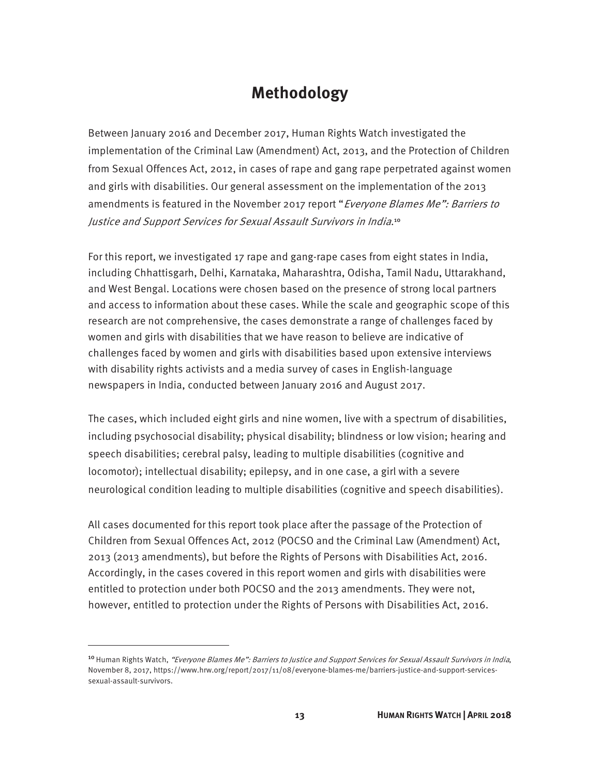### **Methodology**

Between January 2016 and December 2017, Human Rights Watch investigated the implementation of the Criminal Law (Amendment) Act, 2013, and the Protection of Children from Sexual Offences Act, 2012, in cases of rape and gang rape perpetrated against women and girls with disabilities. Our general assessment on the implementation of the 2013 amendments is featured in the November 2017 report "Everyone Blames Me": Barriers to Justice and Support Services for Sexual Assault Survivors in India.<sup>10</sup>

For this report, we investigated 17 rape and gang-rape cases from eight states in India, including Chhattisgarh, Delhi, Karnataka, Maharashtra, Odisha, Tamil Nadu, Uttarakhand, and West Bengal. Locations were chosen based on the presence of strong local partners and access to information about these cases. While the scale and geographic scope of this research are not comprehensive, the cases demonstrate a range of challenges faced by women and girls with disabilities that we have reason to believe are indicative of challenges faced by women and girls with disabilities based upon extensive interviews with disability rights activists and a media survey of cases in English-language newspapers in India, conducted between January 2016 and August 2017.

The cases, which included eight girls and nine women, live with a spectrum of disabilities, including psychosocial disability; physical disability; blindness or low vision; hearing and speech disabilities; cerebral palsy, leading to multiple disabilities (cognitive and locomotor); intellectual disability; epilepsy, and in one case, a girl with a severe neurological condition leading to multiple disabilities (cognitive and speech disabilities).

All cases documented for this report took place after the passage of the Protection of Children from Sexual Offences Act, 2012 (POCSO and the Criminal Law (Amendment) Act, 2013 (2013 amendments), but before the Rights of Persons with Disabilities Act, 2016. Accordingly, in the cases covered in this report women and girls with disabilities were entitled to protection under both POCSO and the 2013 amendments. They were not, however, entitled to protection under the Rights of Persons with Disabilities Act, 2016.

<sup>&</sup>lt;sup>10</sup> Human Rights Watch, "Everyone Blames Me": Barriers to Justice and Support Services for Sexual Assault Survivors in India, November 8, 2017, https://www.hrw.org/report/2017/11/08/everyone-blames-me/barriers-justice-and-support-servicessexual-assault-survivors.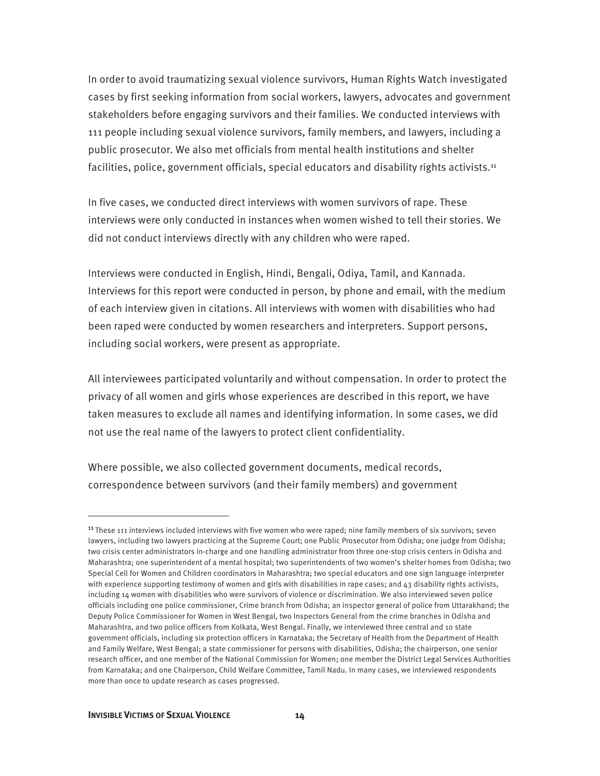In order to avoid traumatizing sexual violence survivors, Human Rights Watch investigated cases by first seeking information from social workers, lawyers, advocates and government stakeholders before engaging survivors and their families. We conducted interviews with 111 people including sexual violence survivors, family members, and lawyers, including a public prosecutor. We also met officials from mental health institutions and shelter facilities, police, government officials, special educators and disability rights activists.<sup>11</sup>

In five cases, we conducted direct interviews with women survivors of rape. These interviews were only conducted in instances when women wished to tell their stories. We did not conduct interviews directly with any children who were raped.

Interviews were conducted in English, Hindi, Bengali, Odiya, Tamil, and Kannada. Interviews for this report were conducted in person, by phone and email, with the medium of each interview given in citations. All interviews with women with disabilities who had been raped were conducted by women researchers and interpreters. Support persons, including social workers, were present as appropriate.

All interviewees participated voluntarily and without compensation. In order to protect the privacy of all women and girls whose experiences are described in this report, we have taken measures to exclude all names and identifying information. In some cases, we did not use the real name of the lawyers to protect client confidentiality.

Where possible, we also collected government documents, medical records, correspondence between survivors (and their family members) and government

<sup>&</sup>lt;sup>11</sup> These 111 interviews included interviews with five women who were raped; nine family members of six survivors; seven lawyers, including two lawyers practicing at the Supreme Court; one Public Prosecutor from Odisha; one judge from Odisha; two crisis center administrators in-charge and one handling administrator from three one-stop crisis centers in Odisha and Maharashtra; one superintendent of a mental hospital; two superintendents of two women's shelter homes from Odisha; two Special Cell for Women and Children coordinators in Maharashtra; two special educators and one sign language interpreter with experience supporting testimony of women and girls with disabilities in rape cases; and 43 disability rights activists, including 14 women with disabilities who were survivors of violence or discrimination. We also interviewed seven police officials including one police commissioner, Crime branch from Odisha; an inspector general of police from Uttarakhand; the Deputy Police Commissioner for Women in West Bengal, two Inspectors General from the crime branches in Odisha and Maharashtra, and two police officers from Kolkata, West Bengal. Finally, we interviewed three central and 10 state government officials, including six protection officers in Karnataka; the Secretary of Health from the Department of Health and Family Welfare, West Bengal; a state commissioner for persons with disabilities, Odisha; the chairperson, one senior research officer, and one member of the National Commission for Women; one member the District Legal Services Authorities from Karnataka; and one Chairperson, Child Welfare Committee, Tamil Nadu. In many cases, we interviewed respondents more than once to update research as cases progressed.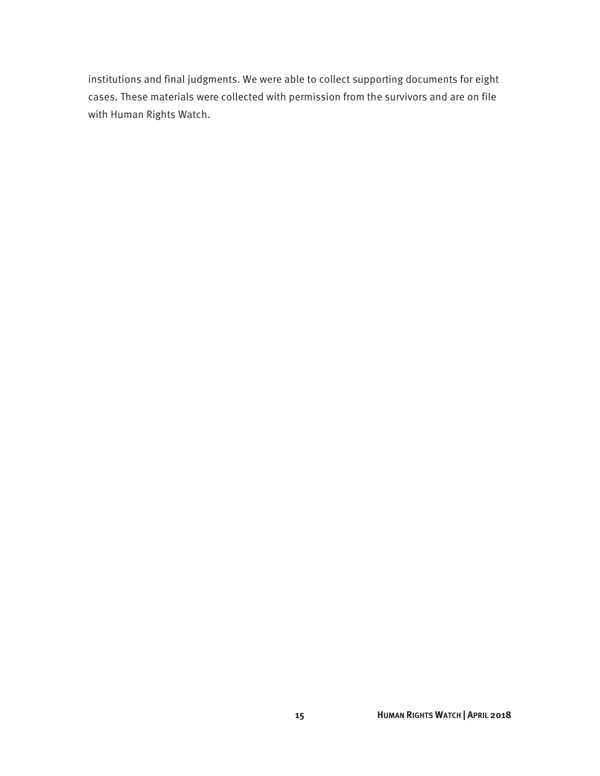institutions and final judgments. We were able to collect supporting documents for eight cases. These materials were collected with permission from the survivors and are on file with Human Rights Watch.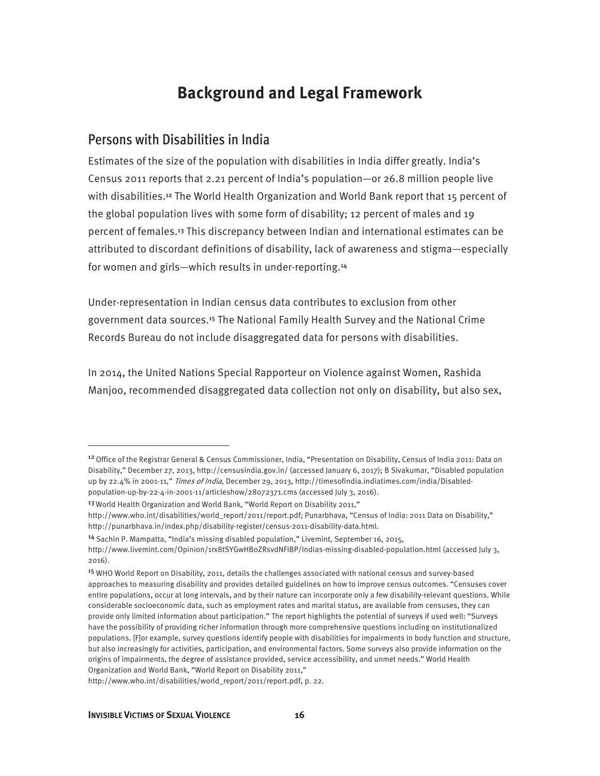### **Background and Legal Framework**

#### Persons with Disabilities in India

Estimates of the size of the population with disabilities in India differ greatly. India's Census 2011 reports that 2.21 percent of India's population—or 26.8 million people live with disabilities.12 The World Health Organization and World Bank report that 15 percent of the global population lives with some form of disability; 12 percent of males and 19 percent of females.13 This discrepancy between Indian and international estimates can be attributed to discordant definitions of disability, lack of awareness and stigma—especially for women and girls—which results in under-reporting.<sup>14</sup>

Under-representation in Indian census data contributes to exclusion from other government data sources.15 The National Family Health Survey and the National Crime Records Bureau do not include disaggregated data for persons with disabilities.

In 2014, the United Nations Special Rapporteur on Violence against Women, Rashida Manjoo, recommended disaggregated data collection not only on disability, but also sex,

<sup>&</sup>lt;sup>12</sup> Office of the Registrar General & Census Commissioner, India, "Presentation on Disability, Census of India 2011: Data on Disability," December 27, 2013, http://censusindia.gov.in/ (accessed January 6, 2017); B Sivakumar, "Disabled population up by 22.4% in 2001-11," Times of India, December 29, 2013, http://timesofindia.indiatimes.com/india/Disabledpopulation-up-by-22-4-in-2001-11/articleshow/28072371.cms (accessed July 3, 2016).

<sup>&</sup>lt;sup>13</sup> World Health Organization and World Bank, "World Report on Disability 2011,"

http://www.who.int/disabilities/world\_report/2011/report.pdf; Punarbhava, "Census of India: 2011 Data on Disability," http://punarbhava.in/index.php/disability-register/census-2011-disability-data.html.

<sup>14</sup> Sachin P. Mampatta, "India's missing disabled population," Livemint, September 16, 2015,

http://www.livemint.com/Opinion/1rx8tSYGwHB0ZRsvdNFiBP/Indias-missing-disabled-population.html (accessed July 3, 2016).

<sup>15</sup> WHO World Report on Disability, 2011, details the challenges associated with national census and survey-based approaches to measuring disability and provides detailed guidelines on how to improve census outcomes. "Censuses cover entire populations, occur at long intervals, and by their nature can incorporate only a few disability-relevant questions. While considerable socioeconomic data, such as employment rates and marital status, are available from censuses, they can provide only limited information about participation." The report highlights the potential of surveys if used well: "Surveys have the possibility of providing richer information through more comprehensive questions including on institutionalized populations. [F]or example, survey questions identify people with disabilities for impairments in body function and structure, but also increasingly for activities, participation, and environmental factors. Some surveys also provide information on the origins of impairments, the degree of assistance provided, service accessibility, and unmet needs." World Health Organization and World Bank, "World Report on Disability 2011,"

http://www.who.int/disabilities/world\_report/2011/report.pdf, p. 22.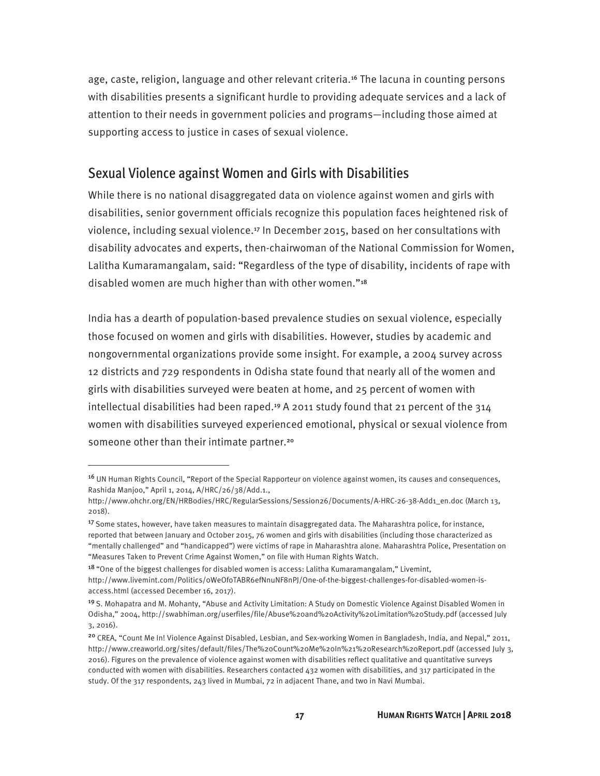age, caste, religion, language and other relevant criteria.16 The lacuna in counting persons with disabilities presents a significant hurdle to providing adequate services and a lack of attention to their needs in government policies and programs—including those aimed at supporting access to justice in cases of sexual violence.

#### Sexual Violence against Women and Girls with Disabilities

While there is no national disaggregated data on violence against women and girls with disabilities, senior government officials recognize this population faces heightened risk of violence, including sexual violence.17 In December 2015, based on her consultations with disability advocates and experts, then-chairwoman of the National Commission for Women, Lalitha Kumaramangalam, said: "Regardless of the type of disability, incidents of rape with disabled women are much higher than with other women."<sup>18</sup>

India has a dearth of population-based prevalence studies on sexual violence, especially those focused on women and girls with disabilities. However, studies by academic and nongovernmental organizations provide some insight. For example, a 2004 survey across 12 districts and 729 respondents in Odisha state found that nearly all of the women and girls with disabilities surveyed were beaten at home, and 25 percent of women with intellectual disabilities had been raped.<sup>19</sup> A 2011 study found that 21 percent of the  $314$ women with disabilities surveyed experienced emotional, physical or sexual violence from someone other than their intimate partner.<sup>20</sup>

<sup>&</sup>lt;sup>16</sup> UN Human Rights Council, "Report of the Special Rapporteur on violence against women, its causes and consequences, Rashida Manjoo," April 1, 2014, A/HRC/26/38/Add.1.,

http://www.ohchr.org/EN/HRBodies/HRC/RegularSessions/Session26/Documents/A-HRC-26-38-Add1\_en.doc (March 13, 2018).

<sup>17</sup> Some states, however, have taken measures to maintain disaggregated data. The Maharashtra police, for instance, reported that between January and October 2015, 76 women and girls with disabilities (including those characterized as "mentally challenged" and "handicapped") were victims of rape in Maharashtra alone. Maharashtra Police, Presentation on "Measures Taken to Prevent Crime Against Women," on file with Human Rights Watch.

<sup>&</sup>lt;sup>18</sup> "One of the biggest challenges for disabled women is access: Lalitha Kumaramangalam," Livemint,

http://www.livemint.com/Politics/0WeOfoTABR6efNnuNF8nPJ/One-of-the-biggest-challenges-for-disabled-women-isaccess.html (accessed December 16, 2017).

<sup>&</sup>lt;sup>19</sup> S. Mohapatra and M. Mohanty, "Abuse and Activity Limitation: A Study on Domestic Violence Against Disabled Women in Odisha," 2004, http://swabhiman.org/userfiles/file/Abuse%20and%20Activity%20Limitation%20Study.pdf (accessed July 3, 2016).

<sup>&</sup>lt;sup>20</sup> CREA, "Count Me In! Violence Against Disabled, Lesbian, and Sex-working Women in Bangladesh, India, and Nepal," 2011, http://www.creaworld.org/sites/default/files/The%20Count%20Me%20In%21%20Research%20Report.pdf (accessed July 3, 2016). Figures on the prevalence of violence against women with disabilities reflect qualitative and quantitative surveys conducted with women with disabilities. Researchers contacted 432 women with disabilities, and 317 participated in the study. Of the 317 respondents, 243 lived in Mumbai, 72 in adjacent Thane, and two in Navi Mumbai.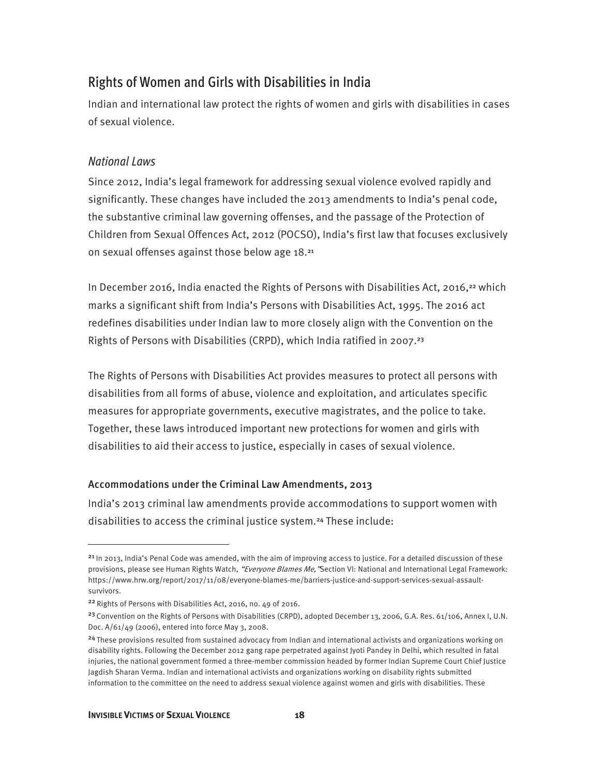### Rights of Women and Girls with Disabilities in India

Indian and international law protect the rights of women and girls with disabilities in cases of sexual violence.

#### *National Laws*

Since 2012, India's legal framework for addressing sexual violence evolved rapidly and significantly. These changes have included the 2013 amendments to India's penal code, the substantive criminal law governing offenses, and the passage of the Protection of Children from Sexual Offences Act, 2012 (POCSO), India's first law that focuses exclusively on sexual offenses against those below age 18.<sup>21</sup>

In December 2016, India enacted the Rights of Persons with Disabilities Act, 2016,<sup>22</sup> which marks a significant shift from India's Persons with Disabilities Act, 1995. The 2016 act redefines disabilities under Indian law to more closely align with the Convention on the Rights of Persons with Disabilities (CRPD), which India ratified in 2007.<sup>23</sup>

The Rights of Persons with Disabilities Act provides measures to protect all persons with disabilities from all forms of abuse, violence and exploitation, and articulates specific measures for appropriate governments, executive magistrates, and the police to take. Together, these laws introduced important new protections for women and girls with disabilities to aid their access to justice, especially in cases of sexual violence.

#### Accommodations under the Criminal Law Amendments, 2013

India's 2013 criminal law amendments provide accommodations to support women with disabilities to access the criminal justice system.<sup>24</sup> These include:

 $21$  In 2013, India's Penal Code was amended, with the aim of improving access to justice. For a detailed discussion of these provisions, please see Human Rights Watch, "Everyone Blames Me, "Section VI: National and International Legal Framework: https://www.hrw.org/report/2017/11/08/everyone-blames-me/barriers-justice-and-support-services-sexual-assaultsurvivors.

<sup>22</sup>Rights of Persons with Disabilities Act, 2016, no. 49 of 2016.

<sup>&</sup>lt;sup>23</sup> Convention on the Rights of Persons with Disabilities (CRPD), adopted December 13, 2006, G.A. Res. 61/106, Annex I, U.N. Doc. A/61/49 (2006), entered into force May 3, 2008.

<sup>&</sup>lt;sup>24</sup> These provisions resulted from sustained advocacy from Indian and international activists and organizations working on disability rights. Following the December 2012 gang rape perpetrated against Jyoti Pandey in Delhi, which resulted in fatal injuries, the national government formed a three-member commission headed by former Indian Supreme Court Chief Justice Jagdish Sharan Verma. Indian and international activists and organizations working on disability rights submitted information to the committee on the need to address sexual violence against women and girls with disabilities. These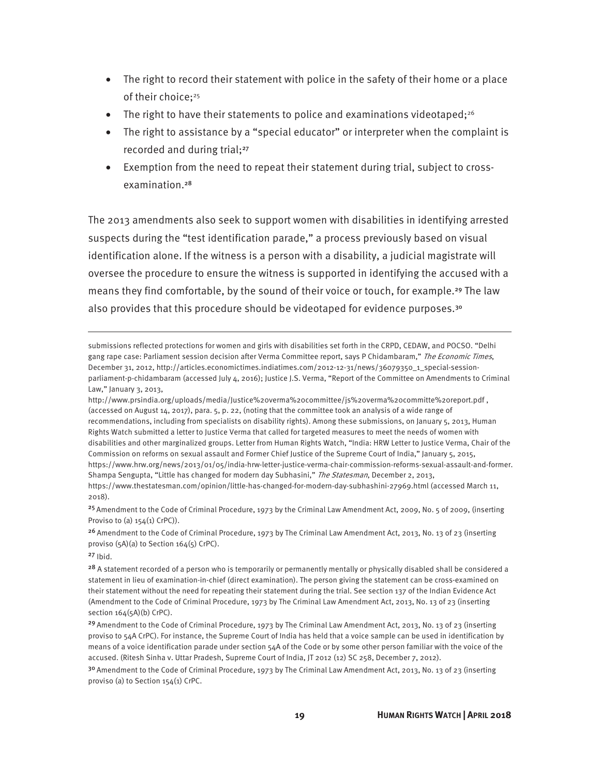- The right to record their statement with police in the safety of their home or a place of their choice;<sup>25</sup>
- The right to have their statements to police and examinations videotaped;<sup>26</sup>
- The right to assistance by a "special educator" or interpreter when the complaint is recorded and during trial;<sup>27</sup>
- Exemption from the need to repeat their statement during trial, subject to crossexamination.<sup>28</sup>

The 2013 amendments also seek to support women with disabilities in identifying arrested suspects during the "test identification parade," a process previously based on visual identification alone. If the witness is a person with a disability, a judicial magistrate will oversee the procedure to ensure the witness is supported in identifying the accused with a means they find comfortable, by the sound of their voice or touch, for example.<sup>29</sup> The law also provides that this procedure should be videotaped for evidence purposes.<sup>30</sup>

submissions reflected protections for women and girls with disabilities set forth in the CRPD, CEDAW, and POCSO. "Delhi gang rape case: Parliament session decision after Verma Committee report, says P Chidambaram," The Economic Times, December 31, 2012, http://articles.economictimes.indiatimes.com/2012-12-31/news/36079350\_1\_special-sessionparliament-p-chidambaram (accessed July 4, 2016); Justice J.S. Verma, "Report of the Committee on Amendments to Criminal Law," January 3, 2013,

<sup>25</sup> Amendment to the Code of Criminal Procedure, 1973 by the Criminal Law Amendment Act, 2009, No. 5 of 2009, (inserting Proviso to (a)  $154(1)$  CrPC)).

<sup>26</sup> Amendment to the Code of Criminal Procedure, 1973 by The Criminal Law Amendment Act, 2013, No. 13 of 23 (inserting proviso (5A)(a) to Section 164(5) CrPC).

 $27$  Ibid.

 $\overline{a}$ 

 $30$  Amendment to the Code of Criminal Procedure, 1973 by The Criminal Law Amendment Act, 2013, No. 13 of 23 (inserting proviso (a) to Section 154(1) CrPC.

http://www.prsindia.org/uploads/media/Justice%20verma%20committee/js%20verma%20committe%20report.pdf , (accessed on August 14, 2017), para. 5, p. 22, (noting that the committee took an analysis of a wide range of recommendations, including from specialists on disability rights). Among these submissions, on January 5, 2013, Human Rights Watch submitted a letter to Justice Verma that called for targeted measures to meet the needs of women with disabilities and other marginalized groups. Letter from Human Rights Watch, "India: HRW Letter to Justice Verma, Chair of the Commission on reforms on sexual assault and Former Chief Justice of the Supreme Court of India," January 5, 2015, https://www.hrw.org/news/2013/01/05/india-hrw-letter-justice-verma-chair-commission-reforms-sexual-assault-and-former. Shampa Sengupta, "Little has changed for modern day Subhasini," The Statesman, December 2, 2013, https://www.thestatesman.com/opinion/little-has-changed-for-modern-day-subhashini-27969.html (accessed March 11, 2018).

<sup>&</sup>lt;sup>28</sup> A statement recorded of a person who is temporarily or permanently mentally or physically disabled shall be considered a statement in lieu of examination-in-chief (direct examination). The person giving the statement can be cross-examined on their statement without the need for repeating their statement during the trial. See section 137 of the Indian Evidence Act (Amendment to the Code of Criminal Procedure, 1973 by The Criminal Law Amendment Act, 2013, No. 13 of 23 (inserting section 164(5A)(b) CrPC).

<sup>&</sup>lt;sup>29</sup> Amendment to the Code of Criminal Procedure, 1973 by The Criminal Law Amendment Act, 2013, No. 13 of 23 (inserting proviso to 54A CrPC). For instance, the Supreme Court of India has held that a voice sample can be used in identification by means of a voice identification parade under section 54A of the Code or by some other person familiar with the voice of the accused. (Ritesh Sinha v. Uttar Pradesh, Supreme Court of India, JT 2012 (12) SC 258, December 7, 2012).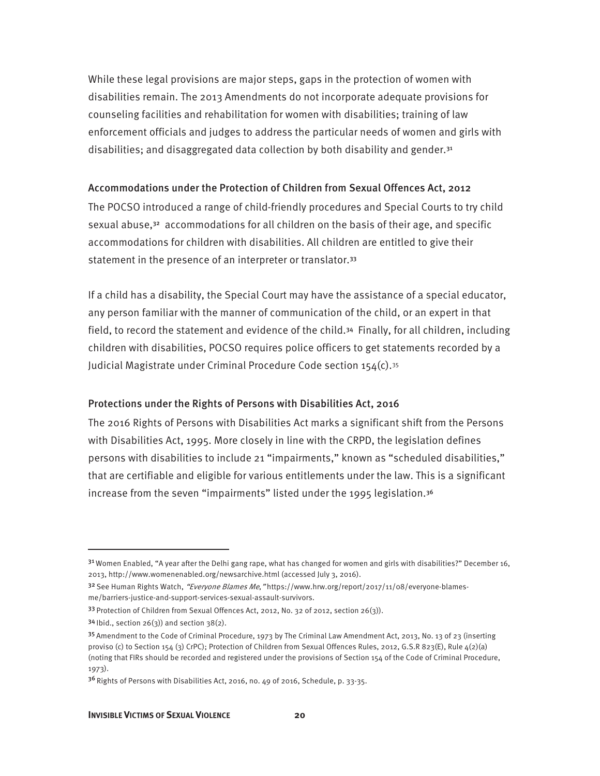While these legal provisions are major steps, gaps in the protection of women with disabilities remain. The 2013 Amendments do not incorporate adequate provisions for counseling facilities and rehabilitation for women with disabilities; training of law enforcement officials and judges to address the particular needs of women and girls with disabilities; and disaggregated data collection by both disability and gender.<sup>31</sup>

#### Accommodations under the Protection of Children from Sexual Offences Act, 2012

The POCSO introduced a range of child-friendly procedures and Special Courts to try child sexual abuse, $32$  accommodations for all children on the basis of their age, and specific accommodations for children with disabilities. All children are entitled to give their statement in the presence of an interpreter or translator.<sup>33</sup>

If a child has a disability, the Special Court may have the assistance of a special educator, any person familiar with the manner of communication of the child, or an expert in that field, to record the statement and evidence of the child.34 Finally, for all children, including children with disabilities, POCSO requires police officers to get statements recorded by a Judicial Magistrate under Criminal Procedure Code section 154(c).<sup>35</sup>

#### Protections under the Rights of Persons with Disabilities Act, 2016

The 2016 Rights of Persons with Disabilities Act marks a significant shift from the Persons with Disabilities Act, 1995. More closely in line with the CRPD, the legislation defines persons with disabilities to include 21 "impairments," known as "scheduled disabilities," that are certifiable and eligible for various entitlements under the law. This is a significant increase from the seven "impairments" listed under the 1995 legislation.<sup>36</sup>

 $31$  Women Enabled, "A year after the Delhi gang rape, what has changed for women and girls with disabilities?" December 16, 2013, http://www.womenenabled.org/newsarchive.html (accessed July 3, 2016).

<sup>32</sup> See Human Rights Watch, "Everyone Blames Me, "https://www.hrw.org/report/2017/11/08/everyone-blamesme/barriers-justice-and-support-services-sexual-assault-survivors.

<sup>33</sup> Protection of Children from Sexual Offences Act, 2012, No. 32 of 2012, section 26(3)).

 $34$  lbid., section  $26(3)$ ) and section  $38(2)$ .

<sup>35</sup> Amendment to the Code of Criminal Procedure, 1973 by The Criminal Law Amendment Act, 2013, No. 13 of 23 (inserting proviso (c) to Section 154 (3) CrPC); Protection of Children from Sexual Offences Rules, 2012, G.S.R 823(E), Rule 4(2)(a) (noting that FIRs should be recorded and registered under the provisions of Section 154 of the Code of Criminal Procedure, 1973).

 $36$  Rights of Persons with Disabilities Act, 2016, no. 49 of 2016, Schedule, p. 33-35.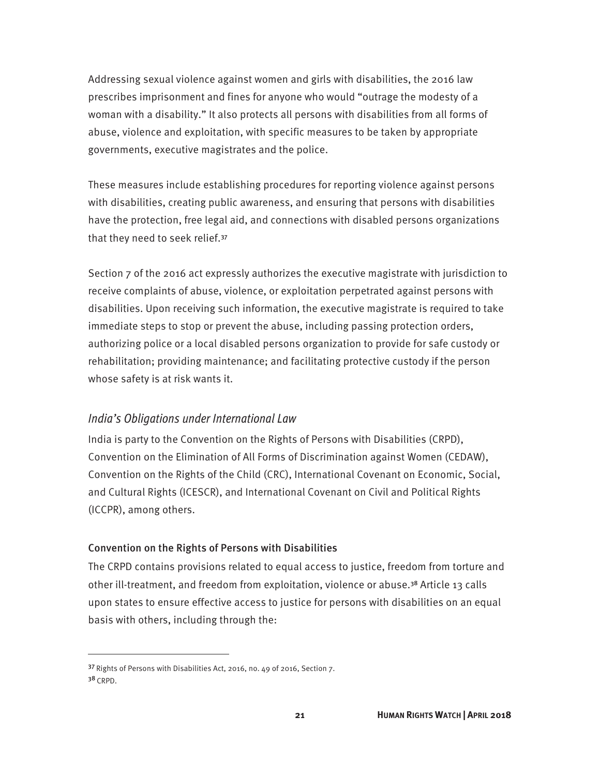Addressing sexual violence against women and girls with disabilities, the 2016 law prescribes imprisonment and fines for anyone who would "outrage the modesty of a woman with a disability." It also protects all persons with disabilities from all forms of abuse, violence and exploitation, with specific measures to be taken by appropriate governments, executive magistrates and the police.

These measures include establishing procedures for reporting violence against persons with disabilities, creating public awareness, and ensuring that persons with disabilities have the protection, free legal aid, and connections with disabled persons organizations that they need to seek relief.<sup>37</sup>

Section 7 of the 2016 act expressly authorizes the executive magistrate with jurisdiction to receive complaints of abuse, violence, or exploitation perpetrated against persons with disabilities. Upon receiving such information, the executive magistrate is required to take immediate steps to stop or prevent the abuse, including passing protection orders, authorizing police or a local disabled persons organization to provide for safe custody or rehabilitation; providing maintenance; and facilitating protective custody if the person whose safety is at risk wants it.

#### *India's Obligations under International Law*

India is party to the Convention on the Rights of Persons with Disabilities (CRPD), Convention on the Elimination of All Forms of Discrimination against Women (CEDAW), Convention on the Rights of the Child (CRC), International Covenant on Economic, Social, and Cultural Rights (ICESCR), and International Covenant on Civil and Political Rights (ICCPR), among others.

#### Convention on the Rights of Persons with Disabilities

The CRPD contains provisions related to equal access to justice, freedom from torture and other ill-treatment, and freedom from exploitation, violence or abuse.38 Article 13 calls upon states to ensure effective access to justice for persons with disabilities on an equal basis with others, including through the:

<sup>37</sup>Rights of Persons with Disabilities Act, 2016, no. 49 of 2016, Section 7. 38 CRPD.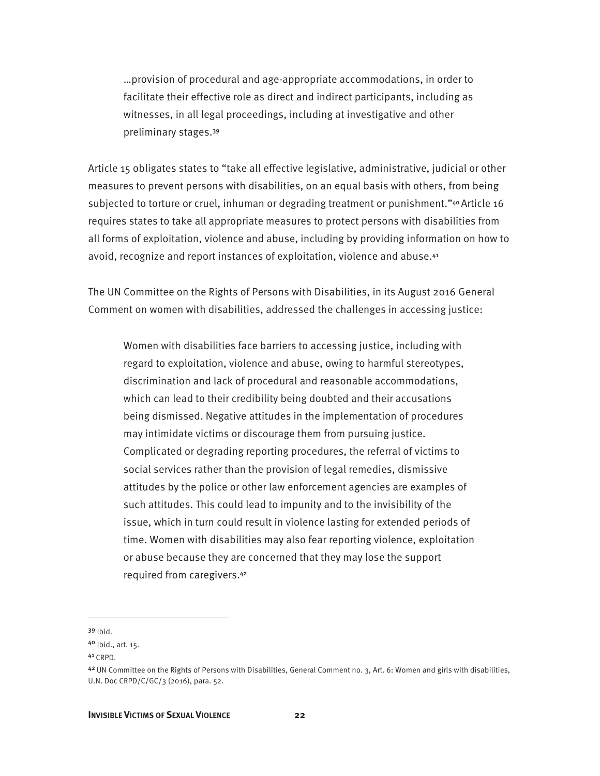…provision of procedural and age-appropriate accommodations, in order to facilitate their effective role as direct and indirect participants, including as witnesses, in all legal proceedings, including at investigative and other preliminary stages.<sup>39</sup>

Article 15 obligates states to "take all effective legislative, administrative, judicial or other measures to prevent persons with disabilities, on an equal basis with others, from being subjected to torture or cruel, inhuman or degrading treatment or punishment."<sup>40</sup> Article 16 requires states to take all appropriate measures to protect persons with disabilities from all forms of exploitation, violence and abuse, including by providing information on how to avoid, recognize and report instances of exploitation, violence and abuse.<sup>41</sup>

The UN Committee on the Rights of Persons with Disabilities, in its August 2016 General Comment on women with disabilities, addressed the challenges in accessing justice:

Women with disabilities face barriers to accessing justice, including with regard to exploitation, violence and abuse, owing to harmful stereotypes, discrimination and lack of procedural and reasonable accommodations, which can lead to their credibility being doubted and their accusations being dismissed. Negative attitudes in the implementation of procedures may intimidate victims or discourage them from pursuing justice. Complicated or degrading reporting procedures, the referral of victims to social services rather than the provision of legal remedies, dismissive attitudes by the police or other law enforcement agencies are examples of such attitudes. This could lead to impunity and to the invisibility of the issue, which in turn could result in violence lasting for extended periods of time. Women with disabilities may also fear reporting violence, exploitation or abuse because they are concerned that they may lose the support required from caregivers.<sup>42</sup>

<sup>39</sup> Ibid.

<sup>40</sup> Ibid., art. 15.

<sup>41</sup>CRPD.

<sup>42</sup> UN Committee on the Rights of Persons with Disabilities, General Comment no. 3, Art. 6: Women and girls with disabilities, U.N. Doc CRPD/C/GC/3 (2016), para. 52.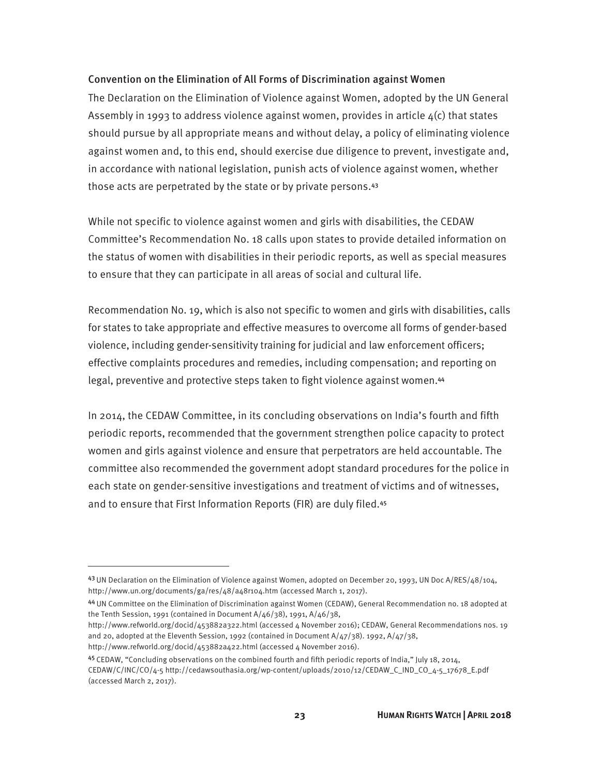#### Convention on the Elimination of All Forms of Discrimination against Women

The Declaration on the Elimination of Violence against Women, adopted by the UN General Assembly in 1993 to address violence against women, provides in article  $\mu(c)$  that states should pursue by all appropriate means and without delay, a policy of eliminating violence against women and, to this end, should exercise due diligence to prevent, investigate and, in accordance with national legislation, punish acts of violence against women, whether those acts are perpetrated by the state or by private persons.<sup>43</sup>

While not specific to violence against women and girls with disabilities, the CEDAW Committee's Recommendation No. 18 calls upon states to provide detailed information on the status of women with disabilities in their periodic reports, as well as special measures to ensure that they can participate in all areas of social and cultural life.

Recommendation No. 19, which is also not specific to women and girls with disabilities, calls for states to take appropriate and effective measures to overcome all forms of gender-based violence, including gender-sensitivity training for judicial and law enforcement officers; effective complaints procedures and remedies, including compensation; and reporting on legal, preventive and protective steps taken to fight violence against women.<sup>44</sup>

In 2014, the CEDAW Committee, in its concluding observations on India's fourth and fifth periodic reports, recommended that the government strengthen police capacity to protect women and girls against violence and ensure that perpetrators are held accountable. The committee also recommended the government adopt standard procedures for the police in each state on gender-sensitive investigations and treatment of victims and of witnesses, and to ensure that First Information Reports (FIR) are duly filed.<sup>45</sup>

44 UN Committee on the Elimination of Discrimination against Women (CEDAW), General Recommendation no. 18 adopted at the Tenth Session, 1991 (contained in Document A/46/38), 1991, A/46/38,

http://www.refworld.org/docid/453882a422.html (accessed 4 November 2016).

<sup>43</sup> UN Declaration on the Elimination of Violence against Women, adopted on December 20, 1993, UN Doc A/RES/48/104, http://www.un.org/documents/ga/res/48/a48r104.htm (accessed March 1, 2017).

http://www.refworld.org/docid/453882a322.html (accessed 4 November 2016); CEDAW, General Recommendations nos. 19 and 20, adopted at the Eleventh Session, 1992 (contained in Document A/47/38). 1992, A/47/38,

<sup>45</sup>CEDAW, "Concluding observations on the combined fourth and fifth periodic reports of India," July 18, 2014,

CEDAW/C/INC/CO/4-5 http://cedawsouthasia.org/wp-content/uploads/2010/12/CEDAW\_C\_IND\_CO\_4-5\_17678\_E.pdf (accessed March 2, 2017).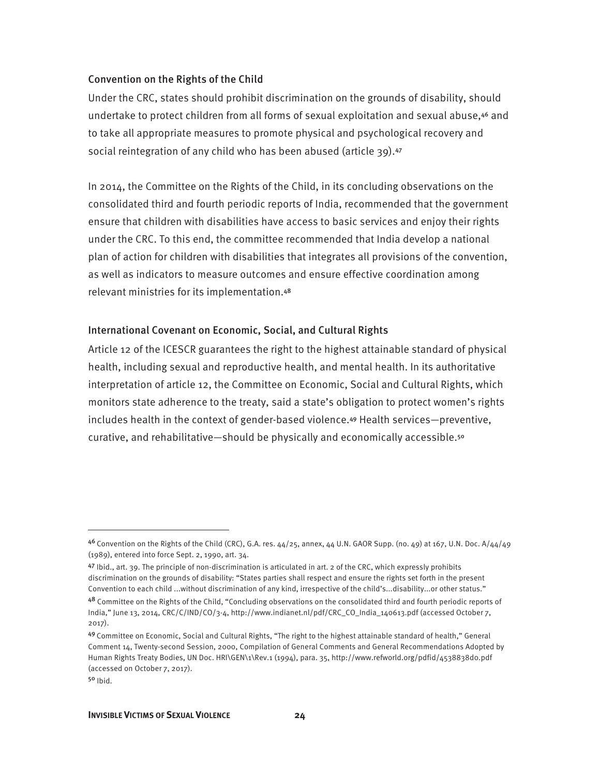#### Convention on the Rights of the Child

Under the CRC, states should prohibit discrimination on the grounds of disability, should undertake to protect children from all forms of sexual exploitation and sexual abuse,46 and to take all appropriate measures to promote physical and psychological recovery and social reintegration of any child who has been abused (article 39).<sup>47</sup>

In 2014, the Committee on the Rights of the Child, in its concluding observations on the consolidated third and fourth periodic reports of India, recommended that the government ensure that children with disabilities have access to basic services and enjoy their rights under the CRC. To this end, the committee recommended that India develop a national plan of action for children with disabilities that integrates all provisions of the convention, as well as indicators to measure outcomes and ensure effective coordination among relevant ministries for its implementation.<sup>48</sup>

#### International Covenant on Economic, Social, and Cultural Rights

Article 12 of the ICESCR guarantees the right to the highest attainable standard of physical health, including sexual and reproductive health, and mental health. In its authoritative interpretation of article 12, the Committee on Economic, Social and Cultural Rights, which monitors state adherence to the treaty, said a state's obligation to protect women's rights includes health in the context of gender-based violence.49 Health services—preventive, curative, and rehabilitative—should be physically and economically accessible.<sup>50</sup>

 $46$  Convention on the Rights of the Child (CRC), G.A. res.  $44/25$ , annex,  $44$  U.N. GAOR Supp. (no. 49) at 167, U.N. Doc. A/ $44/49$ (1989), entered into force Sept. 2, 1990, art. 34.

<sup>47</sup> Ibid., art. 39. The principle of non-discrimination is articulated in art. 2 of the CRC, which expressly prohibits discrimination on the grounds of disability: "States parties shall respect and ensure the rights set forth in the present Convention to each child ...without discrimination of any kind, irrespective of the child's...disability...or other status."

<sup>48</sup> Committee on the Rights of the Child, "Concluding observations on the consolidated third and fourth periodic reports of India," June 13, 2014, CRC/C/IND/CO/3-4, http://www.indianet.nl/pdf/CRC\_CO\_India\_140613.pdf (accessed October 7, 2017).

<sup>49</sup>Committee on Economic, Social and Cultural Rights, "The right to the highest attainable standard of health," General Comment 14, Twenty-second Session, 2000, Compilation of General Comments and General Recommendations Adopted by Human Rights Treaty Bodies, UN Doc. HRI\GEN\1\Rev.1 (1994), para. 35, http://www.refworld.org/pdfid/4538838d0.pdf (accessed on October 7, 2017).

 $50$  Ibid.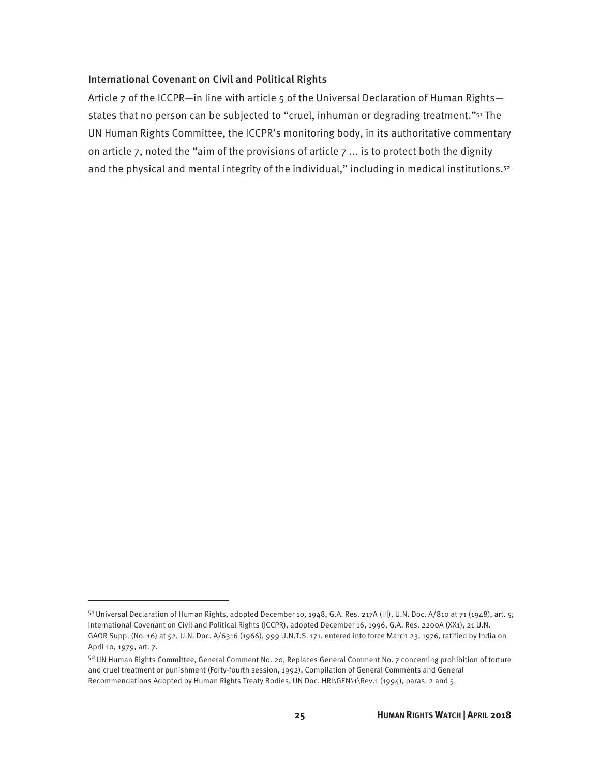#### International Covenant on Civil and Political Rights

Article 7 of the ICCPR—in line with article 5 of the Universal Declaration of Human Rights states that no person can be subjected to "cruel, inhuman or degrading treatment."<sup>51</sup> The UN Human Rights Committee, the ICCPR's monitoring body, in its authoritative commentary on article 7, noted the "aim of the provisions of article  $7 \dots$  is to protect both the dignity and the physical and mental integrity of the individual," including in medical institutions.<sup>52</sup>

<sup>51</sup> Universal Declaration of Human Rights, adopted December 10, 1948, G.A. Res. 217A (III), U.N. Doc. A/810 at 71 (1948), art. 5; International Covenant on Civil and Political Rights (ICCPR), adopted December 16, 1996, G.A. Res. 2200A (XX1), 21 U.N. GAOR Supp. (No. 16) at 52, U.N. Doc. A/6316 (1966), 999 U.N.T.S. 171, entered into force March 23, 1976, ratified by India on April 10, 1979, art. 7.

<sup>52</sup>UN Human Rights Committee, General Comment No. 20, Replaces General Comment No. 7 concerning prohibition of torture and cruel treatment or punishment (Forty-fourth session, 1992), Compilation of General Comments and General Recommendations Adopted by Human Rights Treaty Bodies, UN Doc. HRI\GEN\1\Rev.1 (1994), paras. 2 and 5.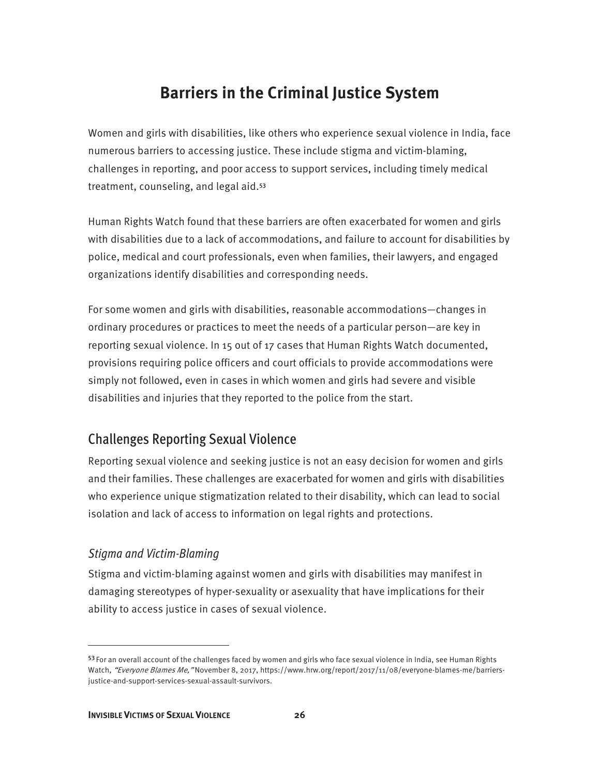### **Barriers in the Criminal Justice System**

Women and girls with disabilities, like others who experience sexual violence in India, face numerous barriers to accessing justice. These include stigma and victim-blaming, challenges in reporting, and poor access to support services, including timely medical treatment, counseling, and legal aid.<sup>53</sup>

Human Rights Watch found that these barriers are often exacerbated for women and girls with disabilities due to a lack of accommodations, and failure to account for disabilities by police, medical and court professionals, even when families, their lawyers, and engaged organizations identify disabilities and corresponding needs.

For some women and girls with disabilities, reasonable accommodations—changes in ordinary procedures or practices to meet the needs of a particular person—are key in reporting sexual violence. In 15 out of 17 cases that Human Rights Watch documented, provisions requiring police officers and court officials to provide accommodations were simply not followed, even in cases in which women and girls had severe and visible disabilities and injuries that they reported to the police from the start.

### Challenges Reporting Sexual Violence

Reporting sexual violence and seeking justice is not an easy decision for women and girls and their families. These challenges are exacerbated for women and girls with disabilities who experience unique stigmatization related to their disability, which can lead to social isolation and lack of access to information on legal rights and protections.

#### *Stigma and Victim-Blaming*

 $\overline{a}$ 

Stigma and victim-blaming against women and girls with disabilities may manifest in damaging stereotypes of hyper-sexuality or asexuality that have implications for their ability to access justice in cases of sexual violence.

<sup>53</sup> For an overall account of the challenges faced by women and girls who face sexual violence in India, see Human Rights Watch, "Everyone Blames Me," November 8, 2017, https://www.hrw.org/report/2017/11/08/everyone-blames-me/barriersjustice-and-support-services-sexual-assault-survivors.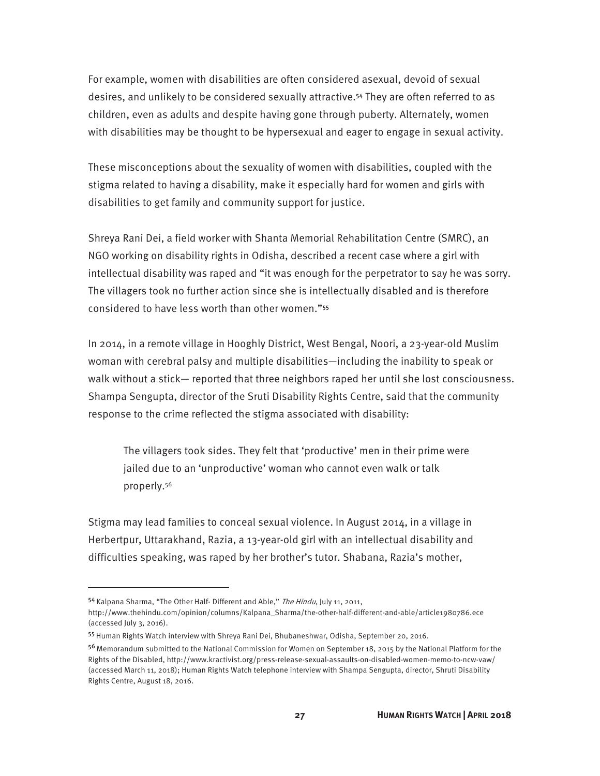For example, women with disabilities are often considered asexual, devoid of sexual desires, and unlikely to be considered sexually attractive.54 They are often referred to as children, even as adults and despite having gone through puberty. Alternately, women with disabilities may be thought to be hypersexual and eager to engage in sexual activity.

These misconceptions about the sexuality of women with disabilities, coupled with the stigma related to having a disability, make it especially hard for women and girls with disabilities to get family and community support for justice.

Shreya Rani Dei, a field worker with Shanta Memorial Rehabilitation Centre (SMRC), an NGO working on disability rights in Odisha, described a recent case where a girl with intellectual disability was raped and "it was enough for the perpetrator to say he was sorry. The villagers took no further action since she is intellectually disabled and is therefore considered to have less worth than other women."<sup>55</sup>

In 2014, in a remote village in Hooghly District, West Bengal, Noori, a 23-year-old Muslim woman with cerebral palsy and multiple disabilities—including the inability to speak or walk without a stick— reported that three neighbors raped her until she lost consciousness. Shampa Sengupta, director of the Sruti Disability Rights Centre, said that the community response to the crime reflected the stigma associated with disability:

The villagers took sides. They felt that 'productive' men in their prime were jailed due to an 'unproductive' woman who cannot even walk or talk properly.56

Stigma may lead families to conceal sexual violence. In August 2014, in a village in Herbertpur, Uttarakhand, Razia, a 13-year-old girl with an intellectual disability and difficulties speaking, was raped by her brother's tutor. Shabana, Razia's mother,

<sup>54</sup> Kalpana Sharma, "The Other Half- Different and Able," The Hindu, July 11, 2011,

http://www.thehindu.com/opinion/columns/Kalpana\_Sharma/the-other-half-different-and-able/article1980786.ece (accessed July 3, 2016).

<sup>55</sup> Human Rights Watch interview with Shreya Rani Dei, Bhubaneshwar, Odisha, September 20, 2016.

<sup>56</sup>Memorandum submitted to the National Commission for Women on September 18, 2015 by the National Platform for the Rights of the Disabled, http://www.kractivist.org/press-release-sexual-assaults-on-disabled-women-memo-to-ncw-vaw/ (accessed March 11, 2018); Human Rights Watch telephone interview with Shampa Sengupta, director, Shruti Disability Rights Centre, August 18, 2016.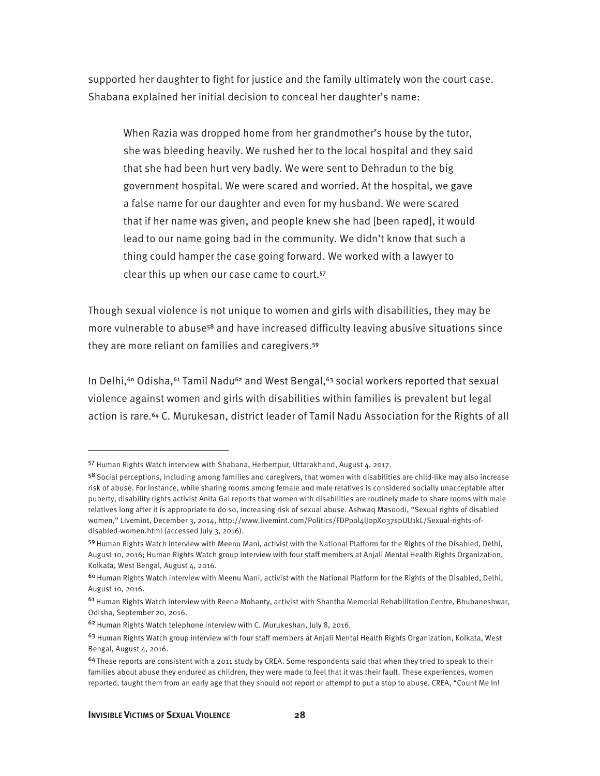supported her daughter to fight for justice and the family ultimately won the court case. Shabana explained her initial decision to conceal her daughter's name:

When Razia was dropped home from her grandmother's house by the tutor, she was bleeding heavily. We rushed her to the local hospital and they said that she had been hurt very badly. We were sent to Dehradun to the big government hospital. We were scared and worried. At the hospital, we gave a false name for our daughter and even for my husband. We were scared that if her name was given, and people knew she had [been raped], it would lead to our name going bad in the community. We didn't know that such a thing could hamper the case going forward. We worked with a lawyer to clear this up when our case came to court.<sup>57</sup>

Though sexual violence is not unique to women and girls with disabilities, they may be more vulnerable to abuse<sup>58</sup> and have increased difficulty leaving abusive situations since they are more reliant on families and caregivers.<sup>59</sup>

In Delhi,<sup>60</sup> Odisha,<sup>61</sup> Tamil Nadu<sup>62</sup> and West Bengal,<sup>63</sup> social workers reported that sexual violence against women and girls with disabilities within families is prevalent but legal action is rare.<sup>64</sup> C. Murukesan, district leader of Tamil Nadu Association for the Rights of all

<sup>57</sup> Human Rights Watch interview with Shabana, Herbertpur, Uttarakhand, August 4, 2017.

<sup>58</sup> Social perceptions, including among families and caregivers, that women with disabilities are child-like may also increase risk of abuse. For instance, while sharing rooms among female and male relatives is considered socially unacceptable after puberty, disability rights activist Anita Gai reports that women with disabilities are routinely made to share rooms with male relatives long after it is appropriate to do so, increasing risk of sexual abuse. Ashwaq Masoodi, "Sexual rights of disabled women," Livemint, December 3, 2014, http://www.livemint.com/Politics/FDPpol4lJ0pX037spUU1kL/Sexual-rights-ofdisabled-women.html (accessed July 3, 2016).

<sup>59</sup> Human Rights Watch interview with Meenu Mani, activist with the National Platform for the Rights of the Disabled, Delhi, August 10, 2016; Human Rights Watch group interview with four staff members at Anjali Mental Health Rights Organization, Kolkata, West Bengal, August 4, 2016.

<sup>&</sup>lt;sup>60</sup> Human Rights Watch interview with Meenu Mani, activist with the National Platform for the Rights of the Disabled, Delhi, August 10, 2016.

 $61$  Human Rights Watch interview with Reena Mohanty, activist with Shantha Memorial Rehabilitation Centre, Bhubaneshwar, Odisha, September 20, 2016.

<sup>62</sup> Human Rights Watch telephone interview with C. Murukeshan, July 8, 2016.

<sup>&</sup>lt;sup>63</sup> Human Rights Watch group interview with four staff members at Anjali Mental Health Rights Organization, Kolkata, West Bengal, August 4, 2016.

<sup>64</sup>These reports are consistent with a 2011 study by CREA. Some respondents said that when they tried to speak to their families about abuse they endured as children, they were made to feel that it was their fault. These experiences, women reported, taught them from an early age that they should not report or attempt to put a stop to abuse. CREA, "Count Me In!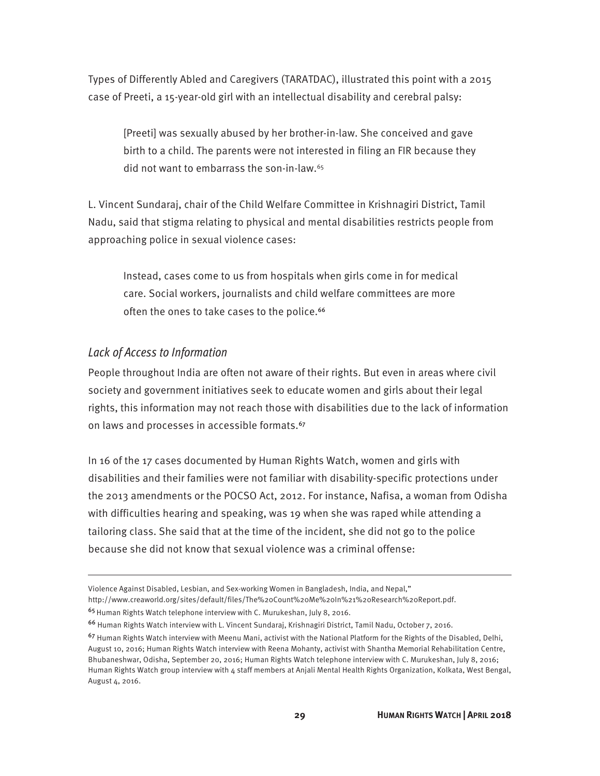Types of Differently Abled and Caregivers (TARATDAC), illustrated this point with a 2015 case of Preeti, a 15-year-old girl with an intellectual disability and cerebral palsy:

[Preeti] was sexually abused by her brother-in-law. She conceived and gave birth to a child. The parents were not interested in filing an FIR because they did not want to embarrass the son-in-law.65

L. Vincent Sundaraj, chair of the Child Welfare Committee in Krishnagiri District, Tamil Nadu, said that stigma relating to physical and mental disabilities restricts people from approaching police in sexual violence cases:

Instead, cases come to us from hospitals when girls come in for medical care. Social workers, journalists and child welfare committees are more often the ones to take cases to the police.<sup>66</sup>

#### *Lack of Access to Information*

 $\overline{a}$ 

People throughout India are often not aware of their rights. But even in areas where civil society and government initiatives seek to educate women and girls about their legal rights, this information may not reach those with disabilities due to the lack of information on laws and processes in accessible formats.<sup>67</sup>

In 16 of the 17 cases documented by Human Rights Watch, women and girls with disabilities and their families were not familiar with disability-specific protections under the 2013 amendments or the POCSO Act, 2012. For instance, Nafisa, a woman from Odisha with difficulties hearing and speaking, was 19 when she was raped while attending a tailoring class. She said that at the time of the incident, she did not go to the police because she did not know that sexual violence was a criminal offense:

Violence Against Disabled, Lesbian, and Sex-working Women in Bangladesh, India, and Nepal,"

http://www.creaworld.org/sites/default/files/The%20Count%20Me%20In%21%20Research%20Report.pdf.

<sup>&</sup>lt;sup>65</sup> Human Rights Watch telephone interview with C. Murukeshan, July 8, 2016.

<sup>66</sup> Human Rights Watch interview with L. Vincent Sundaraj, Krishnagiri District, Tamil Nadu, October 7, 2016.

<sup>&</sup>lt;sup>67</sup> Human Rights Watch interview with Meenu Mani, activist with the National Platform for the Rights of the Disabled, Delhi, August 10, 2016; Human Rights Watch interview with Reena Mohanty, activist with Shantha Memorial Rehabilitation Centre, Bhubaneshwar, Odisha, September 20, 2016; Human Rights Watch telephone interview with C. Murukeshan, July 8, 2016; Human Rights Watch group interview with 4 staff members at Anjali Mental Health Rights Organization, Kolkata, West Bengal, August 4, 2016.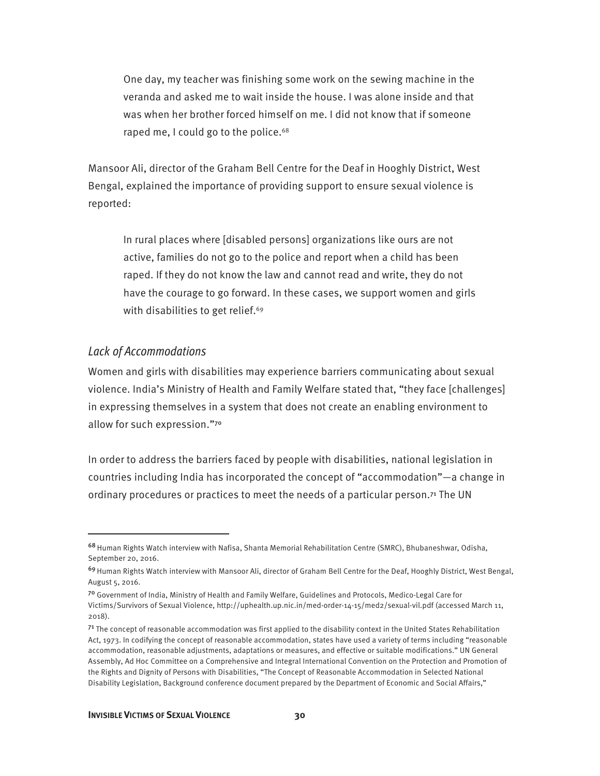One day, my teacher was finishing some work on the sewing machine in the veranda and asked me to wait inside the house. I was alone inside and that was when her brother forced himself on me. I did not know that if someone raped me, I could go to the police.<sup>68</sup>

Mansoor Ali, director of the Graham Bell Centre for the Deaf in Hooghly District, West Bengal, explained the importance of providing support to ensure sexual violence is reported:

In rural places where [disabled persons] organizations like ours are not active, families do not go to the police and report when a child has been raped. If they do not know the law and cannot read and write, they do not have the courage to go forward. In these cases, we support women and girls with disabilities to get relief.<sup>69</sup>

#### *Lack of Accommodations*

 $\overline{a}$ 

Women and girls with disabilities may experience barriers communicating about sexual violence. India's Ministry of Health and Family Welfare stated that, "they face [challenges] in expressing themselves in a system that does not create an enabling environment to allow for such expression."<sup>70</sup>

In order to address the barriers faced by people with disabilities, national legislation in countries including India has incorporated the concept of "accommodation"—a change in ordinary procedures or practices to meet the needs of a particular person.<sup>71</sup> The UN

<sup>68</sup> Human Rights Watch interview with Nafisa, Shanta Memorial Rehabilitation Centre (SMRC), Bhubaneshwar, Odisha, September 20, 2016.

<sup>69</sup> Human Rights Watch interview with Mansoor Ali, director of Graham Bell Centre for the Deaf, Hooghly District, West Bengal, August 5, 2016.

<sup>70</sup> Government of India, Ministry of Health and Family Welfare, Guidelines and Protocols, Medico-Legal Care for Victims/Survivors of Sexual Violence, http://uphealth.up.nic.in/med-order-14-15/med2/sexual-vil.pdf (accessed March 11, 2018).

 $71$  The concept of reasonable accommodation was first applied to the disability context in the United States Rehabilitation Act, 1973. In codifying the concept of reasonable accommodation, states have used a variety of terms including "reasonable accommodation, reasonable adjustments, adaptations or measures, and effective or suitable modifications." UN General Assembly, Ad Hoc Committee on a Comprehensive and Integral International Convention on the Protection and Promotion of the Rights and Dignity of Persons with Disabilities, "The Concept of Reasonable Accommodation in Selected National Disability Legislation, Background conference document prepared by the Department of Economic and Social Affairs,"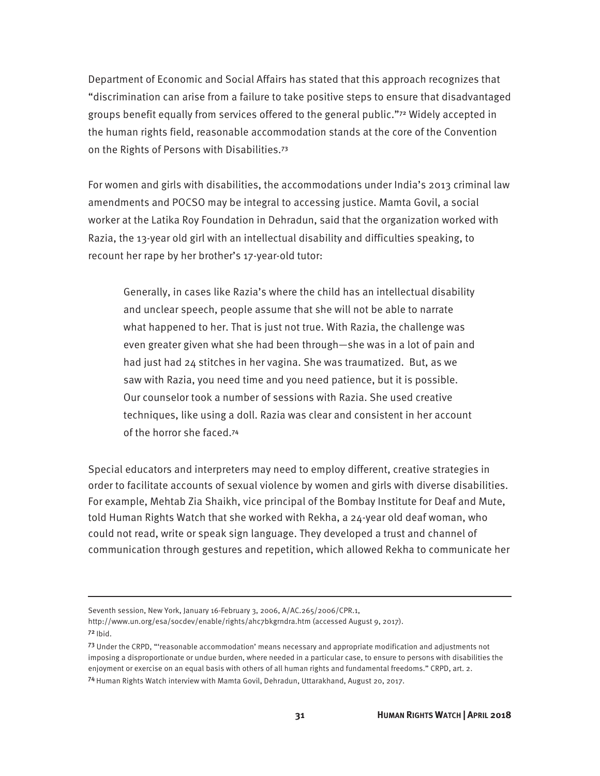Department of Economic and Social Affairs has stated that this approach recognizes that "discrimination can arise from a failure to take positive steps to ensure that disadvantaged groups benefit equally from services offered to the general public."72 Widely accepted in the human rights field, reasonable accommodation stands at the core of the Convention on the Rights of Persons with Disabilities.<sup>73</sup>

For women and girls with disabilities, the accommodations under India's 2013 criminal law amendments and POCSO may be integral to accessing justice. Mamta Govil, a social worker at the Latika Roy Foundation in Dehradun, said that the organization worked with Razia, the 13-year old girl with an intellectual disability and difficulties speaking, to recount her rape by her brother's 17-year-old tutor:

Generally, in cases like Razia's where the child has an intellectual disability and unclear speech, people assume that she will not be able to narrate what happened to her. That is just not true. With Razia, the challenge was even greater given what she had been through—she was in a lot of pain and had just had 24 stitches in her vagina. She was traumatized. But, as we saw with Razia, you need time and you need patience, but it is possible. Our counselor took a number of sessions with Razia. She used creative techniques, like using a doll. Razia was clear and consistent in her account of the horror she faced.<sup>74</sup>

Special educators and interpreters may need to employ different, creative strategies in order to facilitate accounts of sexual violence by women and girls with diverse disabilities. For example, Mehtab Zia Shaikh, vice principal of the Bombay Institute for Deaf and Mute, told Human Rights Watch that she worked with Rekha, a 24-year old deaf woman, who could not read, write or speak sign language. They developed a trust and channel of communication through gestures and repetition, which allowed Rekha to communicate her

Seventh session, New York, January 16-February 3, 2006, A/AC.265/2006/CPR.1,

http://www.un.org/esa/socdev/enable/rights/ahc7bkgrndra.htm (accessed August 9, 2017).  $72$  Ibid.

<sup>73</sup> Under the CRPD, "'reasonable accommodation' means necessary and appropriate modification and adjustments not imposing a disproportionate or undue burden, where needed in a particular case, to ensure to persons with disabilities the enjoyment or exercise on an equal basis with others of all human rights and fundamental freedoms." CRPD, art. 2. <sup>74</sup>Human Rights Watch interview with Mamta Govil, Dehradun, Uttarakhand, August 20, 2017.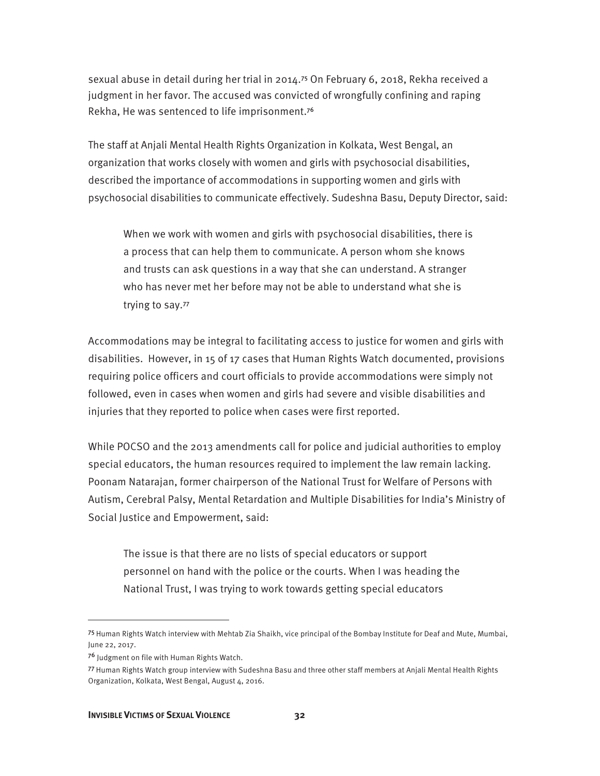sexual abuse in detail during her trial in 2014.75 On February 6, 2018, Rekha received a judgment in her favor. The accused was convicted of wrongfully confining and raping Rekha, He was sentenced to life imprisonment.<sup>76</sup>

The staff at Anjali Mental Health Rights Organization in Kolkata, West Bengal, an organization that works closely with women and girls with psychosocial disabilities, described the importance of accommodations in supporting women and girls with psychosocial disabilities to communicate effectively. Sudeshna Basu, Deputy Director, said:

When we work with women and girls with psychosocial disabilities, there is a process that can help them to communicate. A person whom she knows and trusts can ask questions in a way that she can understand. A stranger who has never met her before may not be able to understand what she is trying to say.<sup>77</sup>

Accommodations may be integral to facilitating access to justice for women and girls with disabilities. However, in 15 of 17 cases that Human Rights Watch documented, provisions requiring police officers and court officials to provide accommodations were simply not followed, even in cases when women and girls had severe and visible disabilities and injuries that they reported to police when cases were first reported.

While POCSO and the 2013 amendments call for police and judicial authorities to employ special educators, the human resources required to implement the law remain lacking. Poonam Natarajan, former chairperson of the National Trust for Welfare of Persons with Autism, Cerebral Palsy, Mental Retardation and Multiple Disabilities for India's Ministry of Social Justice and Empowerment, said:

The issue is that there are no lists of special educators or support personnel on hand with the police or the courts. When I was heading the National Trust, I was trying to work towards getting special educators

<sup>75</sup> Human Rights Watch interview with Mehtab Zia Shaikh, vice principal of the Bombay Institute for Deaf and Mute, Mumbai, June 22, 2017.

<sup>76</sup> Judgment on file with Human Rights Watch.

<sup>77</sup> Human Rights Watch group interview with Sudeshna Basu and three other staff members at Anjali Mental Health Rights Organization, Kolkata, West Bengal, August 4, 2016.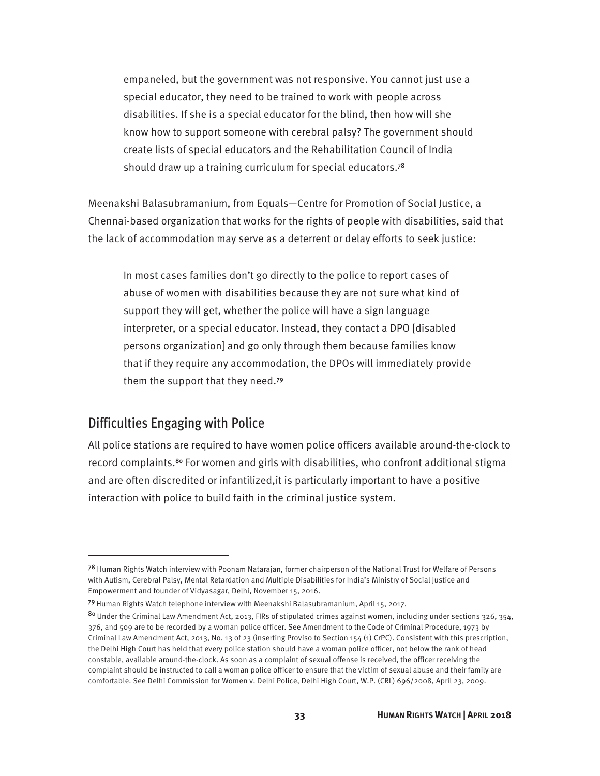empaneled, but the government was not responsive. You cannot just use a special educator, they need to be trained to work with people across disabilities. If she is a special educator for the blind, then how will she know how to support someone with cerebral palsy? The government should create lists of special educators and the Rehabilitation Council of India should draw up a training curriculum for special educators.<sup>78</sup>

Meenakshi Balasubramanium, from Equals—Centre for Promotion of Social Justice, a Chennai-based organization that works for the rights of people with disabilities, said that the lack of accommodation may serve as a deterrent or delay efforts to seek justice:

In most cases families don't go directly to the police to report cases of abuse of women with disabilities because they are not sure what kind of support they will get, whether the police will have a sign language interpreter, or a special educator. Instead, they contact a DPO [disabled persons organization] and go only through them because families know that if they require any accommodation, the DPOs will immediately provide them the support that they need.<sup>79</sup>

#### Difficulties Engaging with Police

 $\overline{a}$ 

All police stations are required to have women police officers available around-the-clock to record complaints.80 For women and girls with disabilities, who confront additional stigma and are often discredited or infantilized,it is particularly important to have a positive interaction with police to build faith in the criminal justice system.

<sup>78</sup> Human Rights Watch interview with Poonam Natarajan, former chairperson of the National Trust for Welfare of Persons with Autism, Cerebral Palsy, Mental Retardation and Multiple Disabilities for India's Ministry of Social Justice and Empowerment and founder of Vidyasagar, Delhi, November 15, 2016.

<sup>79</sup> Human Rights Watch telephone interview with Meenakshi Balasubramanium, April 15, 2017.

<sup>80</sup> Under the Criminal Law Amendment Act, 2013, FIRs of stipulated crimes against women, including under sections 326, 354, 376, and 509 are to be recorded by a woman police officer. See Amendment to the Code of Criminal Procedure, 1973 by Criminal Law Amendment Act, 2013, No. 13 of 23 (inserting Proviso to Section 154 (1) CrPC). Consistent with this prescription, the Delhi High Court has held that every police station should have a woman police officer, not below the rank of head constable, available around-the-clock. As soon as a complaint of sexual offense is received, the officer receiving the complaint should be instructed to call a woman police officer to ensure that the victim of sexual abuse and their family are comfortable. See Delhi Commission for Women v. Delhi Police, Delhi High Court, W.P. (CRL) 696/2008, April 23, 2009.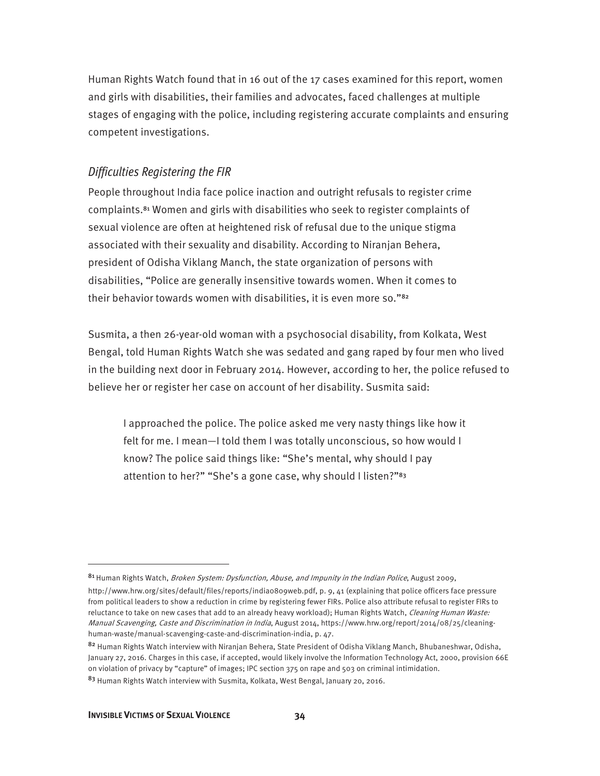Human Rights Watch found that in 16 out of the 17 cases examined for this report, women and girls with disabilities, their families and advocates, faced challenges at multiple stages of engaging with the police, including registering accurate complaints and ensuring competent investigations.

#### *Difficulties Registering the FIR*

People throughout India face police inaction and outright refusals to register crime complaints.81 Women and girls with disabilities who seek to register complaints of sexual violence are often at heightened risk of refusal due to the unique stigma associated with their sexuality and disability. According to Niranjan Behera, president of Odisha Viklang Manch, the state organization of persons with disabilities, "Police are generally insensitive towards women. When it comes to their behavior towards women with disabilities, it is even more so."<sup>82</sup>

Susmita, a then 26-year-old woman with a psychosocial disability, from Kolkata, West Bengal, told Human Rights Watch she was sedated and gang raped by four men who lived in the building next door in February 2014. However, according to her, the police refused to believe her or register her case on account of her disability. Susmita said:

I approached the police. The police asked me very nasty things like how it felt for me. I mean—I told them I was totally unconscious, so how would I know? The police said things like: "She's mental, why should I pay attention to her?" "She's a gone case, why should I listen?"<sup>83</sup>

<sup>81</sup> Human Rights Watch, Broken System: Dysfunction, Abuse, and Impunity in the Indian Police, August 2009,

http://www.hrw.org/sites/default/files/reports/india0809web.pdf, p. 9, 41 (explaining that police officers face pressure from political leaders to show a reduction in crime by registering fewer FIRs. Police also attribute refusal to register FIRs to reluctance to take on new cases that add to an already heavy workload); Human Rights Watch, Cleaning Human Waste: Manual Scavenging, Caste and Discrimination in India, August 2014, https://www.hrw.org/report/2014/08/25/cleaninghuman-waste/manual-scavenging-caste-and-discrimination-india, p. 47.

<sup>82</sup> Human Rights Watch interview with Niranjan Behera, State President of Odisha Viklang Manch, Bhubaneshwar, Odisha, January 27, 2016. Charges in this case, if accepted, would likely involve the Information Technology Act, 2000, provision 66E on violation of privacy by "capture" of images; IPC section 375 on rape and 503 on criminal intimidation.

<sup>83</sup> Human Rights Watch interview with Susmita, Kolkata, West Bengal, January 20, 2016.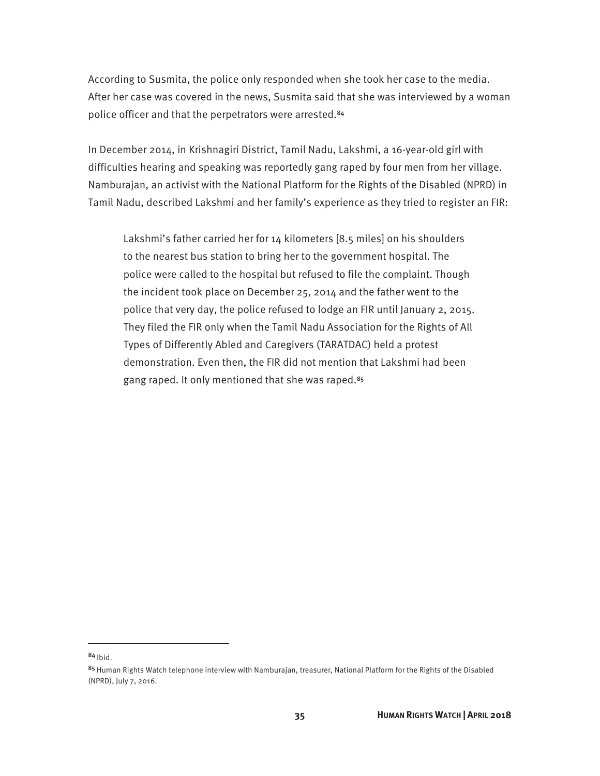According to Susmita, the police only responded when she took her case to the media. After her case was covered in the news, Susmita said that she was interviewed by a woman police officer and that the perpetrators were arrested.<sup>84</sup>

In December 2014, in Krishnagiri District, Tamil Nadu, Lakshmi, a 16-year-old girl with difficulties hearing and speaking was reportedly gang raped by four men from her village. Namburajan, an activist with the National Platform for the Rights of the Disabled (NPRD) in Tamil Nadu, described Lakshmi and her family's experience as they tried to register an FIR:

Lakshmi's father carried her for 14 kilometers [8.5 miles] on his shoulders to the nearest bus station to bring her to the government hospital. The police were called to the hospital but refused to file the complaint. Though the incident took place on December 25, 2014 and the father went to the police that very day, the police refused to lodge an FIR until January 2, 2015. They filed the FIR only when the Tamil Nadu Association for the Rights of All Types of Differently Abled and Caregivers (TARATDAC) held a protest demonstration. Even then, the FIR did not mention that Lakshmi had been gang raped. It only mentioned that she was raped.<sup>85</sup>

 $84$  Ibid.

<sup>85</sup> Human Rights Watch telephone interview with Namburajan, treasurer, National Platform for the Rights of the Disabled (NPRD), July 7, 2016.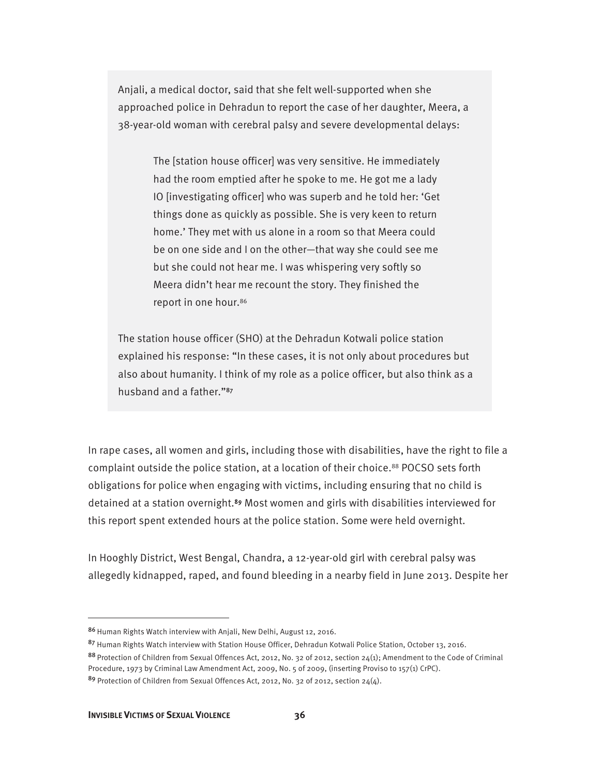Anjali, a medical doctor, said that she felt well-supported when she approached police in Dehradun to report the case of her daughter, Meera, a 38-year-old woman with cerebral palsy and severe developmental delays:

The [station house officer] was very sensitive. He immediately had the room emptied after he spoke to me. He got me a lady IO [investigating officer] who was superb and he told her: 'Get things done as quickly as possible. She is very keen to return home.' They met with us alone in a room so that Meera could be on one side and I on the other—that way she could see me but she could not hear me. I was whispering very softly so Meera didn't hear me recount the story. They finished the report in one hour.86

The station house officer (SHO) at the Dehradun Kotwali police station explained his response: "In these cases, it is not only about procedures but also about humanity. I think of my role as a police officer, but also think as a husband and a father."87

In rape cases, all women and girls, including those with disabilities, have the right to file a complaint outside the police station, at a location of their choice.<sup>88</sup> POCSO sets forth obligations for police when engaging with victims, including ensuring that no child is detained at a station overnight.89 Most women and girls with disabilities interviewed for this report spent extended hours at the police station. Some were held overnight.

In Hooghly District, West Bengal, Chandra, a 12-year-old girl with cerebral palsy was allegedly kidnapped, raped, and found bleeding in a nearby field in June 2013. Despite her

<sup>86</sup> Human Rights Watch interview with Anjali, New Delhi, August 12, 2016.

<sup>87</sup> Human Rights Watch interview with Station House Officer, Dehradun Kotwali Police Station, October 13, 2016.

<sup>88</sup> Protection of Children from Sexual Offences Act, 2012, No. 32 of 2012, section  $24(1)$ ; Amendment to the Code of Criminal Procedure, 1973 by Criminal Law Amendment Act, 2009, No. 5 of 2009, (inserting Proviso to 157(1) CrPC).

<sup>&</sup>lt;sup>89</sup> Protection of Children from Sexual Offences Act, 2012, No. 32 of 2012, section 24(4).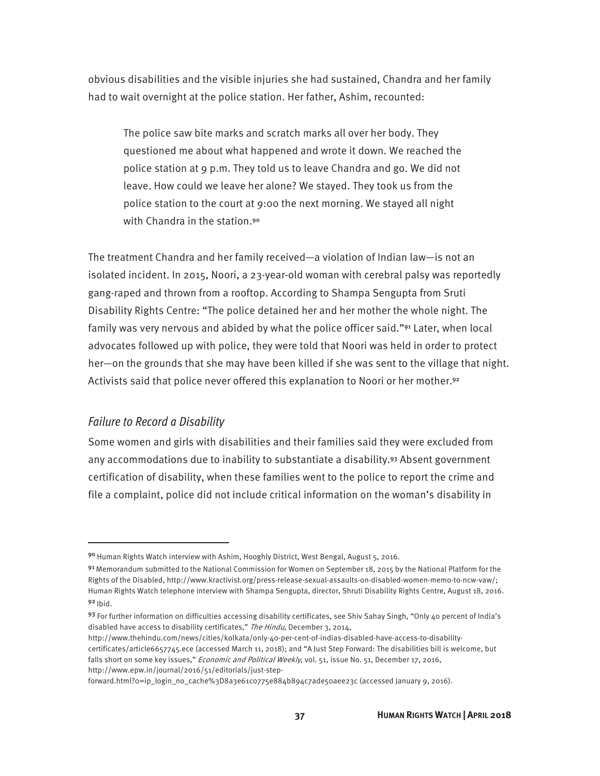obvious disabilities and the visible injuries she had sustained, Chandra and her family had to wait overnight at the police station. Her father, Ashim, recounted:

The police saw bite marks and scratch marks all over her body. They questioned me about what happened and wrote it down. We reached the police station at 9 p.m. They told us to leave Chandra and go. We did not leave. How could we leave her alone? We stayed. They took us from the police station to the court at 9:00 the next morning. We stayed all night with Chandra in the station.<sup>90</sup>

The treatment Chandra and her family received—a violation of Indian law—is not an isolated incident. In 2015, Noori, a 23-year-old woman with cerebral palsy was reportedly gang-raped and thrown from a rooftop. According to Shampa Sengupta from Sruti Disability Rights Centre: "The police detained her and her mother the whole night. The family was very nervous and abided by what the police officer said."<sup>91</sup> Later, when local advocates followed up with police, they were told that Noori was held in order to protect her—on the grounds that she may have been killed if she was sent to the village that night. Activists said that police never offered this explanation to Noori or her mother.<sup>92</sup>

#### *Failure to Record a Disability*

 $\overline{a}$ 

Some women and girls with disabilities and their families said they were excluded from any accommodations due to inability to substantiate a disability.93 Absent government certification of disability, when these families went to the police to report the crime and file a complaint, police did not include critical information on the woman's disability in

forward.html?o=ip\_login\_no\_cache%3D8a3e61co775e884b894c7ade50aee23c (accessed January 9, 2016).

<sup>90</sup> Human Rights Watch interview with Ashim, Hooghly District, West Bengal, August 5, 2016.

 $91$  Memorandum submitted to the National Commission for Women on September 18, 2015 by the National Platform for the Rights of the Disabled, http://www.kractivist.org/press-release-sexual-assaults-on-disabled-women-memo-to-ncw-vaw/; Human Rights Watch telephone interview with Shampa Sengupta, director, Shruti Disability Rights Centre, August 18, 2016.  $92$  Ibid.

<sup>93</sup> For further information on difficulties accessing disability certificates, see Shiv Sahay Singh, "Only 40 percent of India's disabled have access to disability certificates," The Hindu, December 3, 2014,

http://www.thehindu.com/news/cities/kolkata/only-40-per-cent-of-indias-disabled-have-access-to-disabilitycertificates/article6657745.ece (accessed March 11, 2018); and "A Just Step Forward: The disabilities bill is welcome, but falls short on some key issues," Economic and Political Weekly, vol. 51, issue No. 51, December 17, 2016, http://www.epw.in/journal/2016/51/editorials/just-step-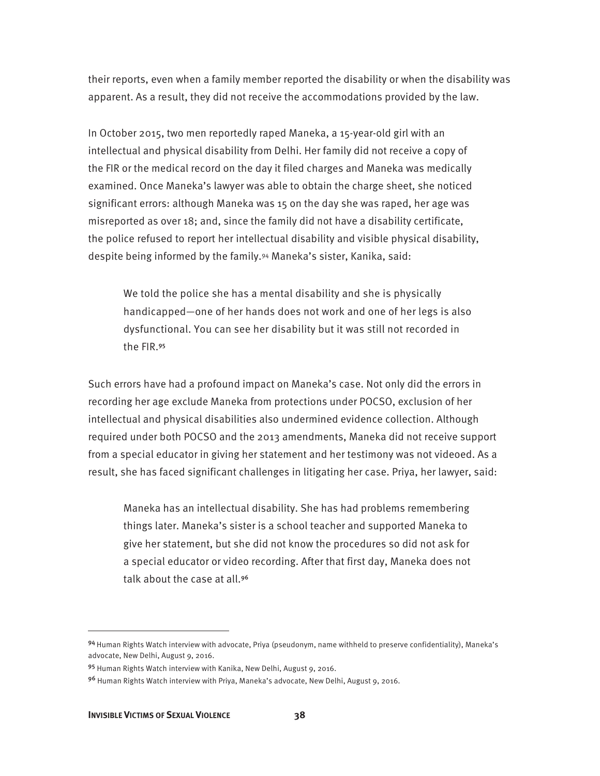their reports, even when a family member reported the disability or when the disability was apparent. As a result, they did not receive the accommodations provided by the law.

In October 2015, two men reportedly raped Maneka, a 15-year-old girl with an intellectual and physical disability from Delhi. Her family did not receive a copy of the FIR or the medical record on the day it filed charges and Maneka was medically examined. Once Maneka's lawyer was able to obtain the charge sheet, she noticed significant errors: although Maneka was 15 on the day she was raped, her age was misreported as over 18; and, since the family did not have a disability certificate, the police refused to report her intellectual disability and visible physical disability, despite being informed by the family.94 Maneka's sister, Kanika, said:

We told the police she has a mental disability and she is physically handicapped—one of her hands does not work and one of her legs is also dysfunctional. You can see her disability but it was still not recorded in the FIR.<sup>95</sup>

Such errors have had a profound impact on Maneka's case. Not only did the errors in recording her age exclude Maneka from protections under POCSO, exclusion of her intellectual and physical disabilities also undermined evidence collection. Although required under both POCSO and the 2013 amendments, Maneka did not receive support from a special educator in giving her statement and her testimony was not videoed. As a result, she has faced significant challenges in litigating her case. Priya, her lawyer, said:

Maneka has an intellectual disability. She has had problems remembering things later. Maneka's sister is a school teacher and supported Maneka to give her statement, but she did not know the procedures so did not ask for a special educator or video recording. After that first day, Maneka does not talk about the case at all.<sup>96</sup>

<sup>94</sup> Human Rights Watch interview with advocate, Priya (pseudonym, name withheld to preserve confidentiality), Maneka's advocate, New Delhi, August 9, 2016.

<sup>95</sup> Human Rights Watch interview with Kanika, New Delhi, August 9, 2016.

<sup>96</sup> Human Rights Watch interview with Priya, Maneka's advocate, New Delhi, August 9, 2016.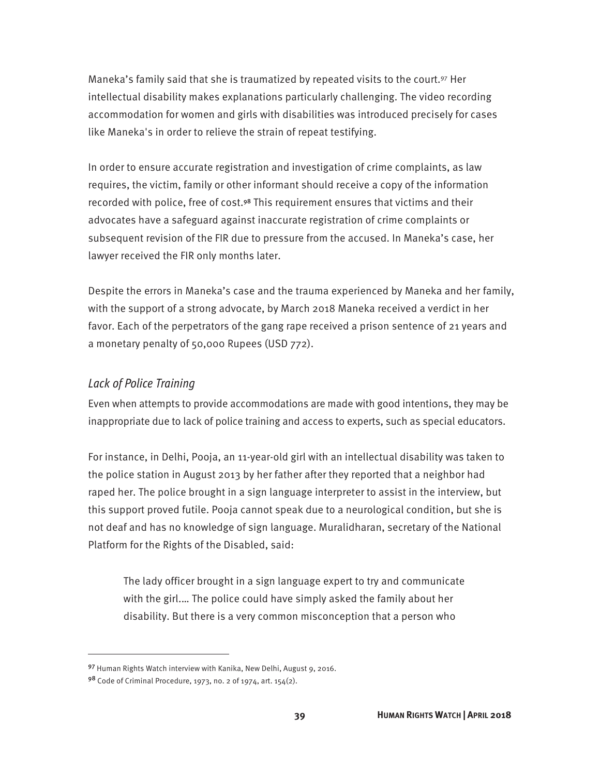Maneka's family said that she is traumatized by repeated visits to the court.<sup>97</sup> Her intellectual disability makes explanations particularly challenging. The video recording accommodation for women and girls with disabilities was introduced precisely for cases like Maneka's in order to relieve the strain of repeat testifying.

In order to ensure accurate registration and investigation of crime complaints, as law requires, the victim, family or other informant should receive a copy of the information recorded with police, free of cost.98 This requirement ensures that victims and their advocates have a safeguard against inaccurate registration of crime complaints or subsequent revision of the FIR due to pressure from the accused. In Maneka's case, her lawyer received the FIR only months later.

Despite the errors in Maneka's case and the trauma experienced by Maneka and her family, with the support of a strong advocate, by March 2018 Maneka received a verdict in her favor. Each of the perpetrators of the gang rape received a prison sentence of 21 years and a monetary penalty of 50,000 Rupees (USD 772).

#### *Lack of Police Training*

 $\overline{a}$ 

Even when attempts to provide accommodations are made with good intentions, they may be inappropriate due to lack of police training and access to experts, such as special educators.

For instance, in Delhi, Pooja, an 11-year-old girl with an intellectual disability was taken to the police station in August 2013 by her father after they reported that a neighbor had raped her. The police brought in a sign language interpreter to assist in the interview, but this support proved futile. Pooja cannot speak due to a neurological condition, but she is not deaf and has no knowledge of sign language. Muralidharan, secretary of the National Platform for the Rights of the Disabled, said:

The lady officer brought in a sign language expert to try and communicate with the girl.… The police could have simply asked the family about her disability. But there is a very common misconception that a person who

<sup>97</sup> Human Rights Watch interview with Kanika, New Delhi, August 9, 2016.

<sup>98</sup> Code of Criminal Procedure, 1973, no. 2 of 1974, art. 154(2).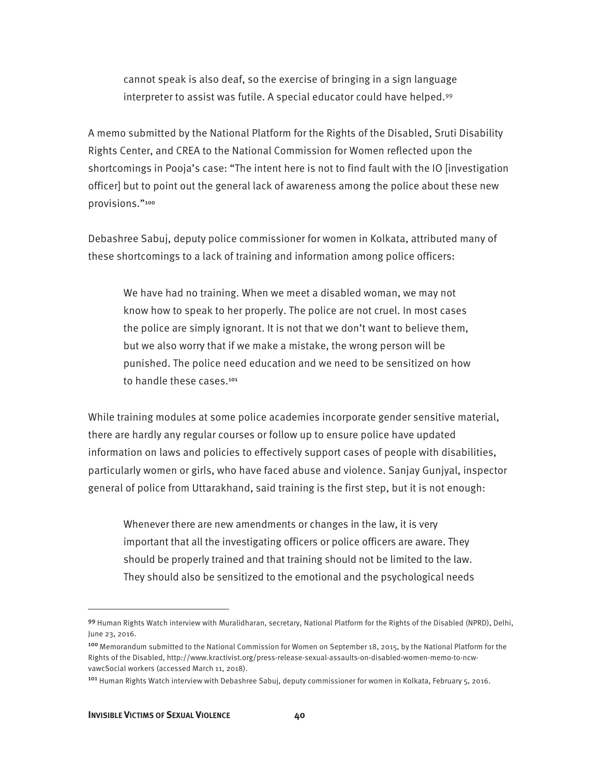cannot speak is also deaf, so the exercise of bringing in a sign language interpreter to assist was futile. A special educator could have helped.99

A memo submitted by the National Platform for the Rights of the Disabled, Sruti Disability Rights Center, and CREA to the National Commission for Women reflected upon the shortcomings in Pooja's case: "The intent here is not to find fault with the IO [investigation officer] but to point out the general lack of awareness among the police about these new provisions."<sup>100</sup>

Debashree Sabuj, deputy police commissioner for women in Kolkata, attributed many of these shortcomings to a lack of training and information among police officers:

We have had no training. When we meet a disabled woman, we may not know how to speak to her properly. The police are not cruel. In most cases the police are simply ignorant. It is not that we don't want to believe them, but we also worry that if we make a mistake, the wrong person will be punished. The police need education and we need to be sensitized on how to handle these cases.<sup>101</sup>

While training modules at some police academies incorporate gender sensitive material, there are hardly any regular courses or follow up to ensure police have updated information on laws and policies to effectively support cases of people with disabilities, particularly women or girls, who have faced abuse and violence. Sanjay Gunjyal, inspector general of police from Uttarakhand, said training is the first step, but it is not enough:

Whenever there are new amendments or changes in the law, it is very important that all the investigating officers or police officers are aware. They should be properly trained and that training should not be limited to the law. They should also be sensitized to the emotional and the psychological needs

<u>.</u>

<sup>99</sup> Human Rights Watch interview with Muralidharan, secretary, National Platform for the Rights of the Disabled (NPRD), Delhi, June 23, 2016.

<sup>&</sup>lt;sup>100</sup> Memorandum submitted to the National Commission for Women on September 18, 2015, by the National Platform for the Rights of the Disabled, http://www.kractivist.org/press-release-sexual-assaults-on-disabled-women-memo-to-ncwvawcSocial workers (accessed March 11, 2018).

<sup>&</sup>lt;sup>101</sup> Human Rights Watch interview with Debashree Sabuj, deputy commissioner for women in Kolkata, February 5, 2016.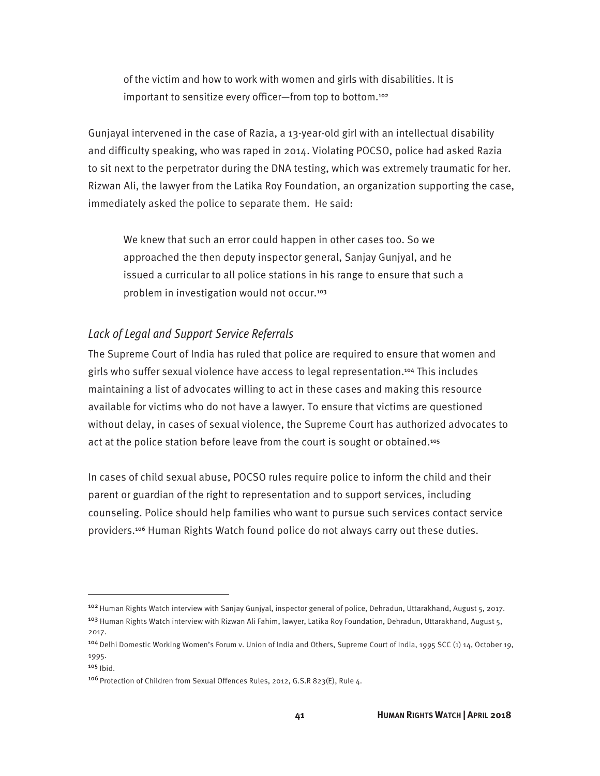of the victim and how to work with women and girls with disabilities. It is important to sensitize every officer-from top to bottom.<sup>102</sup>

Gunjayal intervened in the case of Razia, a 13-year-old girl with an intellectual disability and difficulty speaking, who was raped in 2014. Violating POCSO, police had asked Razia to sit next to the perpetrator during the DNA testing, which was extremely traumatic for her. Rizwan Ali, the lawyer from the Latika Roy Foundation, an organization supporting the case, immediately asked the police to separate them. He said:

We knew that such an error could happen in other cases too. So we approached the then deputy inspector general, Sanjay Gunjyal, and he issued a curricular to all police stations in his range to ensure that such a problem in investigation would not occur.<sup>103</sup>

#### *Lack of Legal and Support Service Referrals*

The Supreme Court of India has ruled that police are required to ensure that women and girls who suffer sexual violence have access to legal representation.104 This includes maintaining a list of advocates willing to act in these cases and making this resource available for victims who do not have a lawyer. To ensure that victims are questioned without delay, in cases of sexual violence, the Supreme Court has authorized advocates to act at the police station before leave from the court is sought or obtained.<sup>105</sup>

In cases of child sexual abuse, POCSO rules require police to inform the child and their parent or guardian of the right to representation and to support services, including counseling. Police should help families who want to pursue such services contact service providers.106 Human Rights Watch found police do not always carry out these duties.

<sup>&</sup>lt;sup>102</sup> Human Rights Watch interview with Sanjay Gunjyal, inspector general of police, Dehradun, Uttarakhand, August 5, 2017. <sup>103</sup> Human Rights Watch interview with Rizwan Ali Fahim, lawyer, Latika Roy Foundation, Dehradun, Uttarakhand, August 5, 2017.

<sup>104</sup>Delhi Domestic Working Women's Forum v. Union of India and Others, Supreme Court of India, 1995 SCC (1) 14, October 19, 1995.

 $105$  Ibid.

<sup>106</sup> Protection of Children from Sexual Offences Rules, 2012, G.S.R 823(E), Rule 4.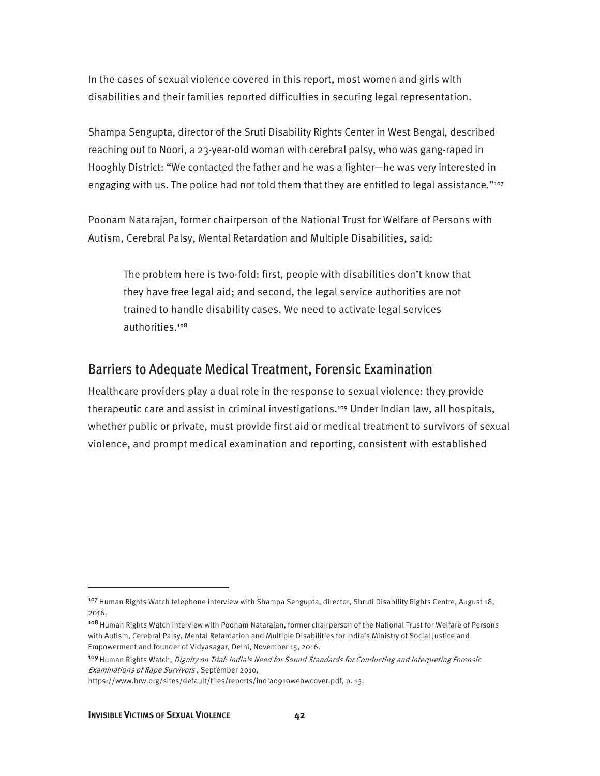In the cases of sexual violence covered in this report, most women and girls with disabilities and their families reported difficulties in securing legal representation.

Shampa Sengupta, director of the Sruti Disability Rights Center in West Bengal, described reaching out to Noori, a 23-year-old woman with cerebral palsy, who was gang-raped in Hooghly District: "We contacted the father and he was a fighter—he was very interested in engaging with us. The police had not told them that they are entitled to legal assistance."<sup>107</sup>

Poonam Natarajan, former chairperson of the National Trust for Welfare of Persons with Autism, Cerebral Palsy, Mental Retardation and Multiple Disabilities, said:

The problem here is two-fold: first, people with disabilities don't know that they have free legal aid; and second, the legal service authorities are not trained to handle disability cases. We need to activate legal services authorities.<sup>108</sup>

#### Barriers to Adequate Medical Treatment, Forensic Examination

Healthcare providers play a dual role in the response to sexual violence: they provide therapeutic care and assist in criminal investigations.<sup>109</sup> Under Indian law, all hospitals, whether public or private, must provide first aid or medical treatment to survivors of sexual violence, and prompt medical examination and reporting, consistent with established

<sup>&</sup>lt;sup>107</sup> Human Rights Watch telephone interview with Shampa Sengupta, director, Shruti Disability Rights Centre, August 18, 2016.

<sup>108</sup> Human Rights Watch interview with Poonam Natarajan, former chairperson of the National Trust for Welfare of Persons with Autism, Cerebral Palsy, Mental Retardation and Multiple Disabilities for India's Ministry of Social Justice and Empowerment and founder of Vidyasagar, Delhi, November 15, 2016.

<sup>&</sup>lt;sup>109</sup> Human Rights Watch, *Dignity on Trial: India's Need for Sound Standards for Conducting and Interpreting Forensic* Examinations of Rape Survivors , September 2010,

https://www.hrw.org/sites/default/files/reports/india0910webwcover.pdf, p. 13.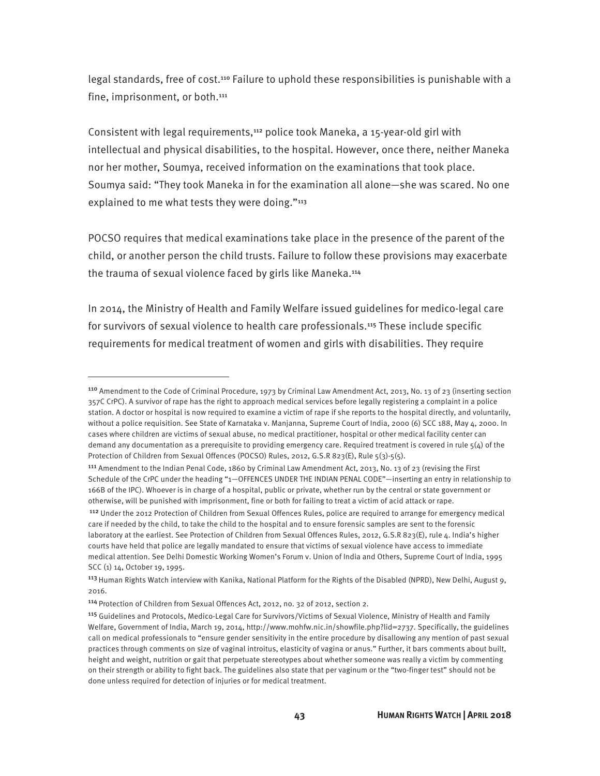legal standards, free of cost.110 Failure to uphold these responsibilities is punishable with a fine, imprisonment, or both.<sup>111</sup>

Consistent with legal requirements,<sup>112</sup> police took Maneka, a 15-year-old girl with intellectual and physical disabilities, to the hospital. However, once there, neither Maneka nor her mother, Soumya, received information on the examinations that took place. Soumya said: "They took Maneka in for the examination all alone—she was scared. No one explained to me what tests they were doing."<sup>113</sup>

POCSO requires that medical examinations take place in the presence of the parent of the child, or another person the child trusts. Failure to follow these provisions may exacerbate the trauma of sexual violence faced by girls like Maneka.<sup>114</sup>

In 2014, the Ministry of Health and Family Welfare issued guidelines for medico-legal care for survivors of sexual violence to health care professionals.<sup>115</sup> These include specific requirements for medical treatment of women and girls with disabilities. They require

<sup>110</sup> Amendment to the Code of Criminal Procedure, 1973 by Criminal Law Amendment Act, 2013, No. 13 of 23 (inserting section 357C CrPC). A survivor of rape has the right to approach medical services before legally registering a complaint in a police station. A doctor or hospital is now required to examine a victim of rape if she reports to the hospital directly, and voluntarily, without a police requisition. See State of Karnataka v. Manjanna, Supreme Court of India, 2000 (6) SCC 188, May 4, 2000. In cases where children are victims of sexual abuse, no medical practitioner, hospital or other medical facility center can demand any documentation as a prerequisite to providing emergency care. Required treatment is covered in rule  $5(4)$  of the Protection of Children from Sexual Offences (POCSO) Rules, 2012, G.S.R 823(E), Rule 5(3)-5(5).

<sup>&</sup>lt;sup>111</sup> Amendment to the Indian Penal Code, 1860 by Criminal Law Amendment Act, 2013, No. 13 of 23 (revising the First Schedule of the CrPC under the heading "1—OFFENCES UNDER THE INDIAN PENAL CODE"—inserting an entry in relationship to 166B of the IPC). Whoever is in charge of a hospital, public or private, whether run by the central or state government or otherwise, will be punished with imprisonment, fine or both for failing to treat a victim of acid attack or rape.

<sup>112</sup> Under the 2012 Protection of Children from Sexual Offences Rules, police are required to arrange for emergency medical care if needed by the child, to take the child to the hospital and to ensure forensic samples are sent to the forensic laboratory at the earliest. See Protection of Children from Sexual Offences Rules, 2012, G.S.R 823(E), rule 4. India's higher courts have held that police are legally mandated to ensure that victims of sexual violence have access to immediate medical attention. See Delhi Domestic Working Women's Forum v. Union of India and Others, Supreme Court of India, 1995 SCC (1) 14, October 19, 1995.

<sup>&</sup>lt;sup>113</sup> Human Rights Watch interview with Kanika, National Platform for the Rights of the Disabled (NPRD), New Delhi, August 9, 2016.

<sup>114</sup> Protection of Children from Sexual Offences Act, 2012, no. 32 of 2012, section 2.

<sup>115</sup> Guidelines and Protocols, Medico-Legal Care for Survivors/Victims of Sexual Violence, Ministry of Health and Family Welfare, Government of India, March 19, 2014, http://www.mohfw.nic.in/showfile.php?lid=2737. Specifically, the guidelines call on medical professionals to "ensure gender sensitivity in the entire procedure by disallowing any mention of past sexual practices through comments on size of vaginal introitus, elasticity of vagina or anus." Further, it bars comments about built, height and weight, nutrition or gait that perpetuate stereotypes about whether someone was really a victim by commenting on their strength or ability to fight back. The guidelines also state that per vaginum or the "two-finger test" should not be done unless required for detection of injuries or for medical treatment.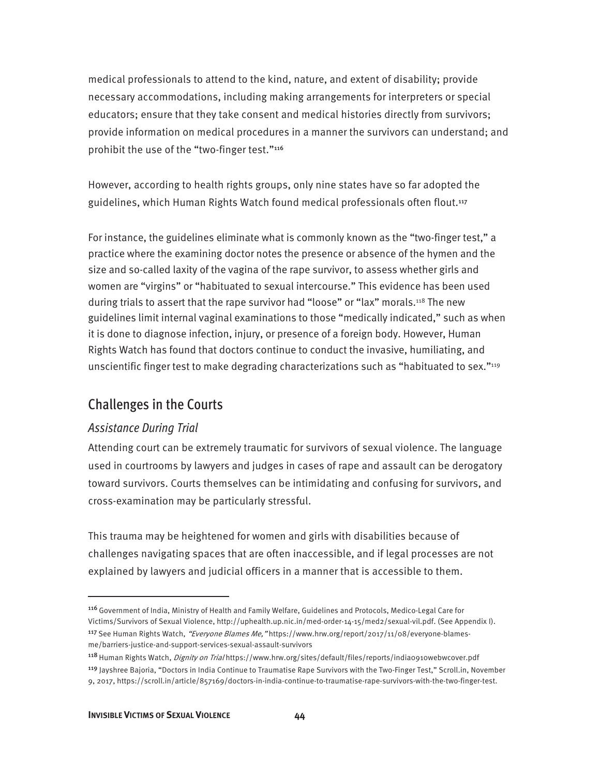medical professionals to attend to the kind, nature, and extent of disability; provide necessary accommodations, including making arrangements for interpreters or special educators; ensure that they take consent and medical histories directly from survivors; provide information on medical procedures in a manner the survivors can understand; and prohibit the use of the "two-finger test."116

However, according to health rights groups, only nine states have so far adopted the guidelines, which Human Rights Watch found medical professionals often flout.<sup>117</sup>

For instance, the guidelines eliminate what is commonly known as the "two-finger test," a practice where the examining doctor notes the presence or absence of the hymen and the size and so-called laxity of the vagina of the rape survivor, to assess whether girls and women are "virgins" or "habituated to sexual intercourse." This evidence has been used during trials to assert that the rape survivor had "loose" or "lax" morals.118 The new guidelines limit internal vaginal examinations to those "medically indicated," such as when it is done to diagnose infection, injury, or presence of a foreign body. However, Human Rights Watch has found that doctors continue to conduct the invasive, humiliating, and unscientific finger test to make degrading characterizations such as "habituated to sex."<sup>119</sup>

### Challenges in the Courts

#### *Assistance During Trial*

 $\overline{a}$ 

Attending court can be extremely traumatic for survivors of sexual violence. The language used in courtrooms by lawyers and judges in cases of rape and assault can be derogatory toward survivors. Courts themselves can be intimidating and confusing for survivors, and cross-examination may be particularly stressful.

This trauma may be heightened for women and girls with disabilities because of challenges navigating spaces that are often inaccessible, and if legal processes are not explained by lawyers and judicial officers in a manner that is accessible to them.

<sup>116</sup>Government of India, Ministry of Health and Family Welfare, Guidelines and Protocols, Medico-Legal Care for Victims/Survivors of Sexual Violence, http://uphealth.up.nic.in/med-order-14-15/med2/sexual-vil.pdf. (See Appendix I). <sup>117</sup> See Human Rights Watch, "Everyone Blames Me," https://www.hrw.org/report/2017/11/08/everyone-blamesme/barriers-justice-and-support-services-sexual-assault-survivors

<sup>118</sup> Human Rights Watch, *Dignity on Trial* https://www.hrw.org/sites/default/files/reports/india0910webwcover.pdf

<sup>119</sup> Jayshree Bajoria, "Doctors in India Continue to Traumatise Rape Survivors with the Two-Finger Test," Scroll.in, November 9, 2017, https://scroll.in/article/857169/doctors-in-india-continue-to-traumatise-rape-survivors-with-the-two-finger-test.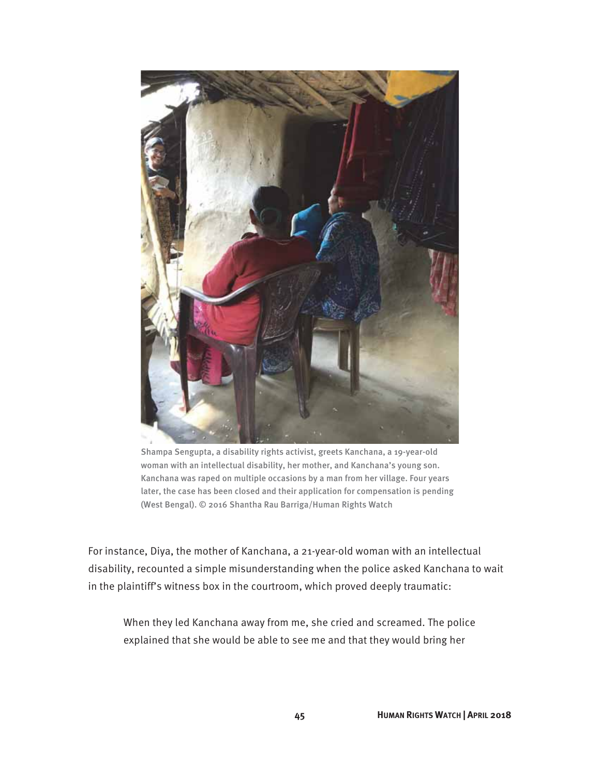

Shampa Sengupta, a disability rights activist, greets Kanchana, a 19-year-old woman with an intellectual disability, her mother, and Kanchana's young son. Kanchana was raped on multiple occasions by a man from her village. Four years later, the case has been closed and their application for compensation is pending (West Bengal). © 2016 Shantha Rau Barriga/Human Rights Watch

For instance, Diya, the mother of Kanchana, a 21-year-old woman with an intellectual disability, recounted a simple misunderstanding when the police asked Kanchana to wait in the plaintiff's witness box in the courtroom, which proved deeply traumatic:

When they led Kanchana away from me, she cried and screamed. The police explained that she would be able to see me and that they would bring her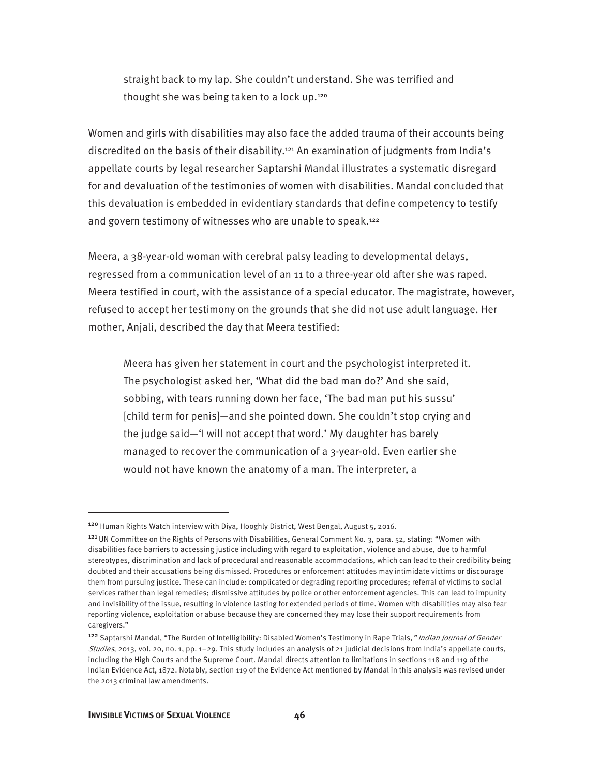straight back to my lap. She couldn't understand. She was terrified and thought she was being taken to a lock up.<sup>120</sup>

Women and girls with disabilities may also face the added trauma of their accounts being discredited on the basis of their disability.<sup>121</sup> An examination of judgments from India's appellate courts by legal researcher Saptarshi Mandal illustrates a systematic disregard for and devaluation of the testimonies of women with disabilities. Mandal concluded that this devaluation is embedded in evidentiary standards that define competency to testify and govern testimony of witnesses who are unable to speak.<sup>122</sup>

Meera, a 38-year-old woman with cerebral palsy leading to developmental delays, regressed from a communication level of an 11 to a three-year old after she was raped. Meera testified in court, with the assistance of a special educator. The magistrate, however, refused to accept her testimony on the grounds that she did not use adult language. Her mother, Anjali, described the day that Meera testified:

Meera has given her statement in court and the psychologist interpreted it. The psychologist asked her, 'What did the bad man do?' And she said, sobbing, with tears running down her face, 'The bad man put his sussu' [child term for penis]—and she pointed down. She couldn't stop crying and the judge said—'I will not accept that word.' My daughter has barely managed to recover the communication of a 3-year-old. Even earlier she would not have known the anatomy of a man. The interpreter, a

<sup>120</sup> Human Rights Watch interview with Diya, Hooghly District, West Bengal, August 5, 2016.

<sup>121</sup>UN Committee on the Rights of Persons with Disabilities, General Comment No. 3, para. 52, stating: "Women with disabilities face barriers to accessing justice including with regard to exploitation, violence and abuse, due to harmful stereotypes, discrimination and lack of procedural and reasonable accommodations, which can lead to their credibility being doubted and their accusations being dismissed. Procedures or enforcement attitudes may intimidate victims or discourage them from pursuing justice. These can include: complicated or degrading reporting procedures; referral of victims to social services rather than legal remedies; dismissive attitudes by police or other enforcement agencies. This can lead to impunity and invisibility of the issue, resulting in violence lasting for extended periods of time. Women with disabilities may also fear reporting violence, exploitation or abuse because they are concerned they may lose their support requirements from caregivers."

<sup>&</sup>lt;sup>122</sup> Saptarshi Mandal, "The Burden of Intelligibility: Disabled Women's Testimony in Rape Trials," Indian Journal of Gender Studies, 2013, vol. 20, no. 1, pp. 1–29. This study includes an analysis of 21 judicial decisions from India's appellate courts, including the High Courts and the Supreme Court. Mandal directs attention to limitations in sections 118 and 119 of the Indian Evidence Act, 1872. Notably, section 119 of the Evidence Act mentioned by Mandal in this analysis was revised under the 2013 criminal law amendments.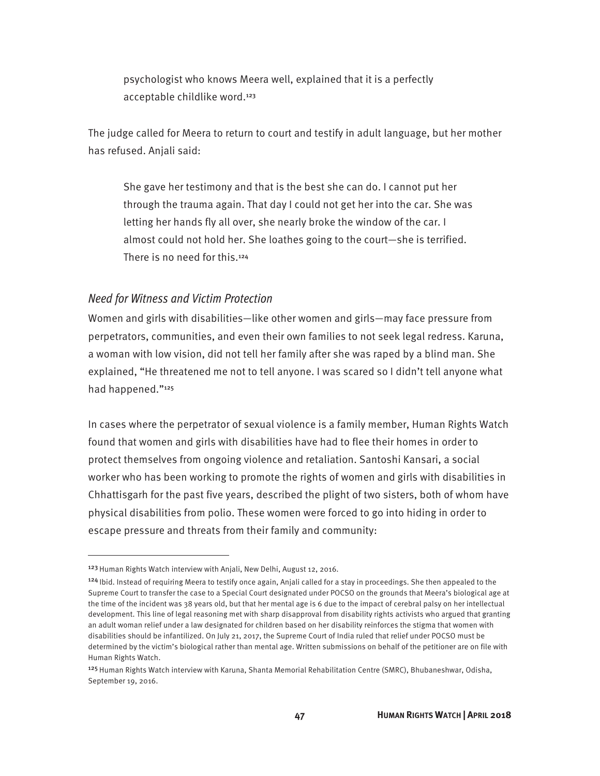psychologist who knows Meera well, explained that it is a perfectly acceptable childlike word.<sup>123</sup>

The judge called for Meera to return to court and testify in adult language, but her mother has refused. Anjali said:

She gave her testimony and that is the best she can do. I cannot put her through the trauma again. That day I could not get her into the car. She was letting her hands fly all over, she nearly broke the window of the car. I almost could not hold her. She loathes going to the court—she is terrified. There is no need for this.<sup>124</sup>

#### *Need for Witness and Victim Protection*

Women and girls with disabilities—like other women and girls—may face pressure from perpetrators, communities, and even their own families to not seek legal redress. Karuna, a woman with low vision, did not tell her family after she was raped by a blind man. She explained, "He threatened me not to tell anyone. I was scared so I didn't tell anyone what had happened."<sup>125</sup>

In cases where the perpetrator of sexual violence is a family member, Human Rights Watch found that women and girls with disabilities have had to flee their homes in order to protect themselves from ongoing violence and retaliation. Santoshi Kansari, a social worker who has been working to promote the rights of women and girls with disabilities in Chhattisgarh for the past five years, described the plight of two sisters, both of whom have physical disabilities from polio. These women were forced to go into hiding in order to escape pressure and threats from their family and community:

<sup>&</sup>lt;sup>123</sup> Human Rights Watch interview with Anjali, New Delhi, August 12, 2016.

<sup>&</sup>lt;sup>124</sup> Ibid. Instead of requiring Meera to testify once again, Anjali called for a stay in proceedings. She then appealed to the Supreme Court to transfer the case to a Special Court designated under POCSO on the grounds that Meera's biological age at the time of the incident was 38 years old, but that her mental age is 6 due to the impact of cerebral palsy on her intellectual development. This line of legal reasoning met with sharp disapproval from disability rights activists who argued that granting an adult woman relief under a law designated for children based on her disability reinforces the stigma that women with disabilities should be infantilized. On July 21, 2017, the Supreme Court of India ruled that relief under POCSO must be determined by the victim's biological rather than mental age. Written submissions on behalf of the petitioner are on file with Human Rights Watch.

<sup>&</sup>lt;sup>125</sup> Human Rights Watch interview with Karuna, Shanta Memorial Rehabilitation Centre (SMRC), Bhubaneshwar, Odisha, September 19, 2016.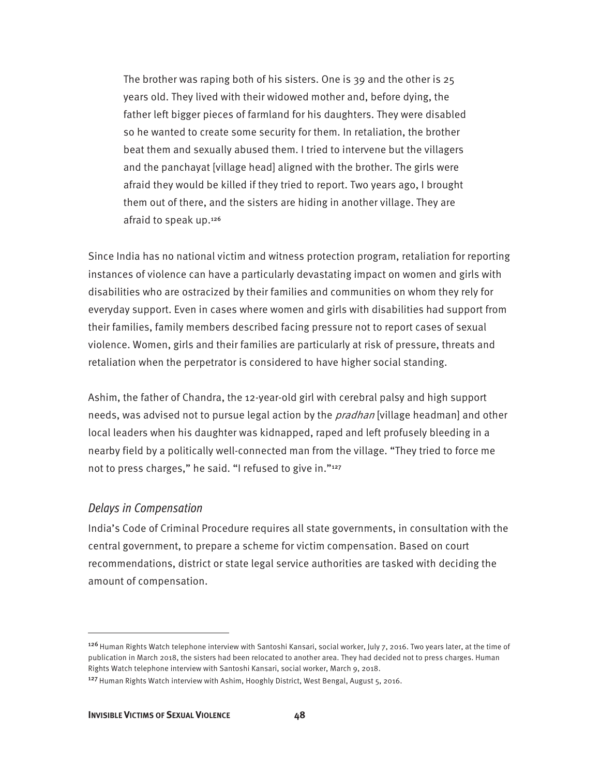The brother was raping both of his sisters. One is 39 and the other is 25 years old. They lived with their widowed mother and, before dying, the father left bigger pieces of farmland for his daughters. They were disabled so he wanted to create some security for them. In retaliation, the brother beat them and sexually abused them. I tried to intervene but the villagers and the panchayat [village head] aligned with the brother. The girls were afraid they would be killed if they tried to report. Two years ago, I brought them out of there, and the sisters are hiding in another village. They are afraid to speak up.<sup>126</sup>

Since India has no national victim and witness protection program, retaliation for reporting instances of violence can have a particularly devastating impact on women and girls with disabilities who are ostracized by their families and communities on whom they rely for everyday support. Even in cases where women and girls with disabilities had support from their families, family members described facing pressure not to report cases of sexual violence. Women, girls and their families are particularly at risk of pressure, threats and retaliation when the perpetrator is considered to have higher social standing.

Ashim, the father of Chandra, the 12-year-old girl with cerebral palsy and high support needs, was advised not to pursue legal action by the *pradhan* [village headman] and other local leaders when his daughter was kidnapped, raped and left profusely bleeding in a nearby field by a politically well-connected man from the village. "They tried to force me not to press charges," he said. "I refused to give in."<sup>127</sup>

#### *Delays in Compensation*

 $\overline{a}$ 

India's Code of Criminal Procedure requires all state governments, in consultation with the central government, to prepare a scheme for victim compensation. Based on court recommendations, district or state legal service authorities are tasked with deciding the amount of compensation.

<sup>&</sup>lt;sup>126</sup> Human Rights Watch telephone interview with Santoshi Kansari, social worker, July 7, 2016. Two years later, at the time of publication in March 2018, the sisters had been relocated to another area. They had decided not to press charges. Human Rights Watch telephone interview with Santoshi Kansari, social worker, March 9, 2018.

<sup>&</sup>lt;sup>127</sup> Human Rights Watch interview with Ashim, Hooghly District, West Bengal, August 5, 2016.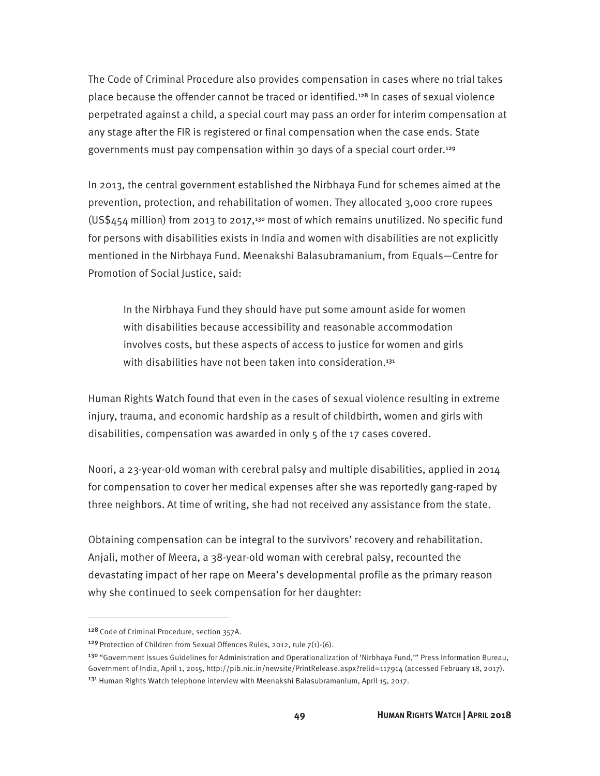The Code of Criminal Procedure also provides compensation in cases where no trial takes place because the offender cannot be traced or identified.<sup>128</sup> In cases of sexual violence perpetrated against a child, a special court may pass an order for interim compensation at any stage after the FIR is registered or final compensation when the case ends. State governments must pay compensation within 30 days of a special court order.<sup>129</sup>

In 2013, the central government established the Nirbhaya Fund for schemes aimed at the prevention, protection, and rehabilitation of women. They allocated 3,000 crore rupees (US\$454 million) from 2013 to 2017,<sup>130</sup> most of which remains unutilized. No specific fund for persons with disabilities exists in India and women with disabilities are not explicitly mentioned in the Nirbhaya Fund. Meenakshi Balasubramanium, from Equals—Centre for Promotion of Social Justice, said:

In the Nirbhaya Fund they should have put some amount aside for women with disabilities because accessibility and reasonable accommodation involves costs, but these aspects of access to justice for women and girls with disabilities have not been taken into consideration.<sup>131</sup>

Human Rights Watch found that even in the cases of sexual violence resulting in extreme injury, trauma, and economic hardship as a result of childbirth, women and girls with disabilities, compensation was awarded in only 5 of the 17 cases covered.

Noori, a 23-year-old woman with cerebral palsy and multiple disabilities, applied in 2014 for compensation to cover her medical expenses after she was reportedly gang-raped by three neighbors. At time of writing, she had not received any assistance from the state.

Obtaining compensation can be integral to the survivors' recovery and rehabilitation. Anjali, mother of Meera, a 38-year-old woman with cerebral palsy, recounted the devastating impact of her rape on Meera's developmental profile as the primary reason why she continued to seek compensation for her daughter:

<sup>128</sup> Code of Criminal Procedure, section 357A.

<sup>&</sup>lt;sup>129</sup> Protection of Children from Sexual Offences Rules, 2012, rule  $7(1)-(6)$ .

<sup>&</sup>lt;sup>130</sup> "Government Issues Guidelines for Administration and Operationalization of 'Nirbhaya Fund,'" Press Information Bureau, Government of India, April 1, 2015, http://pib.nic.in/newsite/PrintRelease.aspx?relid=117914 (accessed February 18, 2017). <sup>131</sup> Human Rights Watch telephone interview with Meenakshi Balasubramanium, April 15, 2017.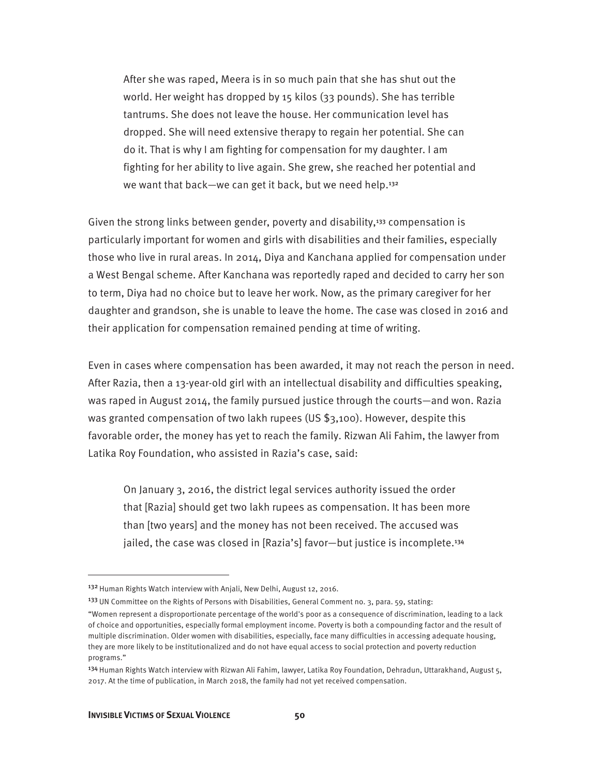After she was raped, Meera is in so much pain that she has shut out the world. Her weight has dropped by 15 kilos (33 pounds). She has terrible tantrums. She does not leave the house. Her communication level has dropped. She will need extensive therapy to regain her potential. She can do it. That is why I am fighting for compensation for my daughter. I am fighting for her ability to live again. She grew, she reached her potential and we want that back—we can get it back, but we need help.<sup>132</sup>

Given the strong links between gender, poverty and disability,133 compensation is particularly important for women and girls with disabilities and their families, especially those who live in rural areas. In 2014, Diya and Kanchana applied for compensation under a West Bengal scheme. After Kanchana was reportedly raped and decided to carry her son to term, Diya had no choice but to leave her work. Now, as the primary caregiver for her daughter and grandson, she is unable to leave the home. The case was closed in 2016 and their application for compensation remained pending at time of writing.

Even in cases where compensation has been awarded, it may not reach the person in need. After Razia, then a 13-year-old girl with an intellectual disability and difficulties speaking, was raped in August 2014, the family pursued justice through the courts—and won. Razia was granted compensation of two lakh rupees (US \$3,100). However, despite this favorable order, the money has yet to reach the family. Rizwan Ali Fahim, the lawyer from Latika Roy Foundation, who assisted in Razia's case, said:

On January 3, 2016, the district legal services authority issued the order that [Razia] should get two lakh rupees as compensation. It has been more than [two years] and the money has not been received. The accused was jailed, the case was closed in [Razia's] favor—but justice is incomplete.<sup>134</sup>

<sup>&</sup>lt;sup>132</sup> Human Rights Watch interview with Anjali, New Delhi, August 12, 2016.

<sup>&</sup>lt;sup>133</sup> UN Committee on the Rights of Persons with Disabilities, General Comment no. 3, para. 59, stating:

<sup>&</sup>quot;Women represent a disproportionate percentage of the world's poor as a consequence of discrimination, leading to a lack of choice and opportunities, especially formal employment income. Poverty is both a compounding factor and the result of multiple discrimination. Older women with disabilities, especially, face many difficulties in accessing adequate housing, they are more likely to be institutionalized and do not have equal access to social protection and poverty reduction programs."

<sup>134</sup> Human Rights Watch interview with Rizwan Ali Fahim, lawyer, Latika Roy Foundation, Dehradun, Uttarakhand, August 5, 2017. At the time of publication, in March 2018, the family had not yet received compensation.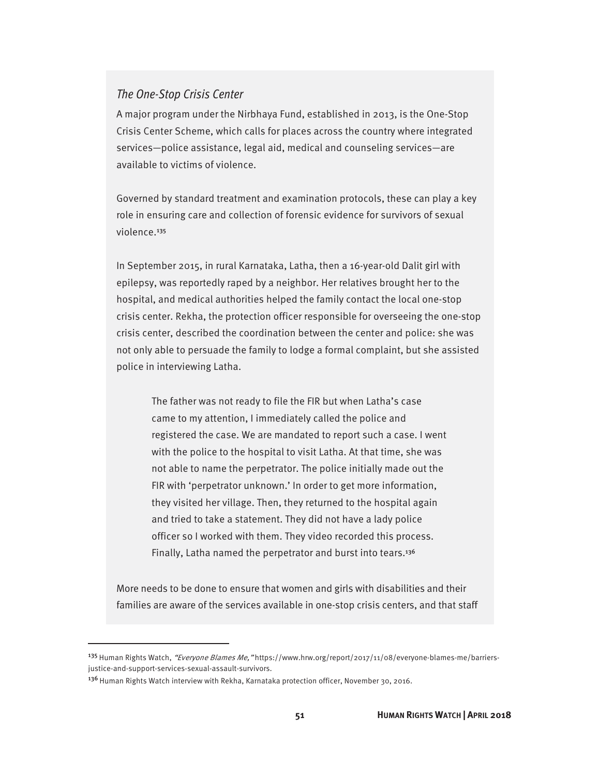#### *The One-Stop Crisis Center*

A major program under the Nirbhaya Fund, established in 2013, is the One-Stop Crisis Center Scheme, which calls for places across the country where integrated services—police assistance, legal aid, medical and counseling services—are available to victims of violence.

Governed by standard treatment and examination protocols, these can play a key role in ensuring care and collection of forensic evidence for survivors of sexual violence.<sup>135</sup>

In September 2015, in rural Karnataka, Latha, then a 16-year-old Dalit girl with epilepsy, was reportedly raped by a neighbor. Her relatives brought her to the hospital, and medical authorities helped the family contact the local one-stop crisis center. Rekha, the protection officer responsible for overseeing the one-stop crisis center, described the coordination between the center and police: she was not only able to persuade the family to lodge a formal complaint, but she assisted police in interviewing Latha.

The father was not ready to file the FIR but when Latha's case came to my attention, I immediately called the police and registered the case. We are mandated to report such a case. I went with the police to the hospital to visit Latha. At that time, she was not able to name the perpetrator. The police initially made out the FIR with 'perpetrator unknown.' In order to get more information, they visited her village. Then, they returned to the hospital again and tried to take a statement. They did not have a lady police officer so I worked with them. They video recorded this process. Finally, Latha named the perpetrator and burst into tears.<sup>136</sup>

More needs to be done to ensure that women and girls with disabilities and their families are aware of the services available in one-stop crisis centers, and that staff

<sup>&</sup>lt;sup>135</sup> Human Rights Watch, "Everyone Blames Me, "https://www.hrw.org/report/2017/11/08/everyone-blames-me/barriersjustice-and-support-services-sexual-assault-survivors.

<sup>136</sup> Human Rights Watch interview with Rekha, Karnataka protection officer, November 30, 2016.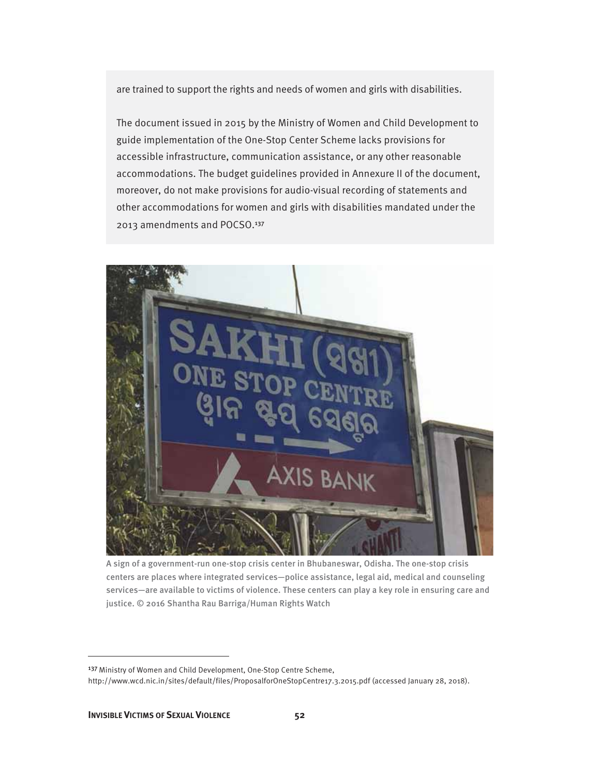are trained to support the rights and needs of women and girls with disabilities.

The document issued in 2015 by the Ministry of Women and Child Development to guide implementation of the One-Stop Center Scheme lacks provisions for accessible infrastructure, communication assistance, or any other reasonable accommodations. The budget guidelines provided in Annexure II of the document, moreover, do not make provisions for audio-visual recording of statements and other accommodations for women and girls with disabilities mandated under the 2013 amendments and POCSO.<sup>137</sup>



A sign of a government-run one-stop crisis center in Bhubaneswar, Odisha. The one-stop crisis centers are places where integrated services—police assistance, legal aid, medical and counseling services—are available to victims of violence. These centers can play a key role in ensuring care and justice. © 2016 Shantha Rau Barriga/Human Rights Watch

<sup>&</sup>lt;sup>137</sup> Ministry of Women and Child Development, One-Stop Centre Scheme,

http://www.wcd.nic.in/sites/default/files/ProposalforOneStopCentre17.3.2015.pdf (accessed January 28, 2018).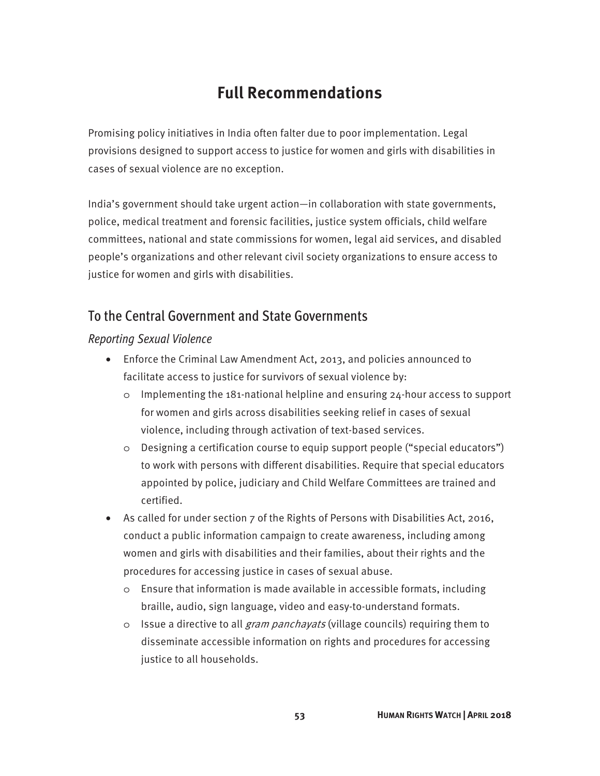### **Full Recommendations**

Promising policy initiatives in India often falter due to poor implementation. Legal provisions designed to support access to justice for women and girls with disabilities in cases of sexual violence are no exception.

India's government should take urgent action—in collaboration with state governments, police, medical treatment and forensic facilities, justice system officials, child welfare committees, national and state commissions for women, legal aid services, and disabled people's organizations and other relevant civil society organizations to ensure access to justice for women and girls with disabilities.

#### To the Central Government and State Governments

#### *Reporting Sexual Violence*

- Enforce the Criminal Law Amendment Act, 2013, and policies announced to facilitate access to justice for survivors of sexual violence by:
	- $\circ$  Implementing the 181-national helpline and ensuring 24-hour access to support for women and girls across disabilities seeking relief in cases of sexual violence, including through activation of text-based services.
	- o Designing a certification course to equip support people ("special educators") to work with persons with different disabilities. Require that special educators appointed by police, judiciary and Child Welfare Committees are trained and certified.
- As called for under section 7 of the Rights of Persons with Disabilities Act, 2016, conduct a public information campaign to create awareness, including among women and girls with disabilities and their families, about their rights and the procedures for accessing justice in cases of sexual abuse.
	- o Ensure that information is made available in accessible formats, including braille, audio, sign language, video and easy-to-understand formats.
	- o Issue a directive to all *gram panchayats* (village councils) requiring them to disseminate accessible information on rights and procedures for accessing justice to all households.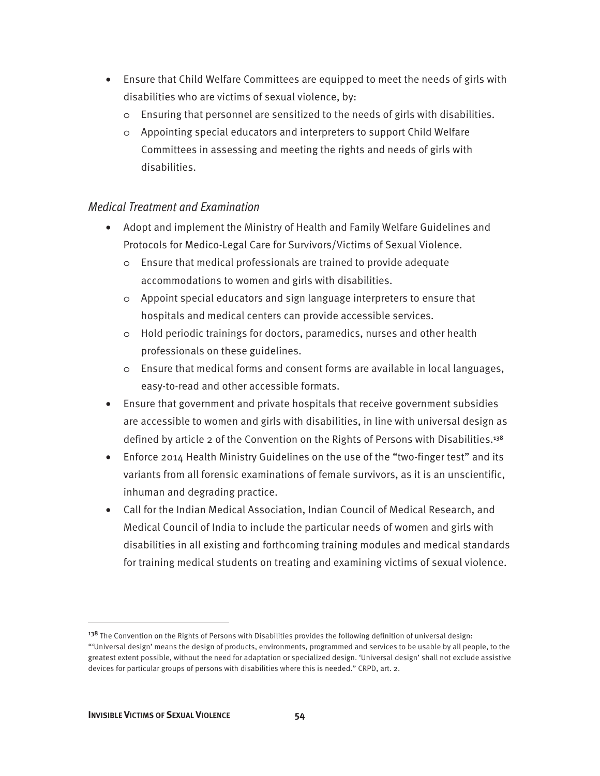- Ensure that Child Welfare Committees are equipped to meet the needs of girls with disabilities who are victims of sexual violence, by:
	- o Ensuring that personnel are sensitized to the needs of girls with disabilities.
	- o Appointing special educators and interpreters to support Child Welfare Committees in assessing and meeting the rights and needs of girls with disabilities.

#### *Medical Treatment and Examination*

- Adopt and implement the Ministry of Health and Family Welfare Guidelines and Protocols for Medico-Legal Care for Survivors/Victims of Sexual Violence.
	- o Ensure that medical professionals are trained to provide adequate accommodations to women and girls with disabilities.
	- o Appoint special educators and sign language interpreters to ensure that hospitals and medical centers can provide accessible services.
	- o Hold periodic trainings for doctors, paramedics, nurses and other health professionals on these guidelines.
	- o Ensure that medical forms and consent forms are available in local languages, easy-to-read and other accessible formats.
- Ensure that government and private hospitals that receive government subsidies are accessible to women and girls with disabilities, in line with universal design as defined by article 2 of the Convention on the Rights of Persons with Disabilities.<sup>138</sup>
- Enforce 2014 Health Ministry Guidelines on the use of the "two-finger test" and its variants from all forensic examinations of female survivors, as it is an unscientific, inhuman and degrading practice.
- Call for the Indian Medical Association, Indian Council of Medical Research, and Medical Council of India to include the particular needs of women and girls with disabilities in all existing and forthcoming training modules and medical standards for training medical students on treating and examining victims of sexual violence.

<sup>&</sup>lt;sup>138</sup> The Convention on the Rights of Persons with Disabilities provides the following definition of universal design: "'Universal design' means the design of products, environments, programmed and services to be usable by all people, to the greatest extent possible, without the need for adaptation or specialized design. 'Universal design' shall not exclude assistive devices for particular groups of persons with disabilities where this is needed." CRPD, art. 2.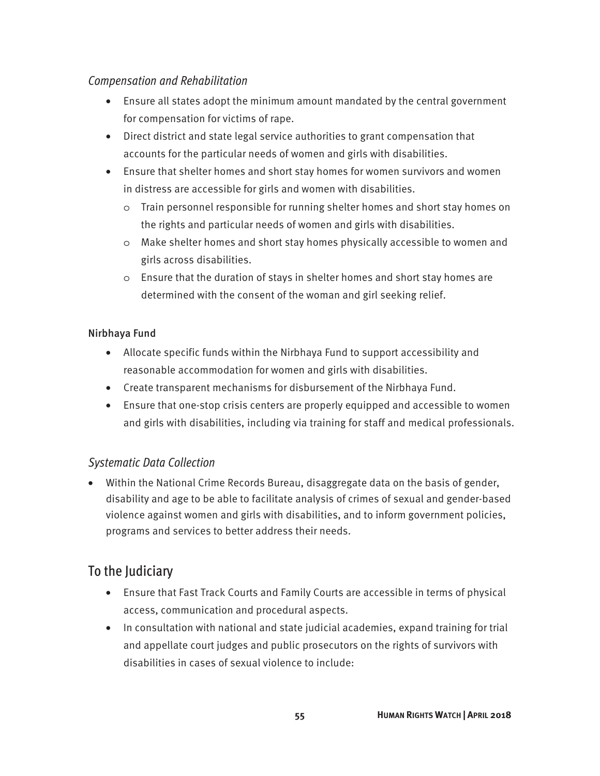#### *Compensation and Rehabilitation*

- Ensure all states adopt the minimum amount mandated by the central government for compensation for victims of rape.
- Direct district and state legal service authorities to grant compensation that accounts for the particular needs of women and girls with disabilities.
- Ensure that shelter homes and short stay homes for women survivors and women in distress are accessible for girls and women with disabilities.
	- o Train personnel responsible for running shelter homes and short stay homes on the rights and particular needs of women and girls with disabilities.
	- o Make shelter homes and short stay homes physically accessible to women and girls across disabilities.
	- o Ensure that the duration of stays in shelter homes and short stay homes are determined with the consent of the woman and girl seeking relief.

#### Nirbhaya Fund

- Allocate specific funds within the Nirbhaya Fund to support accessibility and reasonable accommodation for women and girls with disabilities.
- Create transparent mechanisms for disbursement of the Nirbhaya Fund.
- Ensure that one-stop crisis centers are properly equipped and accessible to women and girls with disabilities, including via training for staff and medical professionals.

#### *Systematic Data Collection*

• Within the National Crime Records Bureau, disaggregate data on the basis of gender, disability and age to be able to facilitate analysis of crimes of sexual and gender-based violence against women and girls with disabilities, and to inform government policies, programs and services to better address their needs.

### To the Judiciary

- Ensure that Fast Track Courts and Family Courts are accessible in terms of physical access, communication and procedural aspects.
- In consultation with national and state judicial academies, expand training for trial and appellate court judges and public prosecutors on the rights of survivors with disabilities in cases of sexual violence to include: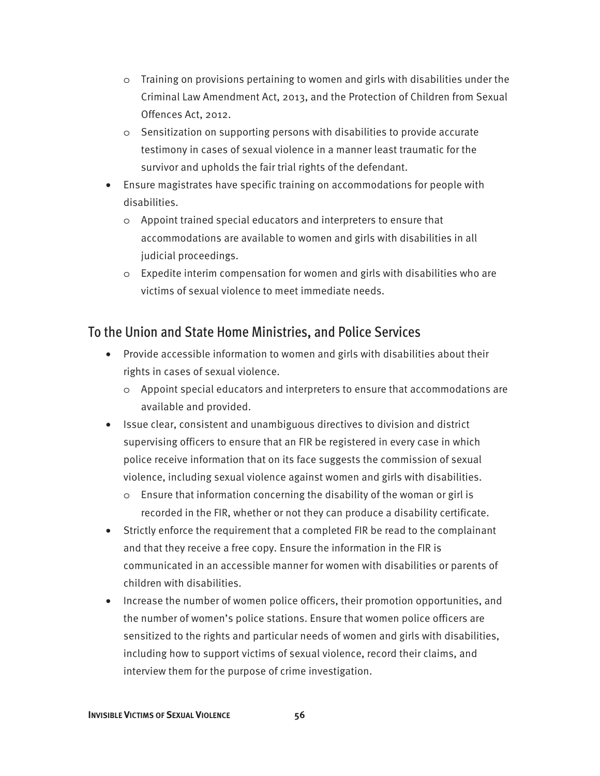- o Training on provisions pertaining to women and girls with disabilities under the Criminal Law Amendment Act, 2013, and the Protection of Children from Sexual Offences Act, 2012.
- o Sensitization on supporting persons with disabilities to provide accurate testimony in cases of sexual violence in a manner least traumatic for the survivor and upholds the fair trial rights of the defendant.
- Ensure magistrates have specific training on accommodations for people with disabilities.
	- o Appoint trained special educators and interpreters to ensure that accommodations are available to women and girls with disabilities in all judicial proceedings.
	- o Expedite interim compensation for women and girls with disabilities who are victims of sexual violence to meet immediate needs.

### To the Union and State Home Ministries, and Police Services

- Provide accessible information to women and girls with disabilities about their rights in cases of sexual violence.
	- o Appoint special educators and interpreters to ensure that accommodations are available and provided.
- Issue clear, consistent and unambiguous directives to division and district supervising officers to ensure that an FIR be registered in every case in which police receive information that on its face suggests the commission of sexual violence, including sexual violence against women and girls with disabilities.
	- o Ensure that information concerning the disability of the woman or girl is recorded in the FIR, whether or not they can produce a disability certificate.
- Strictly enforce the requirement that a completed FIR be read to the complainant and that they receive a free copy. Ensure the information in the FIR is communicated in an accessible manner for women with disabilities or parents of children with disabilities.
- Increase the number of women police officers, their promotion opportunities, and the number of women's police stations. Ensure that women police officers are sensitized to the rights and particular needs of women and girls with disabilities, including how to support victims of sexual violence, record their claims, and interview them for the purpose of crime investigation.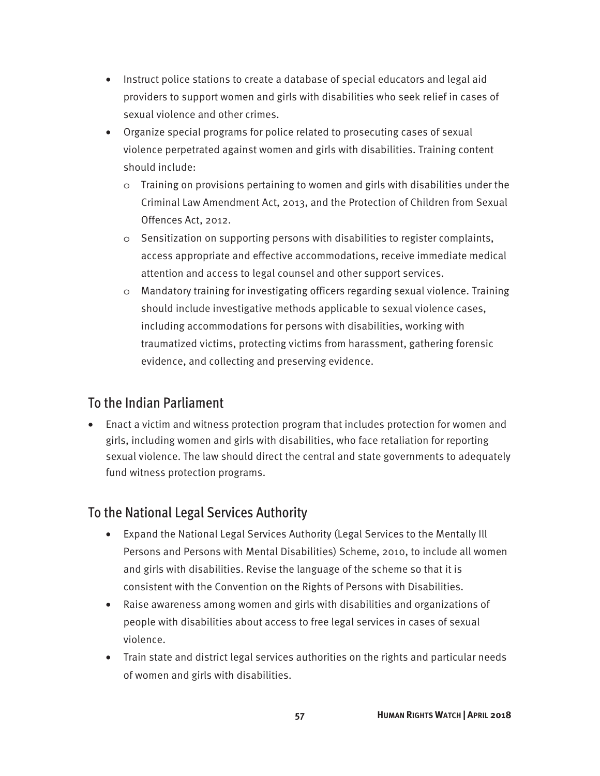- Instruct police stations to create a database of special educators and legal aid providers to support women and girls with disabilities who seek relief in cases of sexual violence and other crimes.
- Organize special programs for police related to prosecuting cases of sexual violence perpetrated against women and girls with disabilities. Training content should include:
	- o Training on provisions pertaining to women and girls with disabilities under the Criminal Law Amendment Act, 2013, and the Protection of Children from Sexual Offences Act, 2012.
	- o Sensitization on supporting persons with disabilities to register complaints, access appropriate and effective accommodations, receive immediate medical attention and access to legal counsel and other support services.
	- o Mandatory training for investigating officers regarding sexual violence. Training should include investigative methods applicable to sexual violence cases, including accommodations for persons with disabilities, working with traumatized victims, protecting victims from harassment, gathering forensic evidence, and collecting and preserving evidence.

### To the Indian Parliament

• Enact a victim and witness protection program that includes protection for women and girls, including women and girls with disabilities, who face retaliation for reporting sexual violence. The law should direct the central and state governments to adequately fund witness protection programs.

### To the National Legal Services Authority

- Expand the National Legal Services Authority (Legal Services to the Mentally Ill Persons and Persons with Mental Disabilities) Scheme, 2010, to include all women and girls with disabilities. Revise the language of the scheme so that it is consistent with the Convention on the Rights of Persons with Disabilities.
- Raise awareness among women and girls with disabilities and organizations of people with disabilities about access to free legal services in cases of sexual violence.
- Train state and district legal services authorities on the rights and particular needs of women and girls with disabilities.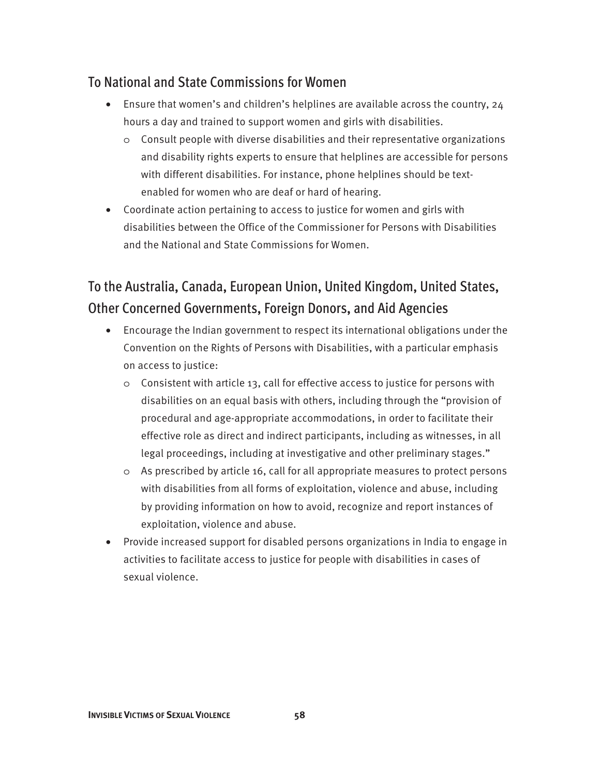### To National and State Commissions for Women

- Ensure that women's and children's helplines are available across the country, 24 hours a day and trained to support women and girls with disabilities.
	- $\circ$  Consult people with diverse disabilities and their representative organizations and disability rights experts to ensure that helplines are accessible for persons with different disabilities. For instance, phone helplines should be textenabled for women who are deaf or hard of hearing.
- Coordinate action pertaining to access to justice for women and girls with disabilities between the Office of the Commissioner for Persons with Disabilities and the National and State Commissions for Women.

### To the Australia, Canada, European Union, United Kingdom, United States, Other Concerned Governments, Foreign Donors, and Aid Agencies

- Encourage the Indian government to respect its international obligations under the Convention on the Rights of Persons with Disabilities, with a particular emphasis on access to justice:
	- $\circ$  Consistent with article 13, call for effective access to justice for persons with disabilities on an equal basis with others, including through the "provision of procedural and age-appropriate accommodations, in order to facilitate their effective role as direct and indirect participants, including as witnesses, in all legal proceedings, including at investigative and other preliminary stages."
	- o As prescribed by article 16, call for all appropriate measures to protect persons with disabilities from all forms of exploitation, violence and abuse, including by providing information on how to avoid, recognize and report instances of exploitation, violence and abuse.
- Provide increased support for disabled persons organizations in India to engage in activities to facilitate access to justice for people with disabilities in cases of sexual violence.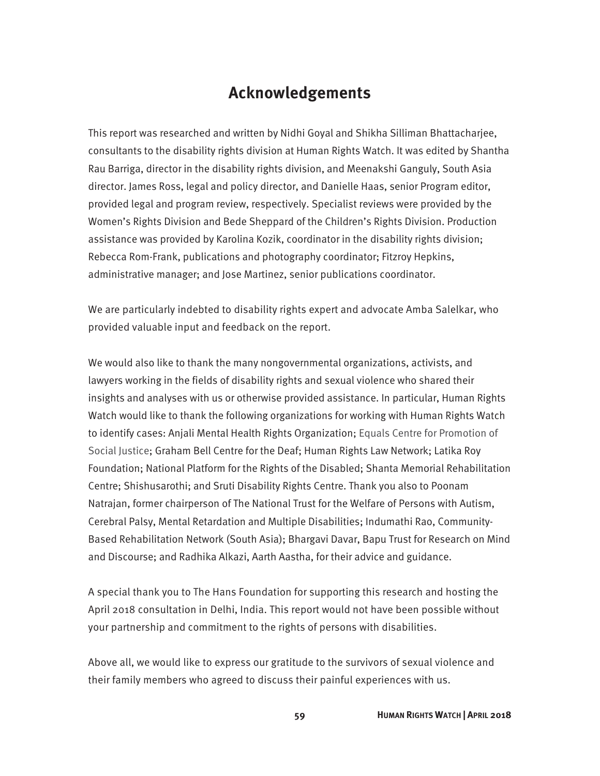### **Acknowledgements**

This report was researched and written by Nidhi Goyal and Shikha Silliman Bhattacharjee, consultants to the disability rights division at Human Rights Watch. It was edited by Shantha Rau Barriga, director in the disability rights division, and Meenakshi Ganguly, South Asia director. James Ross, legal and policy director, and Danielle Haas, senior Program editor, provided legal and program review, respectively. Specialist reviews were provided by the Women's Rights Division and Bede Sheppard of the Children's Rights Division. Production assistance was provided by Karolina Kozik, coordinator in the disability rights division; Rebecca Rom-Frank, publications and photography coordinator; Fitzroy Hepkins, administrative manager; and Jose Martinez, senior publications coordinator.

We are particularly indebted to disability rights expert and advocate Amba Salelkar, who provided valuable input and feedback on the report.

We would also like to thank the many nongovernmental organizations, activists, and lawyers working in the fields of disability rights and sexual violence who shared their insights and analyses with us or otherwise provided assistance. In particular, Human Rights Watch would like to thank the following organizations for working with Human Rights Watch to identify cases: Anjali Mental Health Rights Organization; Equals Centre for Promotion of Social Justice; Graham Bell Centre for the Deaf; Human Rights Law Network; Latika Roy Foundation; National Platform for the Rights of the Disabled; Shanta Memorial Rehabilitation Centre; Shishusarothi; and Sruti Disability Rights Centre. Thank you also to Poonam Natrajan, former chairperson of The National Trust for the Welfare of Persons with Autism, Cerebral Palsy, Mental Retardation and Multiple Disabilities; Indumathi Rao, Community-Based Rehabilitation Network (South Asia); Bhargavi Davar, Bapu Trust for Research on Mind and Discourse; and Radhika Alkazi, Aarth Aastha, for their advice and guidance.

A special thank you to The Hans Foundation for supporting this research and hosting the April 2018 consultation in Delhi, India. This report would not have been possible without your partnership and commitment to the rights of persons with disabilities.

Above all, we would like to express our gratitude to the survivors of sexual violence and their family members who agreed to discuss their painful experiences with us.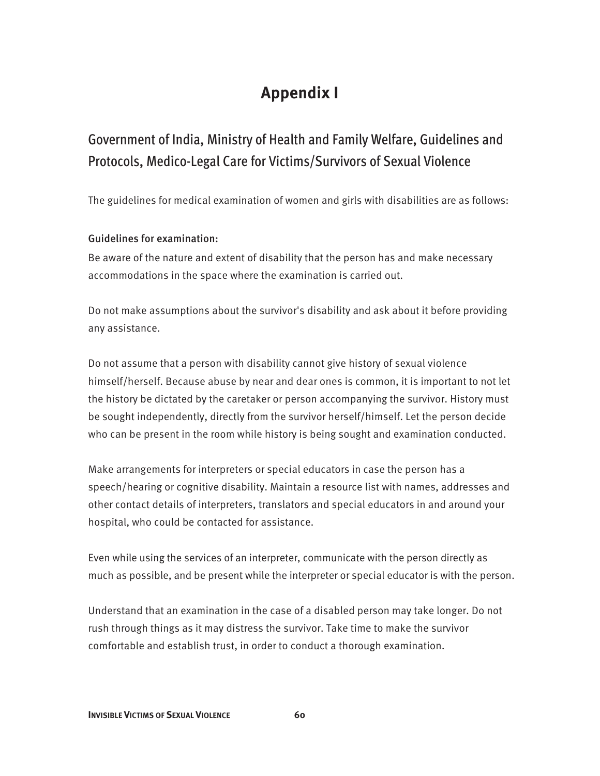### **Appendix I**

### Government of India, Ministry of Health and Family Welfare, Guidelines and Protocols, Medico-Legal Care for Victims/Survivors of Sexual Violence

The guidelines for medical examination of women and girls with disabilities are as follows:

#### Guidelines for examination:

Be aware of the nature and extent of disability that the person has and make necessary accommodations in the space where the examination is carried out.

Do not make assumptions about the survivor's disability and ask about it before providing any assistance.

Do not assume that a person with disability cannot give history of sexual violence himself/herself. Because abuse by near and dear ones is common, it is important to not let the history be dictated by the caretaker or person accompanying the survivor. History must be sought independently, directly from the survivor herself/himself. Let the person decide who can be present in the room while history is being sought and examination conducted.

Make arrangements for interpreters or special educators in case the person has a speech/hearing or cognitive disability. Maintain a resource list with names, addresses and other contact details of interpreters, translators and special educators in and around your hospital, who could be contacted for assistance.

Even while using the services of an interpreter, communicate with the person directly as much as possible, and be present while the interpreter or special educator is with the person.

Understand that an examination in the case of a disabled person may take longer. Do not rush through things as it may distress the survivor. Take time to make the survivor comfortable and establish trust, in order to conduct a thorough examination.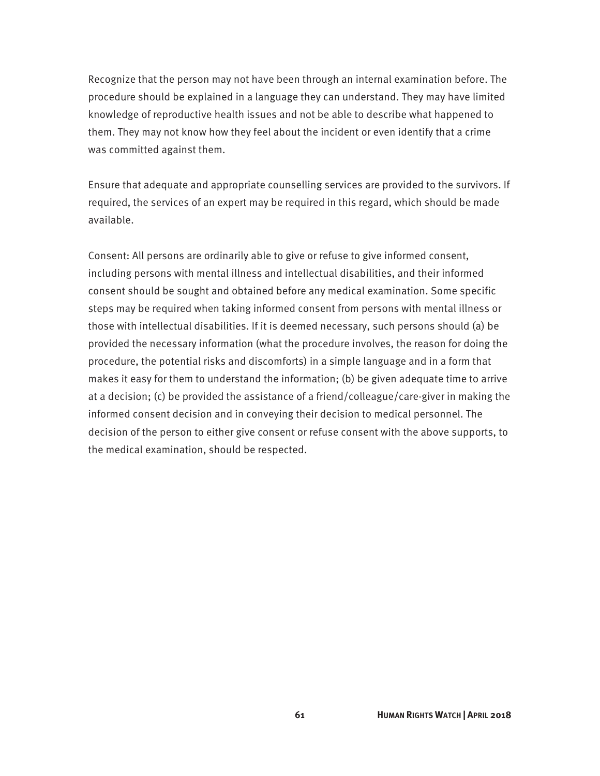Recognize that the person may not have been through an internal examination before. The procedure should be explained in a language they can understand. They may have limited knowledge of reproductive health issues and not be able to describe what happened to them. They may not know how they feel about the incident or even identify that a crime was committed against them.

Ensure that adequate and appropriate counselling services are provided to the survivors. If required, the services of an expert may be required in this regard, which should be made available.

Consent: All persons are ordinarily able to give or refuse to give informed consent, including persons with mental illness and intellectual disabilities, and their informed consent should be sought and obtained before any medical examination. Some specific steps may be required when taking informed consent from persons with mental illness or those with intellectual disabilities. If it is deemed necessary, such persons should (a) be provided the necessary information (what the procedure involves, the reason for doing the procedure, the potential risks and discomforts) in a simple language and in a form that makes it easy for them to understand the information; (b) be given adequate time to arrive at a decision; (c) be provided the assistance of a friend/colleague/care-giver in making the informed consent decision and in conveying their decision to medical personnel. The decision of the person to either give consent or refuse consent with the above supports, to the medical examination, should be respected.